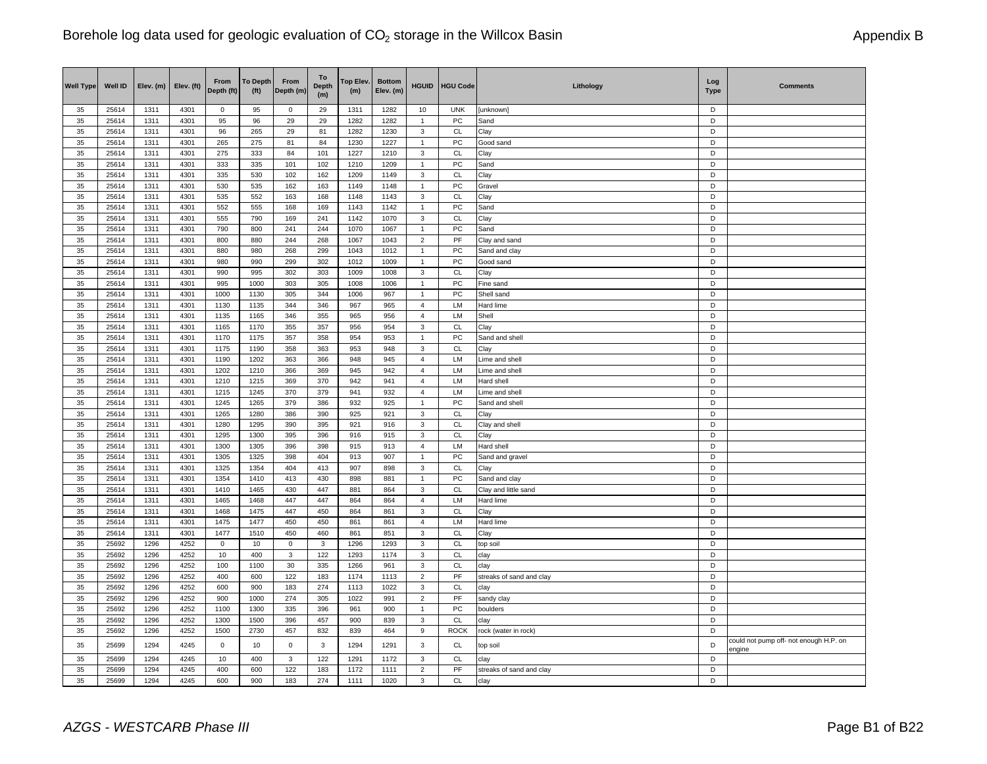| <b>Well Type</b> | Well ID        | Elev. (m)    | Elev. (ft)   | From<br>Depth (ft) | <b>To Depth</b><br>(f <sup>t</sup> ) | From<br>Depth (m) | To<br><b>Depth</b><br>(m) | Top Elev.<br>(m) | <b>Bottom</b><br>Elev. (m) | <b>HGUID</b>            | <b>HGU Code</b>            | Lithology                | Log<br><b>Type</b> | <b>Comments</b>                        |
|------------------|----------------|--------------|--------------|--------------------|--------------------------------------|-------------------|---------------------------|------------------|----------------------------|-------------------------|----------------------------|--------------------------|--------------------|----------------------------------------|
| 35               | 25614          | 1311         | 4301         | 0                  | 95                                   | $\mathsf 0$       | 29                        | 1311             | 1282                       | 10                      | <b>UNK</b>                 | [unknown]                | D                  |                                        |
| 35               | 25614          | 1311         | 4301         | 95                 | 96                                   | 29                | 29                        | 1282             | 1282                       | $\mathbf{1}$            | PC                         | Sand                     | $\overline{D}$     |                                        |
| 35               | 25614          | 1311         | 4301         | 96                 | 265                                  | 29                | 81                        | 1282             | 1230                       | 3                       | CL                         | Clay                     | D                  |                                        |
| 35               | 25614          | 1311         | 4301         | 265                | 275                                  | 81                | 84                        | 1230             | 1227                       | $\mathbf{1}$            | ${\sf PC}$                 | Good sand                | D                  |                                        |
| 35               | 25614          | 1311         | 4301         | 275                | 333                                  | 84                | 101                       | 1227             | 1210                       | 3                       | CL                         | Clay                     | D                  |                                        |
| 35               | 25614          | 1311         | 4301         | 333                | 335                                  | 101               | 102                       | 1210             | 1209                       | $\mathbf{1}$            | PC                         | Sand                     | D                  |                                        |
| 35               | 25614          | 1311         | 4301         | 335                | 530                                  | 102               | 162                       | 1209             | 1149                       | 3                       | <b>CL</b>                  | Clay                     | D                  |                                        |
| 35               | 25614          | 1311         | 4301         | 530                | 535                                  | 162               | 163                       | 1149             | 1148                       | $\mathbf{1}$            | PC                         | Gravel                   | D                  |                                        |
| 35               | 25614          | 1311         | 4301         | 535                | 552                                  | 163               | 168                       | 1148             | 1143                       | 3                       | CL                         | Clay                     | D<br>D             |                                        |
| 35<br>35         | 25614<br>25614 | 1311<br>1311 | 4301<br>4301 | 552<br>555         | 555<br>790                           | 168<br>169        | 169<br>241                | 1143<br>1142     | 1142<br>1070               | 1<br>$\mathsf 3$        | PC<br>CL                   | Sand<br>Clay             | D                  |                                        |
| 35               | 25614          | 1311         | 4301         | 790                |                                      | 241               | 244                       |                  | 1067                       | $\mathbf{1}$            | PC                         | Sand                     | D                  |                                        |
| 35               | 25614          | 1311         | 4301         | 800                | 800<br>880                           | 244               | 268                       | 1070<br>1067     | 1043                       | $\overline{c}$          | $\ensuremath{\mathsf{PF}}$ | Clay and sand            | D                  |                                        |
| 35               | 25614          | 1311         | 4301         | 880                | 980                                  | 268               | 299                       | 1043             | 1012                       | $\mathbf{1}$            | PC                         | Sand and clay            | D                  |                                        |
| 35               | 25614          | 1311         | 4301         | 980                | 990                                  | 299               | 302                       | 1012             | 1009                       | $\mathbf{1}$            | PC                         | Good sand                | D                  |                                        |
| 35               | 25614          | 1311         | 4301         | 990                | 995                                  | 302               | 303                       | 1009             | 1008                       | 3                       | CL                         | Clay                     | D                  |                                        |
| 35               | 25614          | 1311         | 4301         | 995                | 1000                                 | 303               | 305                       | 1008             | 1006                       | $\mathbf{1}$            | ${\sf PC}$                 | Fine sand                | D                  |                                        |
| 35               | 25614          | 1311         | 4301         | 1000               | 1130                                 | 305               | 344                       | 1006             | 967                        | $\mathbf{1}$            | PC                         | Shell sand               | D                  |                                        |
| 35               | 25614          | 1311         | 4301         | 1130               | 1135                                 | 344               | 346                       | 967              | 965                        | $\overline{4}$          | LM                         | Hard lime                | D                  |                                        |
| 35               | 25614          | 1311         | 4301         | 1135               | 1165                                 | 346               | 355                       | 965              | 956                        | $\overline{4}$          | LM                         | Shell                    | D                  |                                        |
| 35               | 25614          | 1311         | 4301         | 1165               | 1170                                 | 355               | 357                       | 956              | 954                        | 3                       | CL                         | Clay                     | D                  |                                        |
| 35               | 25614          | 1311         | 4301         | 1170               | 1175                                 | 357               | 358                       | 954              | 953                        | $\mathbf{1}$            | PC                         | Sand and shell           | D                  |                                        |
| 35               | 25614          | 1311         | 4301         | 1175               | 1190                                 | 358               | 363                       | 953              | 948                        | 3                       | <b>CL</b>                  | Clay                     | D                  |                                        |
| 35               | 25614          | 1311         | 4301         | 1190               | 1202                                 | 363               | 366                       | 948              | 945                        | $\overline{4}$          | LM                         | Lime and shell           | D                  |                                        |
| 35               | 25614          | 1311         | 4301         | 1202               | 1210                                 | 366               | 369                       | 945              | 942                        | 4                       | LM                         | Lime and shell           | D                  |                                        |
| 35               | 25614          | 1311         | 4301         | 1210               | 1215                                 | 369               | 370                       | 942              | 941                        | $\overline{4}$          | LM                         | Hard shell               | D                  |                                        |
| 35               | 25614          | 1311         | 4301         | 1215               | 1245                                 | 370               | 379                       | 941              | 932                        | $\overline{4}$          | LM                         | Lime and shell           | D                  |                                        |
| 35               | 25614          | 1311         | 4301         | 1245               | 1265                                 | 379               | 386                       | 932              | 925                        | $\mathbf{1}$            | PC                         | Sand and shell           | D                  |                                        |
| 35               | 25614          | 1311         | 4301         | 1265               | 1280                                 | 386               | 390                       | 925              | 921                        | 3                       | <b>CL</b>                  | Clay                     | D                  |                                        |
| 35               | 25614          | 1311         | 4301         | 1280               | 1295                                 | 390               | 395                       | 921              | 916                        | 3                       | CL                         | Clay and shell           | D                  |                                        |
| 35               | 25614          | 1311         | 4301         | 1295               | 1300                                 | 395               | 396                       | 916              | 915                        | 3                       | CL                         | Clay                     | D                  |                                        |
| 35               | 25614          | 1311         | 4301         | 1300               | 1305                                 | 396               | 398                       | 915              | 913                        | $\overline{\mathbf{4}}$ | LM                         | Hard shell               | D                  |                                        |
| 35               | 25614          | 1311         | 4301         | 1305               | 1325                                 | 398               | 404                       | 913              | 907                        | 1                       | PC                         | Sand and gravel          | D                  |                                        |
| 35               | 25614          | 1311         | 4301         | 1325               | 1354                                 | 404               | 413                       | 907              | 898                        | 3                       | CL                         | Clay                     | D                  |                                        |
| 35               | 25614          | 1311         | 4301         | 1354               | 1410                                 | 413               | 430                       | 898              | 881                        | $\overline{1}$          | PC                         | Sand and clay            | D                  |                                        |
| 35               | 25614          | 1311         | 4301         | 1410               | 1465                                 | 430               | 447                       | 881              | 864                        | 3                       | <b>CL</b>                  | Clay and little sand     | D                  |                                        |
| 35               | 25614          | 1311         | 4301         | 1465               | 1468                                 | 447               | 447                       | 864              | 864                        | $\overline{4}$          | LM                         | Hard lime                | D                  |                                        |
| 35               | 25614          | 1311         | 4301         | 1468               | 1475                                 | 447               | 450                       | 864              | 861                        | 3                       | CL                         | Clay                     | D                  |                                        |
| 35               | 25614          | 1311         | 4301         | 1475               | 1477                                 | 450               | 450                       | 861              | 861                        | $\overline{4}$          | LM                         | Hard lime                | D                  |                                        |
| 35               | 25614          | 1311         | 4301         | 1477               | 1510                                 | 450               | 460                       | 861              | 851                        | 3                       | <b>CL</b>                  | Clay                     | D                  |                                        |
| 35               | 25692          | 1296         | 4252         | $\mathbf 0$        | 10                                   | $\mathbf 0$       | $\mathbf{3}$              | 1296             | 1293                       | 3                       | CL                         | top soil                 | D                  |                                        |
| 35               | 25692          | 1296         | 4252         | 10                 | 400                                  | $\mathbf{3}$      | 122                       | 1293             | 1174                       | $\mathsf 3$             | <b>CL</b>                  | clay                     | D                  |                                        |
| 35               | 25692          | 1296         | 4252         | 100                | 1100                                 | 30                | 335                       | 1266             | 961                        | 3                       | <b>CL</b>                  | clay                     | D                  |                                        |
| 35               | 25692          | 1296         | 4252         | 400                | 600                                  | 122               | 183                       | 1174             | 1113                       | $\overline{2}$          | PF                         | streaks of sand and clay | D                  |                                        |
| 35               | 25692          | 1296         | 4252         | 600                | 900                                  | 183               | 274                       | 1113             | 1022                       | 3                       | CL                         | clay                     | D                  |                                        |
| 35               | 25692          | 1296         | 4252         | 900                | 1000                                 | 274               | 305                       | 1022             | 991                        | $\overline{c}$          | PF                         | sandy clay               | D                  |                                        |
| 35               | 25692          | 1296         | 4252         | 1100               | 1300                                 | 335               | 396                       | 961              | 900                        | $\overline{1}$          | PC                         | boulders                 | D                  |                                        |
| 35<br>35         | 25692          | 1296         | 4252         | 1300               | 1500                                 | 396               | 457                       | 900              | 839                        | 3                       | CL                         | clay                     | D<br>D             |                                        |
|                  | 25692          | 1296         | 4252         | 1500               | 2730                                 | 457               | 832                       | 839              | 464                        | 9                       | <b>ROCK</b>                | rock (water in rock)     |                    | could not pump off- not enough H.P. on |
| 35               | 25699          | 1294         | 4245         | $\mathbf 0$        | 10                                   | $\mathsf 0$       | $\mathbf{3}$              | 1294             | 1291                       | 3                       | CL                         | top soil                 | $\mathsf D$        | engine                                 |
| 35               | 25699          | 1294         | 4245         | 10                 | 400                                  | $\mathbf{3}$      | 122                       | 1291             | 1172                       | $\mathsf 3$             | CL                         | clay                     | D                  |                                        |
| 35               | 25699          | 1294         | 4245         | 400                | 600                                  | 122               | 183                       | 1172             | 1111                       | $\overline{2}$          | PF                         | streaks of sand and clay | D                  |                                        |
| 35               | 25699          | 1294         | 4245         | 600                | 900                                  | 183               | 274                       | 1111             | 1020                       | 3                       | <b>CL</b>                  | clay                     | D                  |                                        |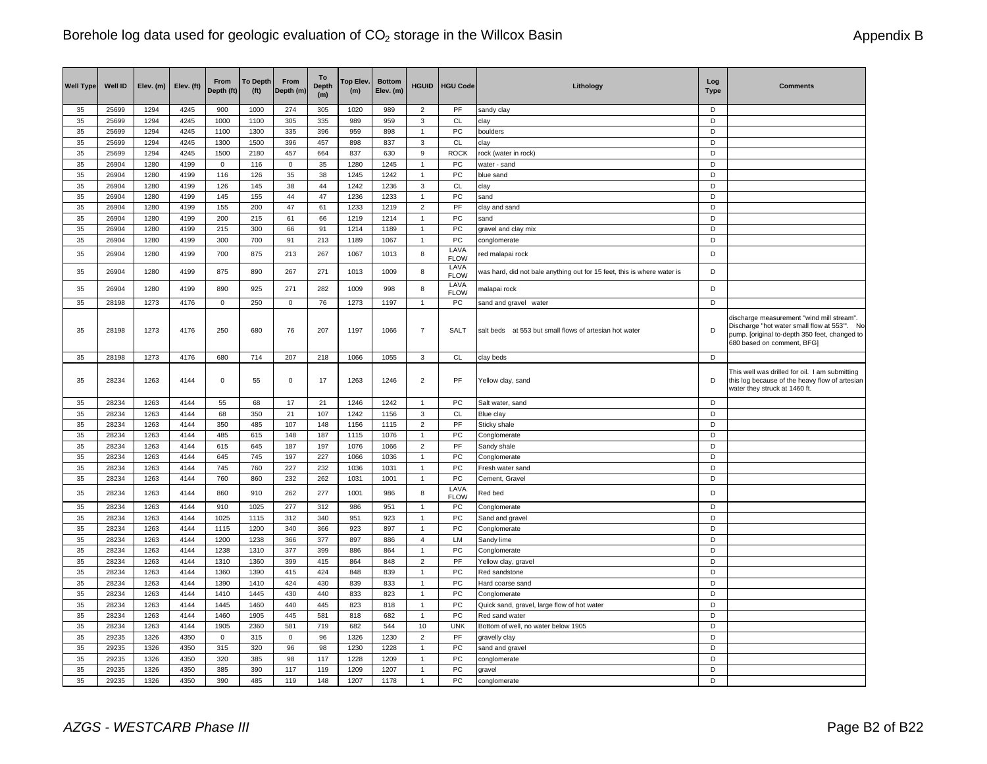| <b>Well Type</b> | Well ID        | Elev. (m)    | Elev. (ft)   | From<br>Depth (ft)  | <b>To Depth</b><br>(f <sup>t</sup> ) | From<br>Depth (m) | To<br><b>Depth</b><br>(m) | Top Elev.<br>(m) | <b>Bottom</b><br>Elev. (m) | <b>HGUID</b>                   | <b>HGU Code</b>     | Lithology                                                               | Log<br><b>Type</b> | <b>Comments</b>                                                                                                                                                         |
|------------------|----------------|--------------|--------------|---------------------|--------------------------------------|-------------------|---------------------------|------------------|----------------------------|--------------------------------|---------------------|-------------------------------------------------------------------------|--------------------|-------------------------------------------------------------------------------------------------------------------------------------------------------------------------|
| 35               | 25699          | 1294         | 4245         | 900                 | 1000                                 | 274               | 305                       | 1020             | 989                        | $\overline{2}$                 | PF                  | sandy clay                                                              | D                  |                                                                                                                                                                         |
| 35               | 25699          | 1294         | 4245         | 1000                | 1100                                 | 305               | 335                       | 989              | 959                        | 3                              | <b>CL</b>           | clay                                                                    | D                  |                                                                                                                                                                         |
| 35               | 25699          | 1294         | 4245         | 1100                | 1300                                 | 335               | 396                       | 959              | 898                        | $\mathbf{1}$                   | PC                  | boulders                                                                | D                  |                                                                                                                                                                         |
| 35               | 25699          | 1294         | 4245         | 1300                | 1500                                 | 396               | 457                       | 898              | 837                        | 3                              | CL                  | clay                                                                    | D                  |                                                                                                                                                                         |
| 35<br>35         | 25699<br>26904 | 1294<br>1280 | 4245<br>4199 | 1500<br>$\mathbf 0$ | 2180<br>116                          | 457               | 664<br>35                 | 837<br>1280      | 630<br>1245                | 9                              | <b>ROCK</b><br>PC   | rock (water in rock)                                                    | D<br>D             |                                                                                                                                                                         |
| 35               | 26904          | 1280         | 4199         | 116                 |                                      | $\mathsf 0$       |                           |                  |                            | $\overline{1}$<br>$\mathbf{1}$ |                     | water - sand<br>blue sand                                               | D                  |                                                                                                                                                                         |
| 35               | 26904          | 1280         | 4199         | 126                 | 126<br>145                           | 35<br>38          | 38<br>44                  | 1245<br>1242     | 1242<br>1236               | 3                              | PC<br>CL            | clay                                                                    | D                  |                                                                                                                                                                         |
| 35               | 26904          | 1280         | 4199         | 145                 | 155                                  | 44                | 47                        | 1236             | 1233                       | $\overline{1}$                 | PC                  | sand                                                                    | D                  |                                                                                                                                                                         |
| 35               | 26904          | 1280         | 4199         | 155                 | 200                                  | 47                | 61                        | 1233             | 1219                       | $\overline{2}$                 | PF                  | clay and sand                                                           | D                  |                                                                                                                                                                         |
| 35               | 26904          | 1280         | 4199         | 200                 | 215                                  | 61                | 66                        | 1219             | 1214                       | $\overline{1}$                 | PC                  | sand                                                                    | D                  |                                                                                                                                                                         |
| 35               | 26904          | 1280         | 4199         | 215                 | 300                                  | 66                | 91                        | 1214             | 1189                       | $\overline{1}$                 | PC                  | gravel and clay mix                                                     | D                  |                                                                                                                                                                         |
| 35               | 26904          | 1280         | 4199         | 300                 | 700                                  | 91                | 213                       | 1189             | 1067                       | $\overline{1}$                 | PC                  | conglomerate                                                            | D                  |                                                                                                                                                                         |
| 35               | 26904          | 1280         | 4199         | 700                 | 875                                  | 213               | 267                       | 1067             | 1013                       | 8                              | LAVA<br><b>FLOW</b> | red malapai rock                                                        | D                  |                                                                                                                                                                         |
| 35               | 26904          | 1280         | 4199         | 875                 | 890                                  | 267               | 271                       | 1013             | 1009                       | 8                              | LAVA<br><b>FLOW</b> | was hard, did not bale anything out for 15 feet, this is where water is | D                  |                                                                                                                                                                         |
| 35               | 26904          | 1280         | 4199         | 890                 | 925                                  | 271               | 282                       | 1009             | 998                        | 8                              | LAVA<br><b>FLOW</b> | malapai rock                                                            | D                  |                                                                                                                                                                         |
| 35               | 28198          | 1273         | 4176         | $\mathbf 0$         | 250                                  | $\mathbf 0$       | 76                        | 1273             | 1197                       | $\mathbf{1}$                   | PC                  | sand and gravel water                                                   | D                  |                                                                                                                                                                         |
| 35               | 28198          | 1273         | 4176         | 250                 | 680                                  | 76                | 207                       | 1197             | 1066                       | $\overline{7}$                 | SALT                | salt beds at 553 but small flows of artesian hot water                  | D                  | discharge measurement "wind mill stream".<br>Discharge "hot water small flow at 553". No<br>pump. [original to-depth 350 feet, changed to<br>680 based on comment, BFG] |
| 35               | 28198          | 1273         | 4176         | 680                 | 714                                  | 207               | 218                       | 1066             | 1055                       | 3                              | CL                  | clay beds                                                               | D                  |                                                                                                                                                                         |
| 35               | 28234          | 1263         | 4144         | 0                   | 55                                   | $\mathbf 0$       | 17                        | 1263             | 1246                       | $\overline{2}$                 | PF                  | Yellow clay, sand                                                       | D                  | This well was drilled for oil. I am submitting<br>this log because of the heavy flow of artesian<br>water they struck at 1460 ft.                                       |
| 35               | 28234          | 1263         | 4144         | 55                  | 68                                   | 17                | 21                        | 1246             | 1242                       | $\mathbf{1}$                   | PC                  | Salt water, sand                                                        | D                  |                                                                                                                                                                         |
| 35               | 28234          | 1263         | 4144         | 68                  | 350                                  | 21                | 107                       | 1242             | 1156                       | 3                              | <b>CL</b>           | Blue clay                                                               | D                  |                                                                                                                                                                         |
| 35               | 28234          | 1263         | 4144         | 350                 | 485                                  | 107               | 148                       | 1156             | 1115                       | $\overline{2}$                 | PF                  | Sticky shale                                                            | D                  |                                                                                                                                                                         |
| 35               | 28234          | 1263         | 4144         | 485                 | 615                                  | 148               | 187                       | 1115             | 1076                       | 1                              | PC                  | Conglomerate                                                            | D                  |                                                                                                                                                                         |
| 35               | 28234          | 1263         | 4144         | 615                 | 645                                  | 187               | 197                       | 1076             | 1066                       | $\overline{2}$                 | PF                  | Sandy shale                                                             | D                  |                                                                                                                                                                         |
| 35               | 28234          | 1263         | 4144         | 645                 | 745                                  | 197               | 227                       | 1066             | 1036                       | $\mathbf{1}$                   | PC                  | Conglomerate                                                            | D                  |                                                                                                                                                                         |
| 35               | 28234          | 1263         | 4144         | 745                 | 760                                  | 227               | 232                       | 1036             | 1031                       | $\mathbf{1}$                   | PC                  | Fresh water sand                                                        | D                  |                                                                                                                                                                         |
| 35               | 28234          | 1263         | 4144         | 760                 | 860                                  | 232               | 262                       | 1031             | 1001                       | $\mathbf{1}$                   | PC<br>LAVA          | Cement, Gravel                                                          | D                  |                                                                                                                                                                         |
| 35<br>35         | 28234<br>28234 | 1263<br>1263 | 4144<br>4144 | 860<br>910          | 910<br>1025                          | 262<br>277        | 277<br>312                | 1001<br>986      | 986<br>951                 | 8<br>$\mathbf{1}$              | <b>FLOW</b><br>PC   | Red bed<br>Conglomerate                                                 | D<br>D             |                                                                                                                                                                         |
| 35               | 28234          | 1263         | 4144         | 1025                | 1115                                 | 312               | 340                       | 951              | 923                        | $\mathbf{1}$                   | PC                  | Sand and gravel                                                         | D                  |                                                                                                                                                                         |
| 35               | 28234          | 1263         | 4144         | 1115                | 1200                                 | 340               | 366                       | 923              | 897                        | $\overline{1}$                 | PC                  | Conglomerate                                                            | D                  |                                                                                                                                                                         |
| 35               | 28234          | 1263         | 4144         | 1200                | 1238                                 | 366               | 377                       | 897              | 886                        | $\overline{4}$                 | LM                  | Sandy lime                                                              | D                  |                                                                                                                                                                         |
| 35               | 28234          | 1263         | 4144         | 1238                | 1310                                 | 377               | 399                       | 886              | 864                        | $\overline{1}$                 | PC                  | Conglomerate                                                            | D                  |                                                                                                                                                                         |
| 35               | 28234          | 1263         | 4144         | 1310                | 1360                                 | 399               | 415                       | 864              | 848                        | $\overline{2}$                 | PF                  | Yellow clay, gravel                                                     | D                  |                                                                                                                                                                         |
| 35               | 28234          | 1263         | 4144         | 1360                | 1390                                 | 415               | 424                       | 848              | 839                        | $\mathbf{1}$                   | PC                  | Red sandstone                                                           | D                  |                                                                                                                                                                         |
| 35               | 28234          | 1263         | 4144         | 1390                | 1410                                 | 424               | 430                       | 839              | 833                        | $\mathbf{1}$                   | PC                  | Hard coarse sand                                                        | D                  |                                                                                                                                                                         |
| 35               | 28234          | 1263         | 4144         | 1410                | 1445                                 | 430               | 440                       | 833              | 823                        | $\mathbf{1}$                   | PC                  | Conglomerate                                                            | D                  |                                                                                                                                                                         |
| 35               | 28234          | 1263         | 4144         | 1445                | 1460                                 | 440               | 445                       | 823              | 818                        | $\mathbf{1}$                   | PC                  | Quick sand, gravel, large flow of hot water                             | D                  |                                                                                                                                                                         |
| 35               | 28234          | 1263         | 4144         | 1460                | 1905                                 | 445               | 581                       | 818              | 682                        | $\mathbf{1}$                   | PC                  | Red sand water                                                          | D                  |                                                                                                                                                                         |
| 35               | 28234          | 1263         | 4144         | 1905                | 2360                                 | 581               | 719                       | 682              | 544                        | 10                             | <b>UNK</b>          | Bottom of well, no water below 1905                                     | D                  |                                                                                                                                                                         |
| 35               | 29235          | 1326         | 4350         | $\mathbf 0$         | 315                                  | $\mathsf 0$       | 96                        | 1326             | 1230                       | $\overline{2}$                 | PF                  | gravelly clay                                                           | D                  |                                                                                                                                                                         |
| 35               | 29235          | 1326         | 4350         | 315                 | 320                                  | 96                | 98                        | 1230             | 1228                       | $\mathbf{1}$                   | PC                  | sand and gravel                                                         | D                  |                                                                                                                                                                         |
| 35               | 29235          | 1326         | 4350         | 320                 | 385                                  | 98                | 117                       | 1228             | 1209                       | $\mathbf{1}$                   | PC                  | conglomerate                                                            | D                  |                                                                                                                                                                         |
| 35               | 29235          | 1326         | 4350         | 385                 | 390                                  | 117               | 119                       | 1209             | 1207                       | $\mathbf{1}$                   | PC                  | gravel                                                                  | D                  |                                                                                                                                                                         |
| 35               | 29235          | 1326         | 4350         | 390                 | 485                                  | 119               | 148                       | 1207             | 1178                       | $\mathbf{1}$                   | PC                  | conglomerate                                                            | D                  |                                                                                                                                                                         |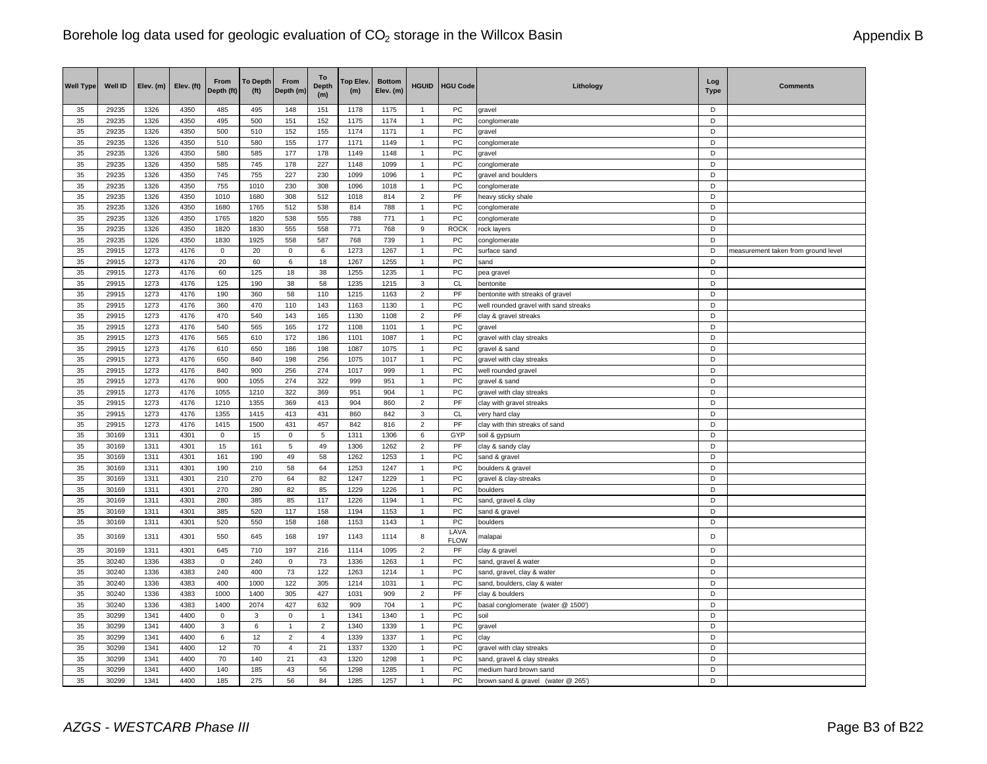| <b>Well Type</b> | Well ID        | Elev. (m)    | Elev. (ft)   | From<br>Depth (ft) | <b>To Depth</b><br>(f <sup>t</sup> ) | From<br>Depth (m) | To<br><b>Depth</b><br>(m) | Top Elev.<br>(m) | <b>Bottom</b><br>Elev. (m) | <b>HGUID</b>        | <b>HGU Code</b>     | Lithology                             | Log<br><b>Type</b> | <b>Comments</b>                     |
|------------------|----------------|--------------|--------------|--------------------|--------------------------------------|-------------------|---------------------------|------------------|----------------------------|---------------------|---------------------|---------------------------------------|--------------------|-------------------------------------|
| 35               | 29235          | 1326         | 4350         | 485                | 495                                  | 148               | 151                       | 1178             | 1175                       | $\mathbf{1}$        | PC                  | gravel                                | D                  |                                     |
| 35               | 29235          | 1326         | 4350         | 495                | 500                                  | 151               | 152                       | 1175             | 1174                       | $\mathbf{1}$        | PC                  | conglomerate                          | D                  |                                     |
| 35               | 29235          | 1326         | 4350         | 500                | 510                                  | 152               | 155                       | 1174             | 1171                       | $\mathbf{1}$        | PC                  | gravel                                | D                  |                                     |
| 35               | 29235          | 1326         | 4350         | 510                | 580                                  | 155               | 177                       | 1171             | 1149                       | $\mathbf{1}$        | PC                  | conglomerate                          | D                  |                                     |
| 35               | 29235          | 1326         | 4350         | 580                | 585                                  | 177               | 178                       | 1149             | 1148                       | $\mathbf{1}$        | PC                  | gravel                                | D                  |                                     |
| 35               | 29235          | 1326         | 4350         | 585                | 745                                  | 178               | 227                       | 1148             | 1099                       | $\mathbf{1}$        | PC                  | conglomerate                          | D                  |                                     |
| 35               | 29235          | 1326         | 4350         | 745                | 755                                  | 227               | 230                       | 1099             | 1096                       | $\mathbf{1}$        | PC                  | gravel and boulders                   | D                  |                                     |
| 35               | 29235          | 1326         | 4350         | 755                | 1010                                 | 230               | 308                       | 1096             | 1018                       | $\mathbf{1}$        | PC                  | conglomerate                          | D<br>D             |                                     |
| 35               | 29235<br>29235 | 1326         | 4350         | 1010<br>1680       | 1680                                 | 308               | 512                       | 1018             | 814                        | $\overline{2}$      | PF                  | heavy sticky shale                    | D                  |                                     |
| 35<br>35         | 29235          | 1326<br>1326 | 4350<br>4350 | 1765               | 1765<br>1820                         | 512<br>538        | 538<br>555                | 814<br>788       | 788<br>771                 | 1<br>$\overline{1}$ | PC<br>PC            | conglomerate                          | D                  |                                     |
| 35               | 29235          | 1326         | 4350         | 1820               | 1830                                 | 555               | 558                       | 771              | 768                        | 9                   | <b>ROCK</b>         | conglomerate                          | D                  |                                     |
| 35               | 29235          | 1326         | 4350         | 1830               | 1925                                 | 558               | 587                       | 768              | 739                        | 1                   | PC                  | rock layers<br>conglomerate           | D                  |                                     |
| 35               | 29915          | 1273         | 4176         | $\mathsf 0$        | 20                                   | $\mathbf 0$       | 6                         | 1273             | 1267                       | $\mathbf{1}$        | PC                  | surface sand                          | D                  | measurement taken from ground level |
| 35               | 29915          | 1273         | 4176         | 20                 | 60                                   | 6                 | 18                        | 1267             | 1255                       | $\mathbf{1}$        | PC                  | sand                                  | D                  |                                     |
| 35               | 29915          | 1273         | 4176         | 60                 | 125                                  | 18                | 38                        | 1255             | 1235                       | $\mathbf{1}$        | PC                  | pea gravel                            | D                  |                                     |
| 35               | 29915          | 1273         | 4176         | 125                | 190                                  | 38                | 58                        | 1235             | 1215                       | 3                   | <b>CL</b>           | bentonite                             | D                  |                                     |
| 35               | 29915          | 1273         | 4176         | 190                | 360                                  | 58                | 110                       | 1215             | 1163                       | $\overline{2}$      | PF                  | bentonite with streaks of gravel      | D                  |                                     |
| 35               | 29915          | 1273         | 4176         | 360                | 470                                  | 110               | 143                       | 1163             | 1130                       | $\mathbf{1}$        | PC                  | well rounded gravel with sand streaks | D                  |                                     |
| 35               | 29915          | 1273         | 4176         | 470                | 540                                  | 143               | 165                       | 1130             | 1108                       | $\overline{c}$      | PF                  | clay & gravel streaks                 | D                  |                                     |
| 35               | 29915          | 1273         | 4176         | 540                | 565                                  | 165               | 172                       | 1108             | 1101                       | $\mathbf{1}$        | PC                  | gravel                                | D                  |                                     |
| 35               | 29915          | 1273         | 4176         | 565                | 610                                  | 172               | 186                       | 1101             | 1087                       | $\mathbf{1}$        | ${\sf PC}$          | gravel with clay streaks              | D                  |                                     |
| 35               | 29915          | 1273         | 4176         | 610                | 650                                  | 186               | 198                       | 1087             | 1075                       | 1                   | PC                  | gravel & sand                         | D                  |                                     |
| 35               | 29915          | 1273         | 4176         | 650                | 840                                  | 198               | 256                       | 1075             | 1017                       | $\overline{1}$      | PC                  | gravel with clay streaks              | D                  |                                     |
| 35               | 29915          | 1273         | 4176         | 840                | 900                                  | 256               | 274                       | 1017             | 999                        | $\mathbf{1}$        | PC                  | well rounded gravel                   | D                  |                                     |
| 35               | 29915          | 1273         | 4176         | 900                | 1055                                 | 274               | 322                       | 999              | 951                        | $\mathbf{1}$        | PC                  | gravel & sand                         | D                  |                                     |
| 35               | 29915          | 1273         | 4176         | 1055               | 1210                                 | 322               | 369                       | 951              | 904                        | $\mathbf{1}$        | PC                  | gravel with clay streaks              | D                  |                                     |
| 35               | 29915          | 1273         | 4176         | 1210               | 1355                                 | 369               | 413                       | 904              | 860                        | $\overline{2}$      | PF                  | clay with gravel streaks              | D                  |                                     |
| 35               | 29915          | 1273         | 4176         | 1355               | 1415                                 | 413               | 431                       | 860              | 842                        | 3                   | <b>CL</b>           | very hard clay                        | D                  |                                     |
| 35               | 29915          | 1273         | 4176         | 1415               | 1500                                 | 431               | 457                       | 842              | 816                        | $\overline{2}$      | PF                  | clay with thin streaks of sand        | D                  |                                     |
| 35               | 30169          | 1311         | 4301         | $\mathbf 0$        | 15                                   | $\mathbf 0$       | $5\phantom{.0}$           | 1311             | 1306                       | 6                   | GYP                 | soil & gypsum                         | D                  |                                     |
| 35               | 30169          | 1311         | 4301         | 15                 | 161                                  | 5                 | 49                        | 1306             | 1262                       | $\overline{2}$      | PF                  | clay & sandy clay                     | D                  |                                     |
| 35               | 30169          | 1311         | 4301         | 161                | 190                                  | 49                | 58                        | 1262             | 1253                       | 1                   | PC                  | sand & gravel                         | D                  |                                     |
| 35               | 30169          | 1311         | 4301         | 190                | 210                                  | 58                | 64                        | 1253             | 1247                       | $\mathbf{1}$        | PC                  | boulders & gravel                     | D                  |                                     |
| 35               | 30169          | 1311         | 4301         | 210                | 270                                  | 64                | 82                        | 1247             | 1229                       | $\overline{1}$      | PC                  | gravel & clay-streaks                 | D                  |                                     |
| 35               | 30169          | 1311         | 4301         | 270                | 280                                  | 82                | 85                        | 1229             | 1226                       | $\mathbf{1}$        | PC                  | boulders                              | D                  |                                     |
| 35               | 30169          | 1311         | 4301         | 280                | 385                                  | 85                | 117                       | 1226             | 1194                       | $\overline{1}$      | PC                  | sand, gravel & clay                   | D                  |                                     |
| 35               | 30169          | 1311         | 4301         | 385                | 520                                  | 117               | 158                       | 1194             | 1153                       | $\mathbf{1}$        | PC                  | sand & gravel                         | D                  |                                     |
| 35               | 30169          | 1311         | 4301         | 520                | 550                                  | 158               | 168                       | 1153             | 1143                       | $\mathbf{1}$        | PC                  | boulders                              | D                  |                                     |
| 35               | 30169          | 1311         | 4301         | 550                | 645                                  | 168               | 197                       | 1143             | 1114                       | 8                   | LAVA<br><b>FLOW</b> | malapai                               | D                  |                                     |
| 35               | 30169          | 1311         | 4301         | 645                | 710                                  | 197               | 216                       | 1114             | 1095                       | $\overline{2}$      | PF                  | clay & gravel                         | D                  |                                     |
| 35               | 30240          | 1336         | 4383         | $\mathsf 0$        | 240                                  | $\mathbf{0}$      | 73                        | 1336             | 1263                       | $\mathbf{1}$        | PC                  | sand, gravel & water                  | D                  |                                     |
| 35               | 30240          | 1336         | 4383         | 240                | 400                                  | 73                | 122                       | 1263             | 1214                       | 1                   | PC                  | sand, gravel, clay & water            | D                  |                                     |
| 35               | 30240          | 1336         | 4383         | 400                | 1000                                 | 122               | 305                       | 1214             | 1031                       | $\mathbf{1}$        | PC                  | sand, boulders, clay & water          | D                  |                                     |
| 35               | 30240          | 1336         | 4383         | 1000               | 1400                                 | 305               | 427                       | 1031             | 909                        | $\overline{2}$      | PF                  | clay & boulders                       | D                  |                                     |
| 35               | 30240          | 1336         | 4383         | 1400               | 2074                                 | 427               | 632                       | 909              | 704                        | 1                   | PC                  | basal conglomerate (water @ 1500')    | D                  |                                     |
| 35               | 30299          | 1341         | 4400         | 0                  | 3                                    | $\mathbf 0$       | $\overline{1}$            | 1341             | 1340                       | $\mathbf{1}$        | PC                  | soil                                  | D                  |                                     |
| 35               | 30299          | 1341         | 4400         | $\mathbf{3}$       | 6                                    | $\mathbf{1}$      | $\overline{2}$            | 1340             | 1339                       | 1                   | PC                  | gravel                                | D                  |                                     |
| 35               | 30299          | 1341         | 4400         | 6                  | 12                                   | $\overline{2}$    | $\overline{4}$            | 1339             | 1337                       | $\mathbf{1}$        | PC                  | clay                                  | D                  |                                     |
| 35               | 30299          | 1341         | 4400         | 12                 | 70                                   | 4                 | 21                        | 1337             | 1320                       | $\mathbf{1}$        | PC                  | gravel with clay streaks              | D                  |                                     |
| 35               | 30299          | 1341         | 4400         | 70                 | 140                                  | 21                | 43                        | 1320             | 1298                       | $\mathbf{1}$        | PC                  | sand, gravel & clay streaks           | D                  |                                     |
| 35               | 30299          | 1341         | 4400         | 140                | 185                                  | 43                | 56                        | 1298             | 1285                       | $\overline{1}$      | PC                  | medium hard brown sand                | D                  |                                     |
| 35               | 30299          | 1341         | 4400         | 185                | 275                                  | 56                | 84                        | 1285             | 1257                       | $\mathbf{1}$        | PC                  | brown sand & gravel (water @ 265')    | D                  |                                     |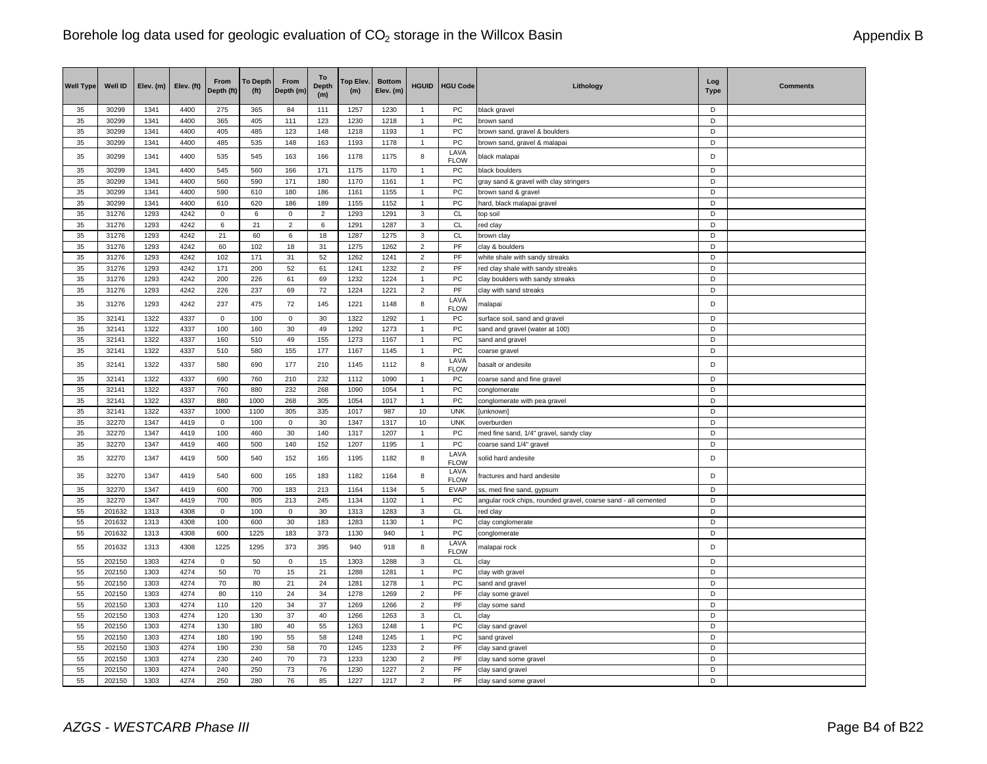| <b>Well Type</b> | <b>Well ID</b>   | Elev. (m)    | Elev. (ft)   | From<br>Depth (ft) | <b>To Depth</b><br>(f <sup>t</sup> ) | From<br>Depth (m) | To<br><b>Depth</b><br>(m) | Top Elev.<br>(m) | <b>Bottom</b><br>Elev. (m) | <b>HGUID</b>                 | <b>HGU Code</b>                  | Lithology                                                      | Log<br><b>Type</b> | <b>Comments</b> |
|------------------|------------------|--------------|--------------|--------------------|--------------------------------------|-------------------|---------------------------|------------------|----------------------------|------------------------------|----------------------------------|----------------------------------------------------------------|--------------------|-----------------|
| 35               | 30299            | 1341         | 4400         | 275                | 365                                  | 84                | 111                       | 1257             | 1230                       | $\mathbf{1}$                 | PC                               | black gravel                                                   | D                  |                 |
| 35               | 30299            | 1341         | 4400         | 365                | 405                                  | 111               | 123                       | 1230             | 1218                       | $\mathbf{1}$                 | PC                               | brown sand                                                     | D                  |                 |
| 35<br>35         | 30299<br>30299   | 1341<br>1341 | 4400<br>4400 | 405<br>485         | 485<br>535                           | 123<br>148        | 148                       | 1218<br>1193     | 1193<br>1178               | $\mathbf{1}$<br>$\mathbf{1}$ | PC<br>PC                         | brown sand, gravel & boulders                                  | D<br>D             |                 |
| 35               | 30299            | 1341         | 4400         | 535                | 545                                  | 163               | 163<br>166                | 1178             | 1175                       | 8                            | LAVA                             | brown sand, gravel & malapai<br>black malapai                  | D                  |                 |
| 35               | 30299            | 1341         | 4400         | 545                | 560                                  | 166               | 171                       | 1175             | 1170                       | $\overline{1}$               | <b>FLOW</b><br>PC                | black boulders                                                 | D                  |                 |
| 35               | 30299            | 1341         | 4400         | 560                | 590                                  | 171               | 180                       | 1170             | 1161                       | $\mathbf{1}$                 | PC                               | gray sand & gravel with clay stringers                         | D                  |                 |
| 35               | 30299            | 1341         | 4400         | 590                | 610                                  | 180               | 186                       | 1161             | 1155                       | $\overline{1}$               | PC                               | brown sand & gravel                                            | $\mathsf D$        |                 |
| 35               | 30299            | 1341         | 4400         | 610                | 620                                  | 186               | 189                       | 1155             | 1152                       | $\mathbf{1}$                 | PC                               | hard, black malapai gravel                                     | D                  |                 |
| 35               | 31276            | 1293         | 4242         | $\Omega$           | 6                                    | $\mathsf 0$       | $\overline{2}$            | 1293             | 1291                       | 3                            | CL                               | top soil                                                       | D                  |                 |
| 35               | 31276            | 1293         | 4242         | 6                  | 21                                   | $\overline{2}$    | 6                         | 1291             | 1287                       | 3                            | CL                               | red clay                                                       | D                  |                 |
| 35               | 31276            | 1293         | 4242         | 21                 | 60                                   | 6                 | 18                        | 1287             | 1275                       | 3                            | CL                               | brown clay                                                     | D                  |                 |
| 35               | 31276            | 1293         | 4242         | 60                 | 102                                  | 18                | 31                        | 1275             | 1262                       | $\overline{2}$               | PF                               | clay & boulders                                                | D                  |                 |
| 35               | 31276            | 1293         | 4242         | 102                | 171                                  | 31                | 52                        | 1262             | 1241                       | $\overline{2}$               | PF                               | white shale with sandy streaks                                 | D                  |                 |
| 35               | 31276            | 1293         | 4242         | 171                | 200                                  | 52                | 61                        | 1241             | 1232                       | $\overline{2}$               | PF                               | red clay shale with sandy streaks                              | D                  |                 |
| 35               | 31276            | 1293         | 4242         | 200                | 226                                  | 61                | 69                        | 1232             | 1224                       | $\mathbf{1}$                 | PC                               | clay boulders with sandy streaks                               | D                  |                 |
| 35               | 31276            | 1293         | 4242         | 226                | 237                                  | 69                | 72                        | 1224             | 1221                       | $\overline{2}$               | PF                               | clay with sand streaks                                         | D                  |                 |
| 35               | 31276            | 1293         | 4242         | 237                | 475                                  | 72                | 145                       | 1221             | 1148                       | 8                            | LAVA<br><b>FLOW</b>              | malapai                                                        | D                  |                 |
| 35               | 32141            | 1322         | 4337         | $\mathbf 0$        | 100                                  | $\mathbf 0$       | 30                        | 1322             | 1292                       | $\mathbf{1}$                 | PC                               | surface soil, sand and gravel                                  | D                  |                 |
| 35               | 32141            | 1322         | 4337         | 100                | 160                                  | 30                | 49                        | 1292             | 1273                       | $\mathbf{1}$                 | PC                               | sand and gravel (water at 100)                                 | D                  |                 |
| 35               | 32141            | 1322         | 4337         | 160                | 510                                  | 49                | 155                       | 1273             | 1167                       | 1                            | PC                               | sand and gravel                                                | $\mathsf D$        |                 |
| 35               | 32141            | 1322         | 4337         | 510                | 580                                  | 155               | 177                       | 1167             | 1145                       | $\mathbf{1}$                 | ${\sf PC}$                       | coarse gravel                                                  | D                  |                 |
| 35               | 32141            | 1322         | 4337         | 580                | 690                                  | 177               | 210                       | 1145             | 1112                       | 8                            | LAVA<br><b>FLOW</b>              | basalt or andesite                                             | D                  |                 |
| 35               | 32141            | 1322         | 4337         | 690                | 760                                  | 210               | 232                       | 1112             | 1090                       | $\mathbf{1}$                 | ${\sf PC}$                       | coarse sand and fine gravel                                    | D                  |                 |
| 35               | 32141            | 1322         | 4337         | 760                | 880                                  | 232               | 268                       | 1090             | 1054                       | 1                            | PC                               | conglomerate                                                   | D                  |                 |
| 35               | 32141            | 1322         | 4337         | 880                | 1000                                 | 268               | 305                       | 1054             | 1017                       | 1                            | PC                               | conglomerate with pea gravel                                   | D                  |                 |
| 35               | 32141            | 1322         | 4337         | 1000               | 1100                                 | 305               | 335                       | 1017             | 987                        | 10                           | <b>UNK</b>                       | [unknown]                                                      | D                  |                 |
| 35               | 32270            | 1347         | 4419         | $\mathbf 0$        | 100                                  | $\mathsf 0$       | 30                        | 1347             | 1317                       | 10                           | <b>UNK</b>                       | overburden                                                     | D                  |                 |
| 35               | 32270            | 1347         | 4419         | 100                | 460                                  | 30                | 140                       | 1317             | 1207                       | $\overline{1}$               | PC                               | med fine sand, 1/4" gravel, sandy clay                         | D                  |                 |
| 35               | 32270            | 1347         | 4419         | 460                | 500                                  | 140               | 152                       | 1207             | 1195                       | $\mathbf{1}$                 | PC                               | coarse sand 1/4" gravel                                        | D                  |                 |
| 35               | 32270            | 1347         | 4419         | 500                | 540                                  | 152               | 165                       | 1195             | 1182                       | 8                            | LAVA<br><b>FLOW</b>              | solid hard andesite                                            | D                  |                 |
| 35               | 32270            | 1347         | 4419         | 540                | 600                                  | 165               | 183                       | 1182             | 1164                       | 8                            | LAVA<br><b>FLOW</b>              | fractures and hard andesite                                    | D                  |                 |
| 35               | 32270            | 1347         | 4419         | 600                | 700                                  | 183               | 213                       | 1164             | 1134                       | 5                            | EVAP                             | ss, med fine sand, gypsum                                      | D                  |                 |
| 35               | 32270            | 1347         | 4419         | 700                | 805                                  | 213               | 245                       | 1134             | 1102                       | $\mathbf{1}$                 | PC                               | angular rock chips, rounded gravel, coarse sand - all cemented | D                  |                 |
| 55               | 201632           | 1313         | 4308         | $\mathbf 0$        | 100                                  | $\mathbf 0$       | 30                        | 1313             | 1283                       | 3                            | CL                               | red clay                                                       | D                  |                 |
| 55               | 201632           | 1313         | 4308         | 100                | 600                                  | 30                | 183                       | 1283             | 1130                       | 1                            | PC                               | clay conglomerate                                              | D                  |                 |
| 55<br>55         | 201632<br>201632 | 1313<br>1313 | 4308<br>4308 | 600<br>1225        | 1225<br>1295                         | 183<br>373        | 373<br>395                | 1130<br>940      | 940<br>918                 | $\mathbf{1}$<br>8            | PC<br>LAVA                       | conglomerate<br>malapai rock                                   | D<br>D             |                 |
|                  |                  |              |              |                    |                                      |                   |                           |                  |                            |                              | <b>FLOW</b>                      |                                                                |                    |                 |
| 55               | 202150           | 1303         | 4274         | $\mathbf 0$        | 50                                   | $\mathbf 0$       | 15                        | 1303             | 1288                       | 3                            | CL                               | clay                                                           | D                  |                 |
| 55               | 202150           | 1303         | 4274         | 50                 | 70                                   | 15                | 21                        | 1288             | 1281                       | 1<br>$\overline{1}$          | PC                               | clay with gravel                                               | D                  |                 |
| 55               | 202150<br>202150 | 1303         | 4274<br>4274 | 70                 | 80<br>110                            | 21<br>24          | 24                        | 1281<br>1278     | 1278                       | $\overline{2}$               | PC<br>$\ensuremath{\mathsf{PF}}$ | sand and gravel                                                | D<br>D             |                 |
| 55               |                  | 1303<br>1303 | 4274         | 80<br>110          | 120                                  | 34                | 34                        | 1269             | 1269<br>1266               |                              | PF                               | clay some gravel                                               | D                  |                 |
| 55<br>55         | 202150<br>202150 | 1303         | 4274         | 120                | 130                                  | 37                | 37<br>40                  | 1266             | 1263                       | $\overline{2}$<br>3          | CL                               | clay some sand                                                 | D                  |                 |
| 55               | 202150           | 1303         | 4274         | 130                | 180                                  | 40                | 55                        | 1263             | 1248                       | $\mathbf{1}$                 | PC                               | clay<br>clay sand gravel                                       | D                  |                 |
| 55               | 202150           | 1303         | 4274         | 180                | 190                                  | 55                | 58                        | 1248             | 1245                       | 1                            | PC                               | sand gravel                                                    | D                  |                 |
| 55               | 202150           | 1303         | 4274         | 190                | 230                                  | 58                | 70                        | 1245             | 1233                       | $\overline{2}$               | PF                               | clay sand gravel                                               | D                  |                 |
| 55               | 202150           | 1303         | 4274         | 230                | 240                                  | 70                | 73                        | 1233             | 1230                       | $\overline{2}$               | PF                               | clay sand some gravel                                          | D                  |                 |
| 55               | 202150           | 1303         | 4274         | 240                | 250                                  | 73                | 76                        | 1230             | 1227                       | $\overline{2}$               | PF                               | clay sand gravel                                               | D                  |                 |
| 55               | 202150           | 1303         | 4274         | 250                | 280                                  | 76                | 85                        | 1227             | 1217                       | $\overline{2}$               | PF                               | clay sand some gravel                                          | D                  |                 |
|                  |                  |              |              |                    |                                      |                   |                           |                  |                            |                              |                                  |                                                                |                    |                 |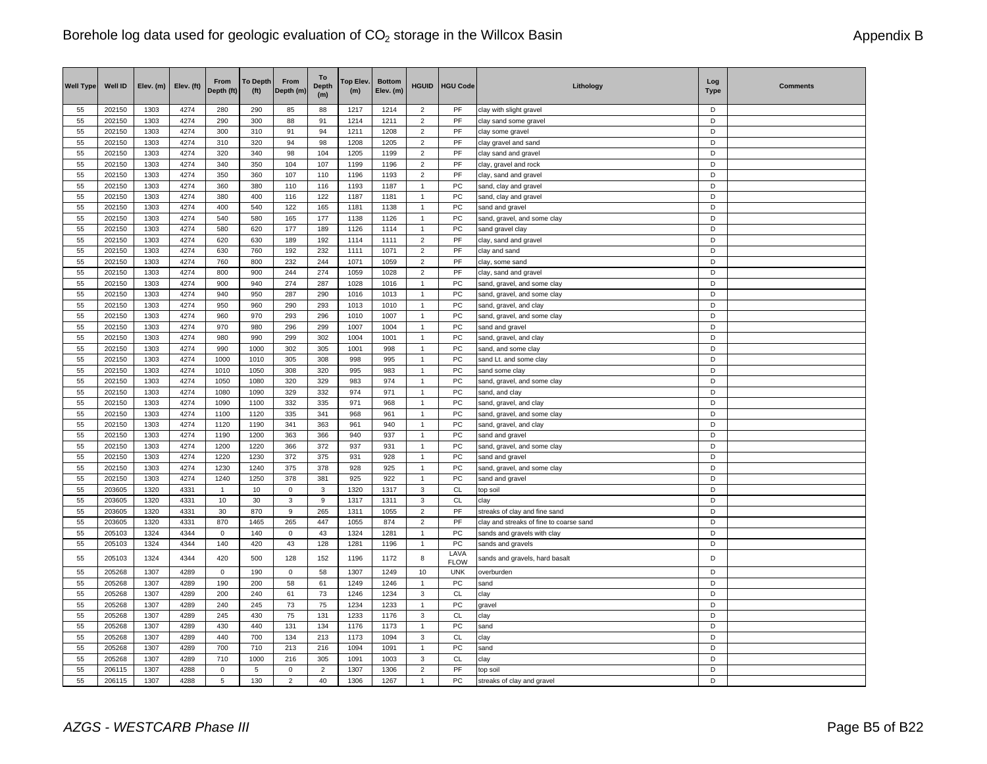| <b>Well Type</b> | Well ID          | Elev. (m)    | Elev. (ft)   | From<br>Depth (ft) | <b>To Depth</b><br>(f <sup>t</sup> ) | From<br>Depth (m) | To<br><b>Depth</b><br>(m) | Top Elev.<br>(m) | <b>Bottom</b><br>Elev. (m) | <b>HGUID</b>                     | <b>HGU Code</b>            | Lithology                                             | Log<br><b>Type</b> | <b>Comments</b> |
|------------------|------------------|--------------|--------------|--------------------|--------------------------------------|-------------------|---------------------------|------------------|----------------------------|----------------------------------|----------------------------|-------------------------------------------------------|--------------------|-----------------|
| 55               | 202150           | 1303         | 4274         | 280                | 290                                  | 85                | 88                        | 1217             | 1214                       | $\overline{\mathbf{c}}$          | PF                         | clay with slight gravel                               | D                  |                 |
| 55               | 202150           | 1303         | 4274         | 290                | 300                                  | 88                | 91                        | 1214             | 1211                       | $\overline{2}$                   | PF                         | clay sand some gravel                                 | D                  |                 |
| 55               | 202150           | 1303         | 4274         | 300                | 310                                  | 91                | 94                        | 1211             | 1208                       | $\overline{2}$                   | PF                         | clay some gravel                                      | D                  |                 |
| 55               | 202150           | 1303         | 4274         | 310                | 320                                  | 94                | 98                        | 1208             | 1205                       | $\overline{\mathbf{c}}$          | PF                         | clay gravel and sand                                  | D                  |                 |
| 55               | 202150           | 1303         | 4274         | 320                | 340                                  | 98                | 104                       | 1205             | 1199                       | $\overline{c}$                   | PF                         | clay sand and gravel                                  | D                  |                 |
| 55               | 202150           | 1303         | 4274         | 340                | 350                                  | 104               | 107                       | 1199             | 1196                       | $\overline{2}$                   | PF                         | clay, gravel and rock                                 | D                  |                 |
| 55               | 202150           | 1303         | 4274         | 350                | 360                                  | 107               | 110                       | 1196             | 1193                       | $\overline{\mathbf{c}}$          | PF                         | clay, sand and gravel                                 | D                  |                 |
| 55               | 202150           | 1303         | 4274         | 360                | 380                                  | 110               | 116                       | 1193             | 1187                       | $\mathbf{1}$                     | PC                         | sand, clay and gravel                                 | D                  |                 |
| 55               | 202150           | 1303         | 4274         | 380                | 400                                  | 116               | 122                       | 1187             | 1181                       | $\overline{1}$                   | PC                         | sand, clay and gravel                                 | D                  |                 |
| 55               | 202150           | 1303         | 4274         | 400                | 540                                  | 122               | 165                       | 1181             | 1138                       | $\mathbf{1}$                     | PC                         | sand and gravel                                       | D                  |                 |
| 55               | 202150           | 1303         | 4274         | 540                | 580                                  | 165               | 177                       | 1138             | 1126                       | $\mathbf{1}$                     | PC                         | sand, gravel, and some clay                           | D                  |                 |
| 55               | 202150           | 1303         | 4274         | 580                | 620                                  | 177               | 189                       | 1126             | 1114                       | $\mathbf{1}$                     | PC                         | sand gravel clay                                      | D                  |                 |
| 55               | 202150           | 1303         | 4274         | 620                | 630                                  | 189               | 192                       | 1114             | 1111                       | $\overline{2}$                   | PF                         | clay, sand and gravel                                 | D<br>D             |                 |
| 55               | 202150           | 1303         | 4274         | 630                | 760                                  | 192               | 232                       | 1111             | 1071                       | $\overline{2}$                   | PF                         | clay and sand                                         |                    |                 |
| 55<br>55         | 202150<br>202150 | 1303<br>1303 | 4274<br>4274 | 760<br>800         | 800<br>900                           | 232<br>244        | 244<br>274                | 1071<br>1059     | 1059                       | $\overline{2}$                   | PF<br>PF                   | clay, some sand                                       | D<br>D             |                 |
|                  |                  |              |              |                    |                                      |                   |                           |                  | 1028                       | $\overline{2}$<br>$\overline{1}$ |                            | clay, sand and gravel                                 | D                  |                 |
| 55               | 202150           | 1303         | 4274         | 900<br>940         | 940                                  | 274               | 287                       | 1028             | 1016                       |                                  | PC                         | sand, gravel, and some clay                           | D                  |                 |
| 55<br>55         | 202150<br>202150 | 1303<br>1303 | 4274<br>4274 | 950                | 950<br>960                           | 287<br>290        | 290<br>293                | 1016<br>1013     | 1013<br>1010               | $\mathbf{1}$<br>1                | PC<br>PC                   | sand, gravel, and some clay<br>sand, gravel, and clay | D                  |                 |
| 55               | 202150           | 1303         | 4274         | 960                | 970                                  | 293               | 296                       | 1010             | 1007                       | $\mathbf{1}$                     | PC                         |                                                       | D                  |                 |
| 55               | 202150           | 1303         | 4274         | 970                | 980                                  | 296               | 299                       | 1007             | 1004                       | $\mathbf{1}$                     | PC                         | sand, gravel, and some clay                           | D                  |                 |
| 55               | 202150           | 1303         | 4274         | 980                | 990                                  | 299               | 302                       | 1004             |                            | $\mathbf{1}$                     | PC                         | sand and gravel                                       | D                  |                 |
| 55               | 202150           | 1303         | 4274         | 990                | 1000                                 | 302               | 305                       | 1001             | 1001<br>998                | $\mathbf{1}$                     | ${\sf PC}$                 | sand, gravel, and clay<br>sand, and some clay         | D                  |                 |
| 55               | 202150           | 1303         | 4274         | 1000               | 1010                                 | 305               | 308                       | 998              | 995                        | $\mathbf{1}$                     | PC                         | sand Lt. and some clay                                | D                  |                 |
| 55               | 202150           | 1303         | 4274         | 1010               | 1050                                 | 308               | 320                       | 995              | 983                        | $\mathbf{1}$                     | ${\sf PC}$                 | sand some clay                                        | D                  |                 |
| 55               | 202150           | 1303         | 4274         | 1050               | 1080                                 | 320               | 329                       | 983              | 974                        | 1                                | PC                         | sand, gravel, and some clay                           | D                  |                 |
| 55               | 202150           | 1303         | 4274         | 1080               | 1090                                 | 329               | 332                       | 974              | 971                        | $\overline{1}$                   | PC                         | sand, and clay                                        | D                  |                 |
| 55               | 202150           | 1303         | 4274         | 1090               | 1100                                 | 332               | 335                       | 971              | 968                        | $\overline{1}$                   | PC                         | sand, gravel, and clay                                | D                  |                 |
| 55               | 202150           | 1303         | 4274         | 1100               | 1120                                 | 335               | 341                       | 968              | 961                        | $\mathbf{1}$                     | PC                         | sand, gravel, and some clay                           | D                  |                 |
| 55               | 202150           | 1303         | 4274         | 1120               | 1190                                 | 341               | 363                       | 961              | 940                        | $\overline{1}$                   | PC                         | sand, gravel, and clay                                | D                  |                 |
| 55               | 202150           | 1303         | 4274         | 1190               | 1200                                 | 363               | 366                       | 940              | 937                        | $\mathbf{1}$                     | PC                         | sand and gravel                                       | D                  |                 |
| 55               | 202150           | 1303         | 4274         | 1200               | 1220                                 | 366               | 372                       | 937              | 931                        | $\mathbf{1}$                     | PC                         | sand, gravel, and some clay                           | D                  |                 |
| 55               | 202150           | 1303         | 4274         | 1220               | 1230                                 | 372               | 375                       | 931              | 928                        | $\mathbf{1}$                     | PC                         | sand and gravel                                       | D                  |                 |
| 55               | 202150           | 1303         | 4274         | 1230               | 1240                                 | 375               | 378                       | 928              | 925                        | $\mathbf{1}$                     | PC                         | sand, gravel, and some clay                           | D                  |                 |
| 55               | 202150           | 1303         | 4274         | 1240               | 1250                                 | 378               | 381                       | 925              | 922                        | $\mathbf{1}$                     | PC                         | sand and gravel                                       | D                  |                 |
| 55               | 203605           | 1320         | 4331         | $\mathbf{1}$       | 10                                   | $\mathbf 0$       | $\mathbf{3}$              | 1320             | 1317                       | 3                                | <b>CL</b>                  | top soil                                              | D                  |                 |
| 55               | 203605           | 1320         | 4331         | 10                 | 30                                   | 3                 | 9                         | 1317             | 1311                       | 3                                | CL                         | clay                                                  | D                  |                 |
| 55               | 203605           | 1320         | 4331         | 30                 | 870                                  | 9                 | 265                       | 1311             | 1055                       | $\overline{2}$                   | PF                         | streaks of clay and fine sand                         | D                  |                 |
| 55               | 203605           | 1320         | 4331         | 870                | 1465                                 | 265               | 447                       | 1055             | 874                        | $\overline{c}$                   | PF                         | clay and streaks of fine to coarse sand               | D                  |                 |
| 55               | 205103           | 1324         | 4344         | $\mathsf 0$        | 140                                  | 0                 | 43                        | 1324             | 1281                       | $\overline{1}$                   | PC                         | sands and gravels with clay                           | D                  |                 |
| 55               | 205103           | 1324         | 4344         | 140                | 420                                  | 43                | 128                       | 1281             | 1196                       | $\mathbf{1}$                     | PC                         | sands and gravels                                     | D                  |                 |
| 55               | 205103           | 1324         | 4344         | 420                | 500                                  | 128               | 152                       | 1196             | 1172                       | 8                                | LAVA<br><b>FLOW</b>        | sands and gravels, hard basalt                        | D                  |                 |
| 55               | 205268           | 1307         | 4289         | 0                  | 190                                  | 0                 | 58                        | 1307             | 1249                       | 10                               | <b>UNK</b>                 | overburden                                            | D                  |                 |
| 55               | 205268           | 1307         | 4289         | 190                | 200                                  | 58                | 61                        | 1249             | 1246                       | $\overline{1}$                   | PC                         | sand                                                  | D                  |                 |
| 55               | 205268           | 1307         | 4289         | 200                | 240                                  | 61                | 73                        | 1246             | 1234                       | 3                                | $\mathsf{CL}$              | clay                                                  | D                  |                 |
| 55               | 205268           | 1307         | 4289         | 240                | 245                                  | 73                | 75                        | 1234             | 1233                       | 1                                | PC                         | gravel                                                | D                  |                 |
| 55               | 205268           | 1307         | 4289         | 245                | 430                                  | 75                | 131                       | 1233             | 1176                       | 3                                | <b>CL</b>                  | clay                                                  | D                  |                 |
| 55               | 205268           | 1307         | 4289         | 430                | 440                                  | 131               | 134                       | 1176             | 1173                       | $\mathbf{1}$                     | PC                         | sand                                                  | D                  |                 |
| 55               | 205268           | 1307         | 4289         | 440                | 700                                  | 134               | 213                       | 1173             | 1094                       | 3                                | <b>CL</b>                  | clay                                                  | D                  |                 |
| 55               | 205268           | 1307         | 4289         | 700                | 710                                  | 213               | 216                       | 1094             | 1091                       | $\mathbf{1}$                     | PC                         | sand                                                  | D                  |                 |
| 55               | 205268           | 1307         | 4289         | 710                | 1000                                 | 216               | 305                       | 1091             | 1003                       | 3                                | CL                         | clay                                                  | D                  |                 |
| 55               | 206115           | 1307         | 4288         | $\mathsf 0$        | 5                                    | $\mathsf 0$       | $\overline{2}$            | 1307             | 1306                       | $\overline{\mathbf{c}}$          | $\ensuremath{\mathsf{PF}}$ | top soil                                              | D                  |                 |
| 55               | 206115           | 1307         | 4288         | 5                  | 130                                  | $\overline{2}$    | 40                        | 1306             | 1267                       | $\mathbf{1}$                     | PC                         | streaks of clay and gravel                            | D                  |                 |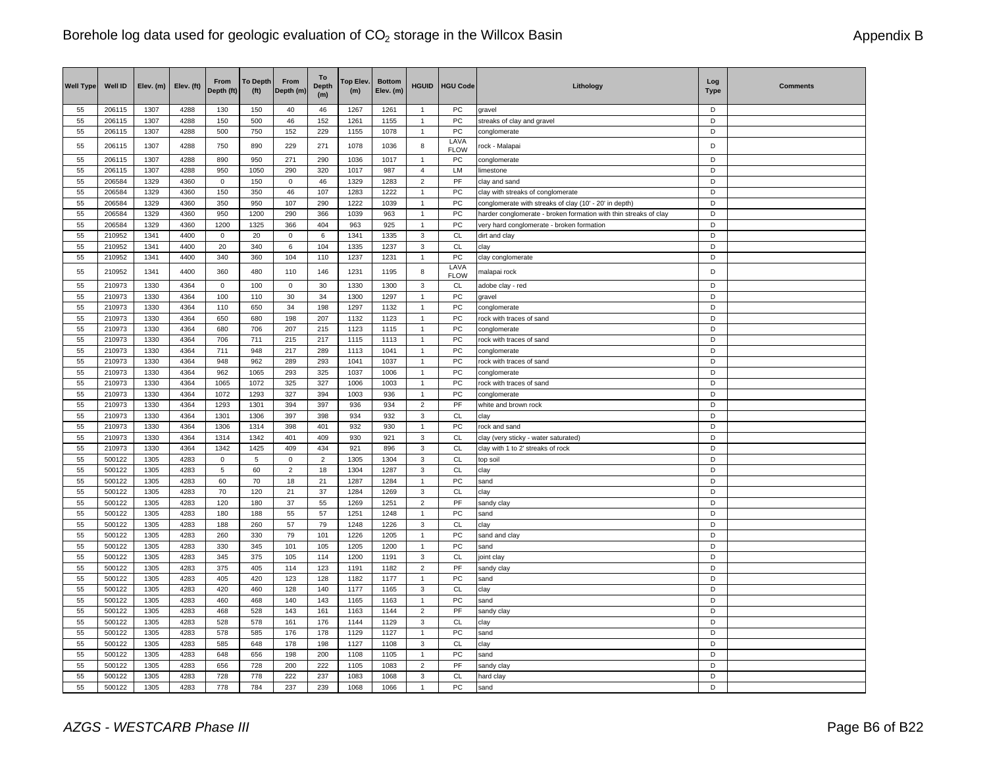| <b>Well Type</b> | Well ID          | Elev. (m)    | Elev. (ft)   | From<br>Depth (ft) | <b>To Depth</b><br>(f <sup>t</sup> ) | From<br>Depth (m) | To<br><b>Depth</b><br>(m) | Top Elev.<br>(m) | <b>Bottom</b><br>Elev. (m) | <b>HGUID</b>                   | <b>HGU Code</b>     | Lithology                                                        | Log<br><b>Type</b> | <b>Comments</b> |
|------------------|------------------|--------------|--------------|--------------------|--------------------------------------|-------------------|---------------------------|------------------|----------------------------|--------------------------------|---------------------|------------------------------------------------------------------|--------------------|-----------------|
| 55               | 206115           | 1307         | 4288         | 130                | 150                                  | 40                | 46                        | 1267             | 1261                       | $\overline{1}$                 | PC                  | gravel                                                           | D                  |                 |
| 55               | 206115           | 1307         | 4288         | 150                | 500                                  | 46                | 152                       | 1261             | 1155                       | $\mathbf{1}$                   | PC                  | streaks of clay and gravel                                       | D                  |                 |
| 55               | 206115           | 1307         | 4288         | 500                | 750                                  | 152               | 229                       | 1155             | 1078                       | $\mathbf{1}$                   | PC                  | conglomerate                                                     | D                  |                 |
| 55               | 206115           | 1307         | 4288         | 750                | 890                                  | 229               | 271                       | 1078             | 1036                       | 8                              | LAVA<br><b>FLOW</b> | rock - Malapai                                                   | D                  |                 |
| 55               | 206115           | 1307         | 4288         | 890                | 950                                  | 271               | 290                       | 1036             | 1017                       | $\overline{1}$                 | PC                  | conglomerate                                                     | D                  |                 |
| 55               | 206115           | 1307         | 4288         | 950                | 1050                                 | 290               | 320                       | 1017             | 987                        | 4                              | LM                  | limestone                                                        | D                  |                 |
| 55               | 206584           | 1329         | 4360         | $\mathsf 0$        | 150                                  | $\mathsf 0$       | 46                        | 1329             | 1283                       | $\overline{2}$                 | PF                  | clay and sand                                                    | D                  |                 |
| 55               | 206584           | 1329         | 4360         | 150                | 350                                  | 46                | 107                       | 1283             | 1222                       | $\mathbf{1}$                   | PC                  | clay with streaks of conglomerate                                | D                  |                 |
| 55               | 206584           | 1329         | 4360         | 350                | 950                                  | 107               | 290                       | 1222             | 1039                       | $\overline{1}$                 | PC                  | conglomerate with streaks of clay (10' - 20' in depth)           | D                  |                 |
| 55               | 206584           | 1329         | 4360         | 950                | 1200                                 | 290               | 366                       | 1039             | 963                        | $\overline{1}$                 | PC                  | harder conglomerate - broken formation with thin streaks of clay | D                  |                 |
| 55               | 206584           | 1329         | 4360         | 1200               | 1325                                 | 366               | 404                       | 963              | 925                        | $\mathbf{1}$                   | PC                  | very hard conglomerate - broken formation                        | D                  |                 |
| 55               | 210952           | 1341         | 4400         | $\mathsf 0$        | 20                                   | $\mathsf 0$       | 6                         | 1341             | 1335                       | $\mathbf 3$                    | CL                  | dirt and clay                                                    | D                  |                 |
| 55               | 210952           | 1341         | 4400         | 20                 | 340                                  | 6                 | 104                       | 1335             | 1237                       | $\mathbf{3}$                   | <b>CL</b>           | clay                                                             | $\mathsf D$        |                 |
| 55               | 210952           | 1341         | 4400         | 340                | 360                                  | 104               | 110                       | 1237             | 1231                       | $\overline{1}$                 | PC                  | clay conglomerate                                                | D                  |                 |
| 55               | 210952           | 1341         | 4400         | 360                | 480                                  | 110               | 146                       | 1231             | 1195                       | 8                              | LAVA<br><b>FLOW</b> | malapai rock                                                     | D                  |                 |
| 55               | 210973           | 1330         | 4364         | $\mathsf 0$        | 100                                  | $\mathsf 0$       | $30\,$                    | 1330             | 1300                       | $\mathbf 3$                    | CL                  | adobe clay - red                                                 | D                  |                 |
| 55               | 210973           | 1330         | 4364         | 100                | 110                                  | 30                | 34                        | 1300             | 1297                       | $\overline{1}$                 | PC                  | gravel                                                           | D                  |                 |
| 55               | 210973           | 1330         | 4364         | 110                | 650                                  | 34                | 198                       | 1297             | 1132                       | $\overline{1}$                 | PC                  | conglomerate                                                     | D                  |                 |
| 55               | 210973           | 1330         | 4364         | 650                | 680                                  | 198               | 207                       | 1132             | 1123                       | $\mathbf{1}$                   | PC                  | rock with traces of sand                                         | D                  |                 |
| 55               | 210973           | 1330         | 4364         | 680                | 706                                  | 207               | 215                       | 1123             | 1115                       | $\overline{1}$                 | PC                  | conglomerate                                                     | D                  |                 |
| 55               | 210973           | 1330         | 4364         | 706                | 711                                  | 215               | 217                       | 1115             | 1113                       | $\overline{1}$                 | PC                  | rock with traces of sand                                         | D                  |                 |
| 55               | 210973           | 1330         | 4364         | 711                | 948                                  | 217               | 289                       | 1113             | 1041                       | 1                              | PC                  | conglomerate                                                     | D                  |                 |
| 55               | 210973           | 1330         | 4364         | 948                | 962                                  | 289               | 293                       | 1041             | 1037                       | $\overline{1}$                 | PC                  | rock with traces of sand                                         | D                  |                 |
| 55               | 210973           | 1330         | 4364         | 962                | 1065                                 | 293               | 325                       | 1037             | 1006                       | $\mathbf{1}$                   | PC                  | conglomerate                                                     | D                  |                 |
| 55               | 210973           | 1330<br>1330 | 4364<br>4364 | 1065<br>1072       | 1072<br>1293                         | 325<br>327        | 327<br>394                | 1006             | 1003                       | $\mathbf{1}$<br>$\mathbf{1}$   | PC<br>PC            | rock with traces of sand                                         | D<br>D             |                 |
| 55<br>55         | 210973<br>210973 | 1330         | 4364         | 1293               | 1301                                 | 394               | 397                       | 1003<br>936      | 936<br>934                 | $\overline{\mathbf{c}}$        | PF                  | conglomerate<br>white and brown rock                             | D                  |                 |
| 55               | 210973           | 1330         | 4364         | 1301               | 1306                                 | 397               | 398                       | 934              | 932                        | 3                              | CL                  | clav                                                             | D                  |                 |
| 55               | 210973           | 1330         | 4364         | 1306               | 1314                                 | 398               | 401                       | 932              | 930                        | $\mathbf{1}$                   | PC                  | rock and sand                                                    | $\mathsf D$        |                 |
| 55               | 210973           | 1330         | 4364         | 1314               | 1342                                 | 401               | 409                       | 930              | 921                        | 3                              | CL                  | clay (very sticky - water saturated)                             | D                  |                 |
| 55               | 210973           | 1330         | 4364         | 1342               | 1425                                 | 409               | 434                       | 921              | 896                        | $\mathbf{3}$                   | CL                  | clay with 1 to 2' streaks of rock                                | D                  |                 |
| 55               | 500122           | 1305         | 4283         | 0                  | 5                                    | $\mathbf 0$       | $\overline{2}$            | 1305             | 1304                       | 3                              | CL                  | top soil                                                         | D                  |                 |
| 55               | 500122           | 1305         | 4283         | 5                  | 60                                   | $\sqrt{2}$        | 18                        | 1304             | 1287                       | $\mathbf{3}$                   | CL                  | clay                                                             | D                  |                 |
| 55               | 500122           | 1305         | 4283         | 60                 | 70                                   | 18                | 21                        | 1287             | 1284                       | $\mathbf{1}$                   | PC                  | sand                                                             | D                  |                 |
| 55               | 500122           | 1305         | 4283         | 70                 | 120                                  | 21                | 37                        | 1284             | 1269                       | 3                              | CL                  | clay                                                             | D                  |                 |
| 55               | 500122           | 1305         | 4283         | 120                | 180                                  | 37                | 55                        | 1269             | 1251                       | $\overline{2}$                 | PF                  | sandy clay                                                       | D                  |                 |
| 55               | 500122           | 1305         | 4283         | 180                | 188                                  | 55                | 57                        | 1251             | 1248                       | $\mathbf{1}$                   | PC                  | sand                                                             | D                  |                 |
| 55               | 500122           | 1305         | 4283         | 188                | 260                                  | 57                | 79                        | 1248             | 1226                       | $\mathbf{3}$                   | <b>CL</b>           | clay                                                             | D                  |                 |
| 55               | 500122           | 1305         | 4283         | 260                | 330                                  | 79                | 101                       | 1226             | 1205                       | $\mathbf{1}$                   | PC                  | sand and clay                                                    | D                  |                 |
| 55               | 500122           | 1305         | 4283         | 330                | 345                                  | 101               | 105                       | 1205             | 1200                       | $\overline{1}$                 | PC                  | sand                                                             | D                  |                 |
| 55               | 500122           | 1305         | 4283         | 345                | 375                                  | 105               | 114                       | 1200             | 1191                       | 3                              | CL                  | joint clay                                                       | D                  |                 |
| 55               | 500122           | 1305         | 4283         | 375                | 405                                  | 114               | 123                       | 1191             | 1182                       | $\overline{2}$                 | PF                  | sandy clay                                                       | D                  |                 |
| 55               | 500122           | 1305         | 4283         | 405                | 420                                  | 123               | 128                       | 1182             | 1177                       | $\overline{1}$                 | PC                  | sand                                                             | D                  |                 |
| 55               | 500122           | 1305         | 4283         | 420                | 460                                  | 128               | 140                       | 1177             | 1165                       | 3                              | <b>CL</b>           | clay                                                             | D<br>D             |                 |
| 55<br>55         | 500122<br>500122 | 1305<br>1305 | 4283<br>4283 | 460<br>468         | 468<br>528                           | 140<br>143        | 143<br>161                | 1165<br>1163     | 1163<br>1144               | $\mathbf{1}$<br>$\overline{2}$ | PC<br>PF            | sand<br>sandy clay                                               | D                  |                 |
| 55               | 500122           | 1305         | 4283         | 528                | 578                                  | 161               | 176                       | 1144             | 1129                       | 3                              | <b>CL</b>           | clay                                                             | D                  |                 |
| 55               | 500122           | 1305         | 4283         | 578                | 585                                  | 176               | 178                       | 1129             | 1127                       | $\overline{1}$                 | ${\sf PC}$          | sand                                                             | D                  |                 |
| 55               | 500122           | 1305         | 4283         | 585                | 648                                  | 178               | 198                       | 1127             | 1108                       | 3                              | <b>CL</b>           | clay                                                             | D                  |                 |
| 55               | 500122           | 1305         | 4283         | 648                | 656                                  | 198               | 200                       | 1108             | 1105                       | $\overline{1}$                 | PC                  | sand                                                             | D                  |                 |
| 55               | 500122           | 1305         | 4283         | 656                | 728                                  | 200               | 222                       | 1105             | 1083                       | $\overline{2}$                 | PF                  | sandy clay                                                       | $\overline{D}$     |                 |
| 55               | 500122           | 1305         | 4283         | 728                | 778                                  | 222               | 237                       | 1083             | 1068                       | 3                              | CL                  | hard clay                                                        | D                  |                 |
| 55               | 500122           | 1305         | 4283         | 778                | 784                                  | 237               | 239                       | 1068             | 1066                       | $\mathbf{1}$                   | PC                  | sand                                                             | D                  |                 |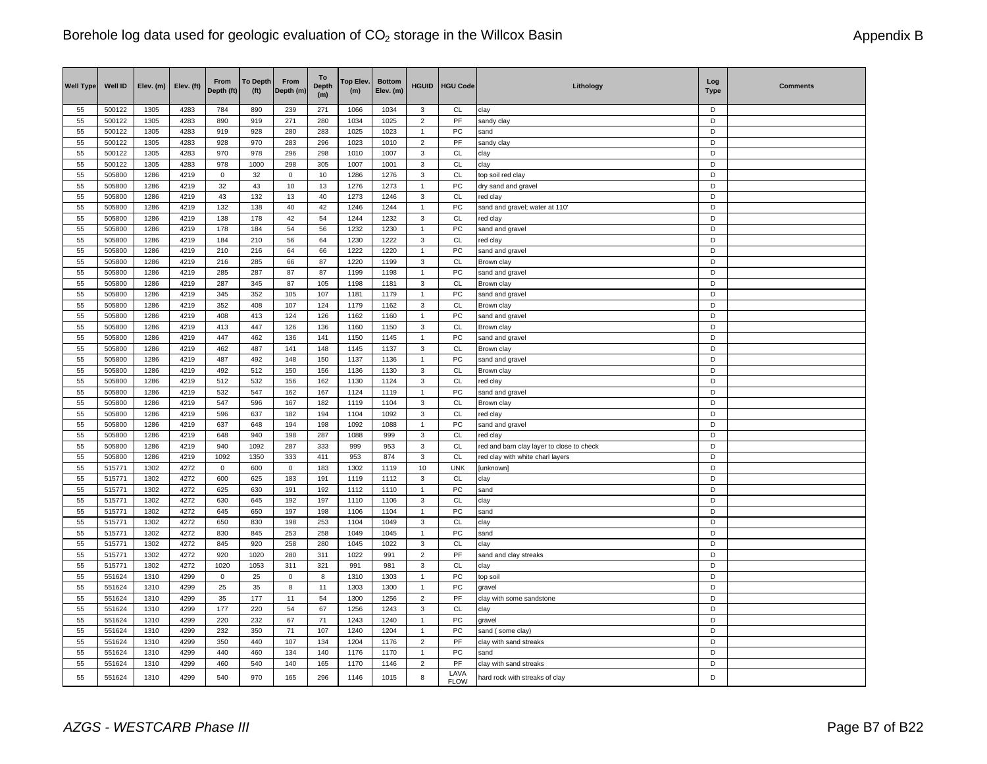| <b>Well Type</b> | Well ID          | Elev. (m)    | Elev. (ft)   | From<br>Depth (ft)  | <b>To Depth</b><br>(f <sup>t</sup> ) | From<br>Depth (m) | To<br><b>Depth</b><br>(m) | Top Elev.<br>(m) | <b>Bottom</b><br>Elev. (m) | <b>HGUID</b>   | <b>HGU Code</b>  | Lithology                                  | Log<br><b>Type</b> | <b>Comments</b> |
|------------------|------------------|--------------|--------------|---------------------|--------------------------------------|-------------------|---------------------------|------------------|----------------------------|----------------|------------------|--------------------------------------------|--------------------|-----------------|
| 55               | 500122           | 1305         | 4283         | 784                 | 890                                  | 239               | 271                       | 1066             | 1034                       | 3              | CL               | clay                                       | D                  |                 |
| 55               | 500122           | 1305         | 4283         | 890                 | 919                                  | 271               | 280                       | 1034             | 1025                       | $\overline{2}$ | PF               | sandy clay                                 | D                  |                 |
| 55               | 500122           | 1305         | 4283         | 919                 | 928                                  | 280               | 283                       | 1025             | 1023                       | 1              | PC               | sand                                       | D                  |                 |
| 55               | 500122           | 1305         | 4283         | 928                 | 970                                  | 283               | 296                       | 1023             | 1010                       | $\overline{2}$ | PF               | sandy clay                                 | D                  |                 |
| 55               | 500122           | 1305         | 4283         | 970                 | 978                                  | 296               | 298                       | 1010             | 1007                       | 3              | $\mathsf{CL}$    | clay                                       | D                  |                 |
| 55               | 500122           | 1305         | 4283         | 978                 | 1000                                 | 298               | 305                       | 1007             | 1001                       | 3              | CL               | clay                                       | D                  |                 |
| 55               | 505800           | 1286         | 4219         | $\mathbf 0$         | 32                                   | $\mathbf 0$       | 10                        | 1286             | 1276                       | 3              | <b>CL</b>        | top soil red clay                          | D                  |                 |
| 55               | 505800           | 1286         | 4219         | 32                  | 43                                   | 10                | 13                        | 1276             | 1273                       | $\mathbf{1}$   | PC               | dry sand and gravel                        | D                  |                 |
| 55               | 505800           | 1286         | 4219         | 43                  | 132                                  | 13                | 40                        | 1273             | 1246                       | 3              | $\mathsf{CL}$    | red clay                                   | D<br>D             |                 |
| 55<br>55         | 505800<br>505800 | 1286<br>1286 | 4219<br>4219 | 132<br>138          | 138<br>178                           | 40<br>42          | 42<br>54                  | 1246<br>1244     | 1244<br>1232               | 1<br>3         | ${\sf PC}$<br>CL | sand and gravel; water at 110'<br>red clay | D                  |                 |
| 55               | 505800           | 1286         | 4219         | 178                 | 184                                  | 54                | 56                        | 1232             | 1230                       | $\mathbf{1}$   | PC               | sand and gravel                            | D                  |                 |
| 55               | 505800           | 1286         | 4219         | 184                 | 210                                  | 56                | 64                        | 1230             | 1222                       | 3              | CL               | red clay                                   | D                  |                 |
| 55               | 505800           | 1286         | 4219         | 210                 | 216                                  | 64                | 66                        | 1222             | 1220                       | $\mathbf{1}$   | ${\sf PC}$       | sand and gravel                            | D                  |                 |
| 55               | 505800           | 1286         | 4219         | 216                 | 285                                  | 66                | 87                        | 1220             | 1199                       | 3              | CL               | Brown clay                                 | D                  |                 |
| 55               | 505800           | 1286         | 4219         | 285                 | 287                                  | 87                | 87                        | 1199             | 1198                       | $\mathbf{1}$   | PC               | sand and gravel                            | D                  |                 |
| 55               | 505800           | 1286         | 4219         | 287                 | 345                                  | $87\,$            | 105                       | 1198             | 1181                       | 3              | CL               | Brown clay                                 | D                  |                 |
| 55               | 505800           | 1286         | 4219         | 345                 | 352                                  | 105               | 107                       | 1181             | 1179                       | 1              | ${\sf PC}$       | sand and gravel                            | D                  |                 |
| 55               | 505800           | 1286         | 4219         | 352                 | 408                                  | 107               | 124                       | 1179             | 1162                       | 3              | <b>CL</b>        | Brown clay                                 | D                  |                 |
| 55               | 505800           | 1286         | 4219         | 408                 | 413                                  | 124               | 126                       | 1162             | 1160                       | $\mathbf{1}$   | PC               | sand and gravel                            | D                  |                 |
| 55               | 505800           | 1286         | 4219         | 413                 | 447                                  | 126               | 136                       | 1160             | 1150                       | 3              | CL               | Brown clay                                 | D                  |                 |
| 55               | 505800           | 1286         | 4219         | 447                 | 462                                  | 136               | 141                       | 1150             | 1145                       | $\mathbf{1}$   | ${\sf PC}$       | sand and gravel                            | D                  |                 |
| 55               | 505800           | 1286         | 4219         | 462                 | 487                                  | 141               | 148                       | 1145             | 1137                       | 3              | <b>CL</b>        | Brown clay                                 | D                  |                 |
| 55               | 505800           | 1286         | 4219         | 487                 | 492                                  | 148               | 150                       | 1137             | 1136                       | $\mathbf{1}$   | PC               | sand and gravel                            | D                  |                 |
| 55               | 505800           | 1286         | 4219         | 492                 | 512                                  | 150               | 156                       | 1136             | 1130                       | 3              | CL               | Brown clay                                 | D                  |                 |
| 55               | 505800           | 1286         | 4219         | 512                 | 532                                  | 156               | 162                       | 1130             | 1124                       | 3              | CL               | red clay                                   | D                  |                 |
| 55               | 505800           | 1286         | 4219         | 532                 | 547                                  | 162               | 167                       | 1124             | 1119                       | $\overline{1}$ | PC               | sand and gravel                            | D                  |                 |
| 55               | 505800           | 1286         | 4219         | 547                 | 596                                  | 167               | 182                       | 1119             | 1104                       | 3              | CL               | Brown clay                                 | D                  |                 |
| 55               | 505800           | 1286         | 4219         | 596                 | 637                                  | 182               | 194                       | 1104             | 1092                       | 3              | <b>CL</b>        | red clay                                   | D                  |                 |
| 55               | 505800           | 1286         | 4219         | 637                 | 648                                  | 194               | 198                       | 1092             | 1088                       | $\mathbf{1}$   | ${\sf PC}$       | sand and gravel                            | D                  |                 |
| 55               | 505800           | 1286         | 4219         | 648                 | 940                                  | 198               | 287                       | 1088             | 999                        | 3              | CL               | red clay                                   | D                  |                 |
| 55               | 505800           | 1286         | 4219         | 940                 | 1092                                 | 287               | 333                       | 999              | 953                        | 3              | CL               | red and barn clay layer to close to check  | D                  |                 |
| 55               | 505800           | 1286         | 4219         | 1092                | 1350                                 | 333               | 411                       | 953              | 874                        | 3              | <b>CL</b>        | red clay with white charl layers           | D                  |                 |
| 55               | 515771           | 1302         | 4272         | $\mathbf 0$         | 600                                  | $\mathbf 0$       | 183                       | 1302             | 1119                       | 10             | <b>UNK</b>       | [unknown]                                  | D                  |                 |
| 55               | 515771           | 1302         | 4272         | 600                 | 625                                  | 183               | 191                       | 1119             | 1112                       | 3              | CL               | clay                                       | D                  |                 |
| 55               | 515771           | 1302         | 4272         | 625                 | 630                                  | 191               | 192                       | 1112             | 1110                       | $\mathbf{1}$   | PC               | sand                                       | D                  |                 |
| 55               | 515771           | 1302         | 4272         | 630                 | 645                                  | 192               | 197                       | 1110             | 1106                       | 3              | <b>CL</b>        | clay                                       | D                  |                 |
| 55               | 515771           | 1302         | 4272         | 645                 | 650                                  | 197               | 198                       | 1106             | 1104                       | $\mathbf{1}$   | ${\sf PC}$       | sand                                       | D                  |                 |
| 55               | 515771           | 1302         | 4272         | 650                 | 830                                  | 198               | 253                       | 1104             | 1049                       | 3              | <b>CL</b>        | clay                                       | D                  |                 |
| 55               | 515771           | 1302         | 4272         | 830                 | 845                                  | 253               | 258                       | 1049             | 1045                       | $\mathbf{1}$   | ${\sf PC}$       | sand                                       | D                  |                 |
| 55               | 515771           | 1302         | 4272         | 845                 | 920                                  | 258               | 280                       | 1045             | 1022                       | 3              | CL               | clay                                       | D                  |                 |
| 55               | 515771           | 1302         | 4272         | 920                 | 1020                                 | 280               | 311                       | 1022             | 991                        | $\overline{2}$ | PF               | sand and clay streaks                      | D                  |                 |
| 55<br>55         | 515771           | 1302         | 4272<br>4299 | 1020<br>$\mathbf 0$ | 1053                                 | 311               | 321                       | 991              | 981<br>1303                | 3<br>1         | <b>CL</b><br>PC  | clay                                       | D<br>D             |                 |
| 55               | 551624<br>551624 | 1310<br>1310 | 4299         | 25                  | 25<br>35                             | $\mathbf 0$<br>8  | 8<br>11                   | 1310<br>1303     | 1300                       | $\mathbf{1}$   | PC               | top soil<br>gravel                         | D                  |                 |
| 55               | 551624           | 1310         | 4299         | 35                  | 177                                  | 11                | 54                        | 1300             | 1256                       | $\overline{2}$ | PF               | clay with some sandstone                   | D                  |                 |
| 55               | 551624           | 1310         | 4299         | 177                 | 220                                  | 54                | 67                        | 1256             | 1243                       | 3              | $\mathsf{CL}$    | clay                                       | D                  |                 |
| 55               | 551624           | 1310         | 4299         | 220                 | 232                                  | 67                | 71                        | 1243             | 1240                       | $\mathbf{1}$   | ${\sf PC}$       | gravel                                     | D                  |                 |
| 55               | 551624           | 1310         | 4299         | 232                 | 350                                  | 71                | 107                       | 1240             | 1204                       | $\mathbf{1}$   | PC               | sand (some clay)                           | D                  |                 |
| 55               | 551624           | 1310         | 4299         | 350                 | 440                                  | 107               | 134                       | 1204             | 1176                       | $\overline{2}$ | PF               | clay with sand streaks                     | D                  |                 |
| 55               | 551624           | 1310         | 4299         | 440                 | 460                                  | 134               | 140                       | 1176             | 1170                       | $\mathbf{1}$   | PC               | sand                                       | D                  |                 |
| 55               | 551624           | 1310         | 4299         | 460                 | 540                                  | 140               | 165                       | 1170             | 1146                       | $\overline{2}$ | PF               | clay with sand streaks                     | D                  |                 |
|                  |                  |              |              |                     |                                      |                   |                           |                  |                            |                | LAVA             |                                            |                    |                 |
| 55               | 551624           | 1310         | 4299         | 540                 | 970                                  | 165               | 296                       | 1146             | 1015                       | 8              | <b>FLOW</b>      | hard rock with streaks of clay             | D                  |                 |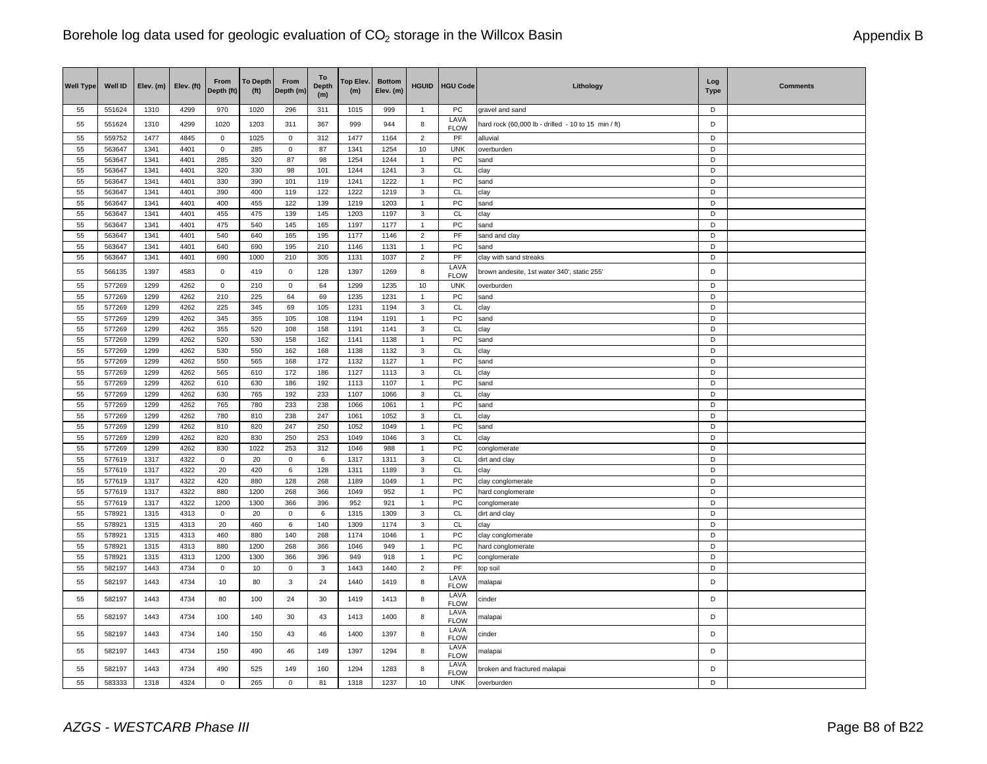| <b>Well Type</b> | Well ID          | Elev. (m)    | Elev. (ft)   | From<br>Depth (ft) | <b>To Depth</b><br>(f <sup>t</sup> ) | From<br>Depth (m) | To<br><b>Depth</b><br>(m) | Top Elev.<br>(m) | <b>Bottom</b><br>Elev. (m) | <b>HGUID</b>            | <b>HGU Code</b>            | Lithology                                           | Log<br><b>Type</b> | <b>Comments</b> |
|------------------|------------------|--------------|--------------|--------------------|--------------------------------------|-------------------|---------------------------|------------------|----------------------------|-------------------------|----------------------------|-----------------------------------------------------|--------------------|-----------------|
| 55               | 551624           | 1310         | 4299         | 970                | 1020                                 | 296               | 311                       | 1015             | 999                        | $\overline{1}$          | PC                         | gravel and sand                                     | D                  |                 |
| 55               | 551624           | 1310         | 4299         | 1020               | 1203                                 | 311               | 367                       | 999              | 944                        | 8                       | LAVA<br><b>FLOW</b>        | hard rock (60,000 lb - drilled - 10 to 15 min / ft) | D                  |                 |
| 55               | 559752           | 1477         | 4845         | $\mathsf 0$        | 1025                                 | $\mathbf{0}$      | 312                       | 1477             | 1164                       | $\overline{2}$          | PF                         | alluvial                                            | D                  |                 |
| 55               | 563647           | 1341         | 4401         | $\mathbf 0$        | 285                                  | $\Omega$          | 87                        | 1341             | 1254                       | 10                      | <b>UNK</b>                 | overburden                                          | D                  |                 |
| 55               | 563647           | 1341         | 4401         | 285                | 320                                  | 87                | 98                        | 1254             | 1244                       | $\mathbf{1}$            | ${\sf PC}$                 | sand                                                | D                  |                 |
| 55               | 563647           | 1341         | 4401         | 320                | 330                                  | 98                | 101                       | 1244             | 1241                       | $\mathbf{3}$            | CL                         | clay                                                | D                  |                 |
| 55               | 563647           | 1341         | 4401         | 330                | 390                                  | 101               | 119                       | 1241             | 1222                       | $\mathbf{1}$            | PC                         | sand                                                | D                  |                 |
| 55               | 563647           | 1341         | 4401         | 390                | 400                                  | 119               | 122                       | 1222             | 1219                       | 3                       | <b>CL</b>                  | clay                                                | D                  |                 |
| 55               | 563647           | 1341         | 4401         | 400                | 455                                  | 122               | 139                       | 1219             | 1203                       | $\mathbf{1}$            | PC                         | sand                                                | D                  |                 |
| 55               | 563647           | 1341         | 4401         | 455                | 475                                  | 139               | 145                       | 1203             | 1197                       | $\mathsf 3$             | CL                         | clay                                                | D                  |                 |
| 55               | 563647           | 1341         | 4401         | 475                | 540                                  | 145               | 165                       | 1197             | 1177                       | $\mathbf{1}$            | PC                         | sand                                                | D                  |                 |
| 55               | 563647           | 1341         | 4401         | 540                | 640                                  | 165               | 195                       | 1177             | 1146                       | $\overline{\mathbf{c}}$ | $\ensuremath{\mathsf{PF}}$ | sand and clay                                       | D                  |                 |
| 55               | 563647           | 1341<br>1341 | 4401<br>4401 | 640<br>690         | 690<br>1000                          | 195<br>210        | 210                       | 1146             | 1131                       | $\overline{1}$          | PC<br>PF                   | sand                                                | D<br>D             |                 |
| 55               | 563647           |              |              |                    |                                      |                   | 305                       | 1131             | 1037                       | $\mathbf 2$             | LAVA                       | clay with sand streaks                              |                    |                 |
| 55               | 566135           | 1397         | 4583         | $\mathsf 0$        | 419                                  | $\mathbf 0$       | 128                       | 1397             | 1269                       | 8                       | <b>FLOW</b>                | brown andesite, 1st water 340', static 255'         | D                  |                 |
| 55               | 577269           | 1299         | 4262         | $\mathsf 0$        | 210                                  | 0                 | 64                        | 1299             | 1235                       | 10                      | <b>UNK</b>                 | overburden                                          | D                  |                 |
| 55               | 577269           | 1299         | 4262         | 210                | 225                                  | 64                | 69                        | 1235             | 1231                       | $\mathbf{1}$            | PC                         | sand                                                | D                  |                 |
| 55               | 577269           | 1299         | 4262         | 225                | 345                                  | 69                | 105                       | 1231             | 1194                       | 3                       | CL                         | clay                                                | D                  |                 |
| 55               | 577269           | 1299         | 4262         | 345                | 355                                  | 105               | 108                       | 1194             | 1191                       | $\mathbf{1}$            | PC                         | sand                                                | D                  |                 |
| 55               | 577269           | 1299         | 4262         | 355                | 520                                  | 108               | 158                       | 1191             | 1141                       | 3                       | CL                         | clay                                                | D                  |                 |
| 55               | 577269           | 1299         | 4262         | 520                | 530                                  | 158               | 162                       | 1141             | 1138                       | $\mathbf{1}$            | PC                         | sand                                                | D                  |                 |
| 55               | 577269           | 1299         | 4262         | 530                | 550                                  | 162               | 168                       | 1138             | 1132                       | 3                       | <b>CL</b>                  | clay                                                | D                  |                 |
| 55               | 577269           | 1299         | 4262         | 550                | 565                                  | 168               | 172                       | 1132             | 1127                       | 1                       | PC                         | sand                                                | D                  |                 |
| 55               | 577269           | 1299         | 4262         | 565                | 610                                  | 172               | 186                       | 1127             | 1113                       | 3                       | <b>CL</b>                  | clay                                                | D                  |                 |
| 55               | 577269           | 1299         | 4262         | 610                | 630                                  | 186               | 192                       | 1113             | 1107                       | $\mathbf{1}$            | PC                         | sand                                                | D                  |                 |
| 55               | 577269           | 1299         | 4262         | 630                | 765                                  | 192               | 233                       | 1107             | 1066                       | 3                       | CL                         | clay                                                | D                  |                 |
| 55               | 577269           | 1299         | 4262         | 765                | 780                                  | 233               | 238                       | 1066             | 1061                       | $\mathbf{1}$            | ${\sf PC}$                 | sand                                                | D                  |                 |
| 55<br>55         | 577269<br>577269 | 1299<br>1299 | 4262<br>4262 | 780<br>810         | 810<br>820                           | 238<br>247        | 247<br>250                | 1061<br>1052     | 1052<br>1049               | 3<br>$\mathbf{1}$       | CL<br>PC                   | clay                                                | D<br>D             |                 |
| 55               | 577269           | 1299         | 4262         | 820                | 830                                  | 250               | 253                       | 1049             | 1046                       | 3                       | <b>CL</b>                  | sand<br>clay                                        | D                  |                 |
| 55               | 577269           | 1299         | 4262         | 830                | 1022                                 | 253               | 312                       | 1046             | 988                        | $\mathbf{1}$            | PC                         | conglomerate                                        | D                  |                 |
| 55               | 577619           | 1317         | 4322         | $\mathsf 0$        | 20                                   | $\mathbf 0$       | 6                         | 1317             | 1311                       | 3                       | CL                         | dirt and clay                                       | D                  |                 |
| 55               | 577619           | 1317         | 4322         | 20                 | 420                                  | 6                 | 128                       | 1311             | 1189                       | 3                       | CL                         | clay                                                | D                  |                 |
| 55               | 577619           | 1317         | 4322         | 420                | 880                                  | 128               | 268                       | 1189             | 1049                       | $\overline{1}$          | PC                         | clay conglomerate                                   | D                  |                 |
| 55               | 577619           | 1317         | 4322         | 880                | 1200                                 | 268               | 366                       | 1049             | 952                        | $\mathbf{1}$            | PC                         | hard conglomerate                                   | D                  |                 |
| 55               | 577619           | 1317         | 4322         | 1200               | 1300                                 | 366               | 396                       | 952              | 921                        | $\mathbf{1}$            | PC                         | conglomerate                                        | D                  |                 |
| 55               | 578921           | 1315         | 4313         | $\mathsf 0$        | 20                                   | $\mathbf 0$       | 6                         | 1315             | 1309                       | 3                       | CL                         | dirt and clay                                       | D                  |                 |
| 55               | 578921           | 1315         | 4313         | 20                 | 460                                  | 6                 | 140                       | 1309             | 1174                       | 3                       | <b>CL</b>                  | clay                                                | D                  |                 |
| 55               | 578921           | 1315         | 4313         | 460                | 880                                  | 140               | 268                       | 1174             | 1046                       | $\overline{1}$          | PC                         | clay conglomerate                                   | D                  |                 |
| 55               | 578921           | 1315         | 4313         | 880                | 1200                                 | 268               | 366                       | 1046             | 949                        | $\mathbf{1}$            | ${\sf PC}$                 | hard conglomerate                                   | D                  |                 |
| 55               | 578921           | 1315         | 4313         | 1200               | 1300                                 | 366               | 396                       | 949              | 918                        | 1                       | ${\sf PC}$                 | conglomerate                                        | D                  |                 |
| 55               | 582197           | 1443         | 4734         | $\mathbf 0$        | 10                                   | $\mathbf 0$       | 3                         | 1443             | 1440                       | $\overline{2}$          | PF                         | top soil                                            | D                  |                 |
| 55               | 582197           | 1443         | 4734         | 10                 | 80                                   | $\mathbf{3}$      | 24                        | 1440             | 1419                       | 8                       | LAVA<br><b>FLOW</b>        | nalapai                                             | D                  |                 |
| 55               | 582197           | 1443         | 4734         | 80                 | 100                                  | 24                | 30                        | 1419             | 1413                       | 8                       | LAVA<br><b>FLOW</b>        | cinder                                              | D                  |                 |
| 55               | 582197           | 1443         | 4734         | 100                | 140                                  | 30                | 43                        | 1413             | 1400                       | 8                       | LAVA<br><b>FLOW</b>        | malapai                                             | D                  |                 |
| 55               | 582197           | 1443         | 4734         | 140                | 150                                  | 43                | 46                        | 1400             | 1397                       | 8                       | LAVA<br><b>FLOW</b>        | cinder                                              | D                  |                 |
| 55               | 582197           | 1443         | 4734         | 150                | 490                                  | 46                | 149                       | 1397             | 1294                       | 8                       | LAVA<br><b>FLOW</b>        | malapai                                             | D                  |                 |
| 55               | 582197           | 1443         | 4734         | 490                | 525                                  | 149               | 160                       | 1294             | 1283                       | 8                       | LAVA<br><b>FLOW</b>        | broken and fractured malapai                        | D                  |                 |
| 55               | 583333           | 1318         | 4324         | $\mathbf 0$        | 265                                  | $\mathbf{0}$      | 81                        | 1318             | 1237                       | 10                      | <b>UNK</b>                 | overburden                                          | D                  |                 |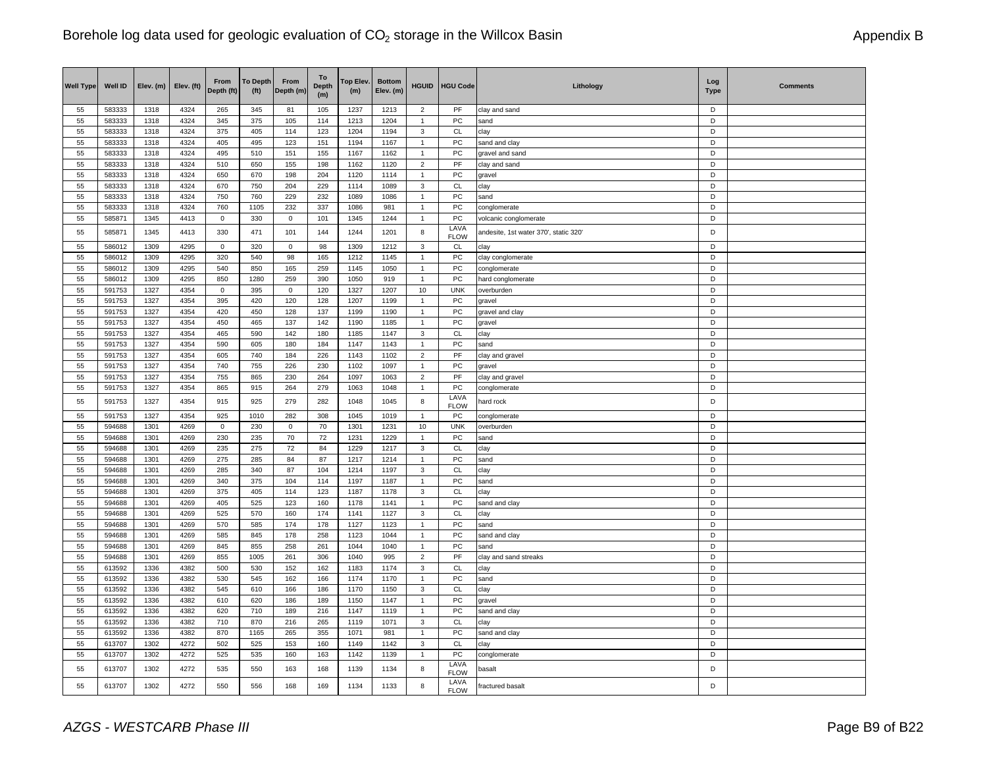| <b>Well Type</b> | <b>Well ID</b>   | Elev. (m)    | Elev. (ft)   | From<br>Depth (ft) | <b>To Depth</b><br>(f <sup>t</sup> ) | From<br>Depth (m) | To<br><b>Depth</b><br>(m) | Top Elev.<br>(m) | <b>Bottom</b><br>Elev. (m) | <b>HGUID</b>                     | <b>HGU Code</b>     | Lithology                             | Log<br><b>Type</b> | <b>Comments</b> |
|------------------|------------------|--------------|--------------|--------------------|--------------------------------------|-------------------|---------------------------|------------------|----------------------------|----------------------------------|---------------------|---------------------------------------|--------------------|-----------------|
| 55               | 583333           | 1318         | 4324         | 265                | 345                                  | 81                | 105                       | 1237             | 1213                       | $\overline{2}$                   | PF                  | clay and sand                         | D                  |                 |
| 55               | 583333           | 1318         | 4324         | 345                | 375                                  | 105               | 114                       | 1213             | 1204                       | $\mathbf{1}$                     | PC                  | sand                                  | D                  |                 |
| 55               | 583333           | 1318         | 4324         | 375                | 405                                  | 114               | 123                       | 1204             | 1194                       | 3                                | CL                  | clay                                  | D                  |                 |
| 55               | 583333           | 1318         | 4324         | 405                | 495                                  | 123               | 151                       | 1194             | 1167                       | $\overline{1}$                   | PC                  | sand and clay                         | D                  |                 |
| 55               | 583333           | 1318         | 4324         | 495                | 510                                  | 151               | 155                       | 1167             | 1162                       | $\mathbf{1}$                     | PC                  | gravel and sand                       | D                  |                 |
| 55               | 583333           | 1318         | 4324         | 510                | 650                                  | 155               | 198                       | 1162             | 1120                       | $\overline{2}$                   | PF                  | clay and sand                         | D                  |                 |
| 55               | 583333           | 1318         | 4324         | 650                | 670                                  | 198               | 204                       | 1120             | 1114                       | $\overline{1}$                   | PC                  | gravel                                | D                  |                 |
| 55               | 583333           | 1318         | 4324         | 670                | 750                                  | 204               | 229                       | 1114             | 1089                       | $\mathsf 3$                      | <b>CL</b>           | clay                                  | D                  |                 |
| 55               | 583333           | 1318         | 4324         | 750                | 760                                  | 229               | 232                       | 1089             | 1086                       | $\mathbf{1}$                     | PC                  | sand                                  | D                  |                 |
| 55               | 583333           | 1318         | 4324         | 760                | 1105                                 | 232               | 337                       | 1086             | 981                        | $\overline{1}$                   | PC                  | conglomerate                          | D<br>D             |                 |
| 55               | 585871           | 1345         | 4413         | $\mathsf 0$        | 330                                  | $\mathbf 0$       | 101                       | 1345             | 1244                       | $\overline{1}$                   | PC<br>LAVA          | volcanic conglomerate                 |                    |                 |
| 55               | 585871           | 1345         | 4413         | 330                | 471                                  | 101               | 144                       | 1244             | 1201                       | 8                                | <b>FLOW</b>         | andesite, 1st water 370', static 320' | D                  |                 |
| 55               | 586012           | 1309         | 4295         | $\mathbf 0$        | 320                                  | $\mathbf 0$       | 98                        | 1309             | 1212                       | $\mathbf{3}$                     | CL                  | clay                                  | D                  |                 |
| 55               | 586012           | 1309         | 4295         | 320                | 540                                  | 98                | 165                       | 1212             | 1145                       | $\overline{1}$                   | PC                  | clay conglomerate                     | D                  |                 |
| 55<br>55         | 586012<br>586012 | 1309         | 4295<br>4295 | 540<br>850         | 850<br>1280                          | 165<br>259        | 259                       | 1145<br>1050     | 1050<br>919                | $\overline{1}$<br>$\overline{1}$ | PC<br>PC            | conglomerate                          | D<br>D             |                 |
| 55               | 591753           | 1309<br>1327 | 4354         | $\mathbf 0$        | 395                                  | $\mathbf 0$       | 390<br>120                | 1327             | 1207                       | 10                               | <b>UNK</b>          | hard conglomerate<br>overburden       | D                  |                 |
| 55               | 591753           | 1327         | 4354         | 395                | 420                                  | 120               | 128                       | 1207             | 1199                       | $\overline{1}$                   | PC                  | gravel                                | D                  |                 |
| 55               | 591753           | 1327         | 4354         | 420                | 450                                  | 128               | 137                       | 1199             | 1190                       | $\mathbf{1}$                     | PC                  | gravel and clay                       | D                  |                 |
| 55               | 591753           | 1327         | 4354         | 450                | 465                                  | 137               | 142                       | 1190             | 1185                       | $\mathbf{1}$                     | PC                  | gravel                                | D                  |                 |
| 55               | 591753           | 1327         | 4354         | 465                | 590                                  | 142               | 180                       | 1185             | 1147                       | $\ensuremath{\mathsf{3}}$        | CL                  | clay                                  | D                  |                 |
| 55               | 591753           | 1327         | 4354         | 590                | 605                                  | 180               | 184                       | 1147             | 1143                       | $\mathbf{1}$                     | PC                  | sand                                  | D                  |                 |
| 55               | 591753           | 1327         | 4354         | 605                | 740                                  | 184               | 226                       | 1143             | 1102                       | $\overline{2}$                   | PF                  | clay and gravel                       | D                  |                 |
| 55               | 591753           | 1327         | 4354         | 740                | 755                                  | 226               | 230                       | 1102             | 1097                       | $\overline{1}$                   | PC                  | gravel                                | D                  |                 |
| 55               | 591753           | 1327         | 4354         | 755                | 865                                  | 230               | 264                       | 1097             | 1063                       | $\overline{2}$                   | PF                  | clay and gravel                       | D                  |                 |
| 55               | 591753           | 1327         | 4354         | 865                | 915                                  | 264               | 279                       | 1063             | 1048                       | $\overline{1}$                   | PC                  | conglomerate                          | D                  |                 |
| 55               | 591753           | 1327         | 4354         | 915                | 925                                  | 279               | 282                       | 1048             | 1045                       | 8                                | LAVA<br><b>FLOW</b> | ard rock                              | D                  |                 |
| 55               | 591753           | 1327         | 4354         | 925                | 1010                                 | 282               | 308                       | 1045             | 1019                       | $\overline{1}$                   | PC                  | conglomerate                          | D                  |                 |
| 55               | 594688           | 1301         | 4269         | $\mathsf 0$        | 230                                  | $\mathbf 0$       | 70                        | 1301             | 1231                       | 10                               | <b>UNK</b>          | overburden                            | D                  |                 |
| 55               | 594688           | 1301         | 4269         | 230                | 235                                  | 70                | 72                        | 1231             | 1229                       | $\overline{1}$                   | PC                  | sand                                  | D                  |                 |
| 55               | 594688           | 1301         | 4269         | 235                | 275                                  | 72                | 84                        | 1229             | 1217                       | 3                                | <b>CL</b>           | clay                                  | D                  |                 |
| 55               | 594688           | 1301         | 4269         | 275                | 285                                  | 84                | 87                        | 1217             | 1214                       | $\overline{1}$                   | PC                  | sand                                  | D                  |                 |
| 55               | 594688           | 1301         | 4269         | 285                | 340                                  | 87                | 104                       | 1214             | 1197                       | 3                                | CL                  | clay                                  | D                  |                 |
| 55               | 594688           | 1301         | 4269         | 340                | 375                                  | 104               | 114                       | 1197             | 1187                       | $\mathbf{1}$                     | PC                  | sand                                  | D                  |                 |
| 55               | 594688           | 1301         | 4269         | 375                | 405                                  | 114               | 123                       | 1187             | 1178                       | $\mathbf{3}$                     | <b>CL</b>           | clay                                  | D                  |                 |
| 55               | 594688           | 1301         | 4269         | 405                | 525                                  | 123               | 160                       | 1178             | 1141                       | $\mathbf{1}$                     | PC                  | sand and clay                         | D                  |                 |
| 55               | 594688           | 1301         | 4269         | 525                | 570                                  | 160               | 174                       | 1141             | 1127                       | 3                                | CL                  | clay                                  | D                  |                 |
| 55               | 594688           | 1301         | 4269         | 570                | 585                                  | 174               | 178                       | 1127             | 1123                       | $\mathbf{1}$                     | PC                  | sand                                  | D                  |                 |
| 55               | 594688           | 1301         | 4269         | 585                | 845                                  | 178               | 258                       | 1123             | 1044                       | $\mathbf{1}$                     | PC                  | sand and clay                         | D                  |                 |
| 55               | 594688           | 1301         | 4269         | 845                | 855                                  | 258               | 261                       | 1044             | 1040                       | $\overline{1}$                   | PC                  | sand                                  | D                  |                 |
| 55               | 594688           | 1301         | 4269         | 855                | 1005                                 | 261               | 306                       | 1040             | 995                        | $\mathbf 2$                      | PF                  | clay and sand streaks                 | D                  |                 |
| 55               | 613592           | 1336         | 4382         | 500                | 530                                  | 152               | 162                       | 1183             | 1174                       | $\mathbf{3}$                     | <b>CL</b>           | clay                                  | D                  |                 |
| 55               | 613592           | 1336         | 4382         | 530                | 545                                  | 162               | 166                       | 1174             | 1170                       | $\mathbf{1}$                     | PC                  | sand                                  | D                  |                 |
| 55               | 613592           | 1336         | 4382         | 545                | 610                                  | 166               | 186                       | 1170             | 1150                       | 3                                | CL                  | clay                                  | D                  |                 |
| 55               | 613592           | 1336         | 4382         | 610                | 620                                  | 186               | 189                       | 1150             | 1147                       | $\mathbf{1}$                     | PC                  | gravel                                | D                  |                 |
| 55               | 613592           | 1336         | 4382         | 620                | 710                                  | 189               | 216                       | 1147             | 1119                       | $\mathbf{1}$                     | PC                  | sand and clay                         | D                  |                 |
| 55               | 613592           | 1336         | 4382         | 710                | 870                                  | 216               | 265                       | 1119             | 1071                       | $\mathbf{3}$                     | <b>CL</b>           | clay                                  | D                  |                 |
| 55               | 613592           | 1336         | 4382         | 870                | 1165                                 | 265               | 355                       | 1071             | 981                        | $\mathbf{1}$                     | PC                  | sand and clay                         | D                  |                 |
| 55               | 613707           | 1302         | 4272         | 502                | 525                                  | 153               | 160                       | 1149             | 1142                       | $\mathbf{3}$                     | CL                  | clay                                  | D                  |                 |
| 55               | 613707           | 1302         | 4272         | 525                | 535                                  | 160               | 163                       | 1142             | 1139                       | $\overline{1}$                   | PC                  | conglomerate                          | D                  |                 |
| 55               | 613707           | 1302         | 4272         | 535                | 550                                  | 163               | 168                       | 1139             | 1134                       | 8                                | LAVA<br><b>FLOW</b> | basalt                                | D                  |                 |
| 55               | 613707           | 1302         | 4272         | 550                | 556                                  | 168               | 169                       | 1134             | 1133                       | 8                                | LAVA<br><b>FLOW</b> | fractured basalt                      | D                  |                 |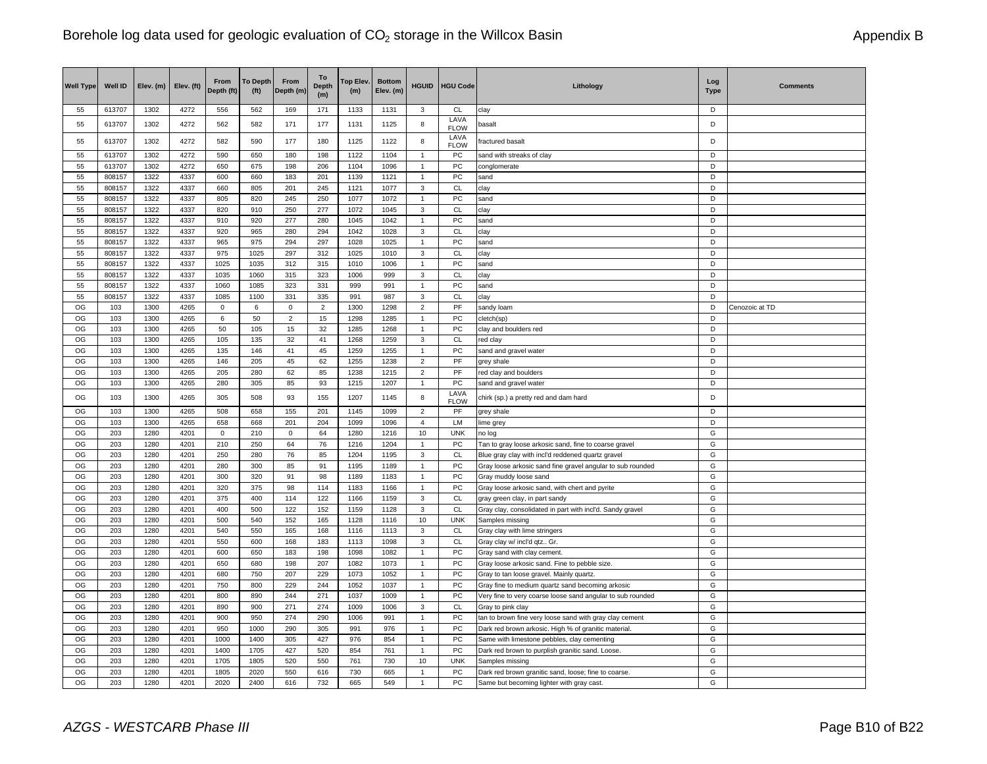| 613707<br>1302<br>4272<br>556<br>562<br>171<br>1133<br>1131<br><b>CL</b><br>D<br>55<br>169<br>3<br>clay<br>LAVA<br>D<br>1302<br>4272<br>582<br>171<br>177<br>1131<br>1125<br>8<br>55<br>613707<br>562<br>basalt<br><b>FLOW</b><br>LAVA<br>8<br>D<br>55<br>613707<br>1302<br>4272<br>582<br>590<br>177<br>180<br>1125<br>1122<br>fractured basalt<br><b>FLOW</b><br>55<br>613707<br>1302<br>4272<br>590<br>650<br>180<br>198<br>1122<br>1104<br>${\sf PC}$<br>D<br>$\mathbf{1}$<br>sand with streaks of clay<br>55<br>D<br>613707<br>1302<br>4272<br>650<br>675<br>198<br>206<br>1104<br>1096<br>PC<br>$\mathbf{1}$<br>conglomerate<br>55<br>1322<br>4337<br>600<br>660<br>183<br>1121<br>PC<br>D<br>808157<br>201<br>1139<br>$\mathbf{1}$<br>sand<br>55<br>808157<br>1322<br>4337<br>660<br>805<br>201<br>245<br>1121<br>1077<br>3<br>CL<br>D<br>clay<br>55<br>808157<br>1322<br>4337<br>805<br>250<br>1077<br>1072<br>PC<br>D<br>820<br>245<br>sand<br>1<br>3<br><b>CL</b><br>D<br>55<br>1322<br>4337<br>820<br>250<br>277<br>1072<br>1045<br>808157<br>910<br>clay<br>55<br>808157<br>1322<br>4337<br>910<br>920<br>277<br>280<br>1045<br>1042<br>PC<br>D<br>$\mathbf{1}$<br>sand<br>1322<br><b>CL</b><br>55<br>808157<br>4337<br>920<br>965<br>280<br>294<br>1042<br>1028<br>3<br>D<br>clay<br>${\sf PC}$<br>55<br>808157<br>1322<br>4337<br>965<br>975<br>294<br>297<br>1028<br>1025<br>D<br>$\mathbf{1}$<br>sand<br>1322<br>4337<br>975<br>312<br><b>CL</b><br>D<br>55<br>808157<br>1025<br>297<br>1025<br>1010<br>3<br>clay<br>PC<br>1322<br>4337<br>1025<br>D<br>55<br>808157<br>1035<br>312<br>315<br>1010<br>1006<br>$\mathbf{1}$<br>sand<br><b>CL</b><br>55<br>4337<br>1035<br>323<br>D<br>808157<br>1322<br>1060<br>315<br>1006<br>999<br>3<br>clay<br>PC<br>55<br>808157<br>1322<br>4337<br>1060<br>1085<br>323<br>331<br>999<br>991<br>D<br>1<br>sand<br>55<br>808157<br>1322<br>4337<br>1085<br>1100<br>331<br>335<br>987<br>CL<br>991<br>3<br>clay<br>D<br>OG<br>PF<br>1300<br>4265<br>D<br>103<br>$\mathbf 0$<br>6<br>$\mathbf 0$<br>$\overline{2}$<br>1300<br>1298<br>$\overline{2}$<br>sandy loam<br>Cenozoic at TD<br>OG<br>6<br>$\mathbf 2$<br>PC<br>D<br>103<br>1300<br>4265<br>50<br>15<br>1298<br>1285<br>1<br>cletch(sp)<br>OG<br>PC<br>103<br>1300<br>4265<br>50<br>105<br>32<br>D<br>15<br>1285<br>1268<br>$\mathbf{1}$<br>clay and boulders red<br>OG<br>103<br>1300<br>4265<br>105<br>135<br>32<br>41<br>1268<br>1259<br><b>CL</b><br>D<br>3<br>red clay<br>OG<br>103<br>135<br>45<br>${\sf PC}$<br>1300<br>4265<br>146<br>41<br>1259<br>1255<br>$\mathbf{1}$<br>sand and gravel water<br>D<br>PF<br>D<br>OG<br>103<br>1300<br>4265<br>146<br>205<br>45<br>62<br>1255<br>1238<br>$\overline{2}$<br>grey shale<br>OG<br>PF<br>D<br>103<br>1300<br>4265<br>205<br>280<br>62<br>85<br>1238<br>1215<br>$\overline{2}$<br>red clay and boulders<br>OG<br>103<br>93<br>PC<br>D<br>1300<br>4265<br>280<br>305<br>85<br>1215<br>1207<br>$\mathbf{1}$<br>sand and gravel water<br>LAVA<br>OG<br>103<br>1300<br>4265<br>305<br>508<br>93<br>155<br>1207<br>1145<br>8<br>D<br>chirk (sp.) a pretty red and dam hard<br><b>FLOW</b><br>OG<br>1300<br>4265<br>D<br>103<br>508<br>658<br>155<br>201<br>1145<br>1099<br>$\overline{2}$<br>PF<br>grey shale<br>OG<br>4265<br>LM<br>D<br>103<br>1300<br>658<br>668<br>201<br>204<br>1099<br>1096<br>$\overline{4}$<br>lime grey<br>OG<br><b>UNK</b><br>G<br>203<br>1280<br>4201<br>$\mathsf 0$<br>210<br>$\mathbf 0$<br>64<br>1280<br>1216<br>10<br>no log<br>OG<br>203<br>1280<br>4201<br>210<br>1216<br>1204<br>PC<br>G<br>250<br>64<br>76<br>Tan to gray loose arkosic sand, fine to coarse gravel<br>1<br>OG<br>203<br>1280<br>4201<br>250<br>280<br>76<br>85<br>1204<br>1195<br>3<br>CL<br>Blue gray clay with incl'd reddened quartz gravel<br>G<br>OG<br>PC<br>G<br>203<br>1280<br>4201<br>280<br>300<br>85<br>91<br>1195<br>1189<br>Gray loose arkosic sand fine gravel angular to sub rounded<br>1<br>OG<br>PC<br>G<br>203<br>1280<br>4201<br>300<br>320<br>91<br>98<br>1189<br>1183<br>$\mathbf{1}$<br>Gray muddy loose sand<br>G<br>OG<br>203<br>1280<br>4201<br>320<br>375<br>98<br>114<br>1183<br>1166<br>PC<br>$\mathbf{1}$<br>Gray loose arkosic sand, with chert and pyrite<br>G<br>OG<br>203<br>1280<br>4201<br>375<br>400<br>114<br>122<br>1166<br>1159<br>3<br>CL<br>gray green clay, in part sandy<br>OG<br>203<br>1280<br>4201<br>400<br>500<br>122<br>152<br>1159<br>1128<br>3<br><b>CL</b><br>G<br>Gray clay, consolidated in part with incl'd. Sandy grave<br>OG<br>203<br>1280<br>4201<br>500<br>540<br>152<br>165<br>1128<br>1116<br>10<br><b>UNK</b><br>G<br>Samples missing<br>CL<br>OG<br>203<br>1280<br>4201<br>540<br>G<br>550<br>165<br>168<br>1116<br>1113<br>3<br>Gray clay with lime stringers<br>OG<br>203<br>1280<br>4201<br>550<br>1098<br>3<br>CL<br>G<br>600<br>168<br>183<br>1113<br>Gray clay w/ incl'd qtz Gr<br>PC<br>G<br>OG<br>203<br>1280<br>4201<br>600<br>650<br>183<br>198<br>1098<br>1082<br>$\mathbf{1}$<br>Gray sand with clay cement.<br>OG<br>203<br>1280<br>4201<br>650<br>198<br>${\sf PC}$<br>G<br>680<br>207<br>1082<br>1073<br>$\mathbf{1}$<br>Gray loose arkosic sand. Fine to pebble size.<br>G<br>OG<br>203<br>1280<br>4201<br>680<br>750<br>207<br>229<br>1073<br>PC<br>1052<br>$\mathbf{1}$<br>Gray to tan loose gravel. Mainly quartz.<br>750<br>G<br>OG<br>203<br>1280<br>4201<br>800<br>229<br>244<br>1052<br>1037<br>PC<br>$\mathbf{1}$<br>Gray fine to medium quartz sand becoming arkosic<br>OG<br>4201<br>800<br>271<br>PC<br>G<br>203<br>1280<br>890<br>244<br>1037<br>1009<br>$\mathbf{1}$<br>Very fine to very coarse loose sand angular to sub rounded<br>OG<br>203<br>1280<br>4201<br>890<br>900<br>271<br>274<br>1009<br><b>CL</b><br>G<br>1006<br>3<br>Gray to pink clay<br>OG<br>${\sf PC}$<br>G<br>203<br>1280<br>4201<br>900<br>950<br>274<br>290<br>1006<br>991<br>$\overline{1}$<br>tan to brown fine very loose sand with gray clay cement<br>OG<br>203<br>1280<br>4201<br>950<br>290<br>PC<br>G<br>1000<br>305<br>991<br>976<br>Dark red brown arkosic. High % of granitic material.<br>$\mathbf{1}$<br>OG<br>203<br>1000<br>PC<br>G<br>1280<br>4201<br>1400<br>305<br>427<br>976<br>854<br>Same with limestone pebbles, clay cementing<br>$\mathbf{1}$<br>OG<br>203<br>1280<br>4201<br>1400<br>1705<br>427<br>520<br>854<br>761<br>$\mathbf{1}$<br>PC<br>G<br>Dark red brown to purplish granitic sand. Loose<br>OG<br>203<br>1280<br>4201<br>1705<br>520<br>550<br>761<br><b>UNK</b><br>G<br>1805<br>730<br>10<br>Samples missing<br>PC<br>G<br>OG<br>203<br>1280<br>4201<br>1805<br>2020<br>550<br>730<br>665<br>616<br>$\mathbf{1}$<br>Dark red brown granitic sand, loose; fine to coarse.<br>$\overline{G}$<br>OG<br>203<br>1280<br>4201<br>616<br>665<br>549<br>PC<br>2400<br>$\mathbf{1}$ | <b>Well Type</b> | Well ID | Elev. (m) | Elev. (ft) | From<br>Depth (ft) | <b>To Depth</b><br>(f <sup>t</sup> ) | From<br>Depth (m) | To<br><b>Depth</b><br>(m) | Top Elev.<br>(m) | <b>Bottom</b><br>Elev. (m) | <b>HGUID</b> | <b>HGU Code</b> | Lithology                                | Log<br>Type | <b>Comments</b> |
|----------------------------------------------------------------------------------------------------------------------------------------------------------------------------------------------------------------------------------------------------------------------------------------------------------------------------------------------------------------------------------------------------------------------------------------------------------------------------------------------------------------------------------------------------------------------------------------------------------------------------------------------------------------------------------------------------------------------------------------------------------------------------------------------------------------------------------------------------------------------------------------------------------------------------------------------------------------------------------------------------------------------------------------------------------------------------------------------------------------------------------------------------------------------------------------------------------------------------------------------------------------------------------------------------------------------------------------------------------------------------------------------------------------------------------------------------------------------------------------------------------------------------------------------------------------------------------------------------------------------------------------------------------------------------------------------------------------------------------------------------------------------------------------------------------------------------------------------------------------------------------------------------------------------------------------------------------------------------------------------------------------------------------------------------------------------------------------------------------------------------------------------------------------------------------------------------------------------------------------------------------------------------------------------------------------------------------------------------------------------------------------------------------------------------------------------------------------------------------------------------------------------------------------------------------------------------------------------------------------------------------------------------------------------------------------------------------------------------------------------------------------------------------------------------------------------------------------------------------------------------------------------------------------------------------------------------------------------------------------------------------------------------------------------------------------------------------------------------------------------------------------------------------------------------------------------------------------------------------------------------------------------------------------------------------------------------------------------------------------------------------------------------------------------------------------------------------------------------------------------------------------------------------------------------------------------------------------------------------------------------------------------------------------------------------------------------------------------------------------------------------------------------------------------------------------------------------------------------------------------------------------------------------------------------------------------------------------------------------------------------------------------------------------------------------------------------------------------------------------------------------------------------------------------------------------------------------------------------------------------------------------------------------------------------------------------------------------------------------------------------------------------------------------------------------------------------------------------------------------------------------------------------------------------------------------------------------------------------------------------------------------------------------------------------------------------------------------------------------------------------------------------------------------------------------------------------------------------------------------------------------------------------------------------------------------------------------------------------------------------------------------------------------------------------------------------------------------------------------------------------------------------------------------------------------------------------------------------------------------------------------------------------------------------------------------------------------------------------------------------------------------------------------------------------------------------------------------------------------------------------------------------------------------------------------------------------------------------------------------------------------------------------------------------------------------------------------------------------------------------------------------------------------------------------------------------------------------------------------------------------------------------------------------------------------------------------------------------------------------------------------------------------------------------------------------------------------------------------------------------------------------------------------------------------------------------------------------------------------------------------------------------------------------------------------------------------------------------------------------------------------------------------------------------------------------------------------------------------------------------------------------------------------------------------------------------------------------------------------------------------------------------------------------------------------------------------------------------------------------------------------------------------------------------------------------------------------------------------|------------------|---------|-----------|------------|--------------------|--------------------------------------|-------------------|---------------------------|------------------|----------------------------|--------------|-----------------|------------------------------------------|-------------|-----------------|
|                                                                                                                                                                                                                                                                                                                                                                                                                                                                                                                                                                                                                                                                                                                                                                                                                                                                                                                                                                                                                                                                                                                                                                                                                                                                                                                                                                                                                                                                                                                                                                                                                                                                                                                                                                                                                                                                                                                                                                                                                                                                                                                                                                                                                                                                                                                                                                                                                                                                                                                                                                                                                                                                                                                                                                                                                                                                                                                                                                                                                                                                                                                                                                                                                                                                                                                                                                                                                                                                                                                                                                                                                                                                                                                                                                                                                                                                                                                                                                                                                                                                                                                                                                                                                                                                                                                                                                                                                                                                                                                                                                                                                                                                                                                                                                                                                                                                                                                                                                                                                                                                                                                                                                                                                                                                                                                                                                                                                                                                                                                                                                                                                                                                                                                                                                                                                                                                                                                                                                                                                                                                                                                                                                                                                                                                                                                                                                                                                                                                                                                                                                                                                                                                                                                                                                                                                                                    |                  |         |           |            |                    |                                      |                   |                           |                  |                            |              |                 |                                          |             |                 |
|                                                                                                                                                                                                                                                                                                                                                                                                                                                                                                                                                                                                                                                                                                                                                                                                                                                                                                                                                                                                                                                                                                                                                                                                                                                                                                                                                                                                                                                                                                                                                                                                                                                                                                                                                                                                                                                                                                                                                                                                                                                                                                                                                                                                                                                                                                                                                                                                                                                                                                                                                                                                                                                                                                                                                                                                                                                                                                                                                                                                                                                                                                                                                                                                                                                                                                                                                                                                                                                                                                                                                                                                                                                                                                                                                                                                                                                                                                                                                                                                                                                                                                                                                                                                                                                                                                                                                                                                                                                                                                                                                                                                                                                                                                                                                                                                                                                                                                                                                                                                                                                                                                                                                                                                                                                                                                                                                                                                                                                                                                                                                                                                                                                                                                                                                                                                                                                                                                                                                                                                                                                                                                                                                                                                                                                                                                                                                                                                                                                                                                                                                                                                                                                                                                                                                                                                                                                    |                  |         |           |            |                    |                                      |                   |                           |                  |                            |              |                 |                                          |             |                 |
|                                                                                                                                                                                                                                                                                                                                                                                                                                                                                                                                                                                                                                                                                                                                                                                                                                                                                                                                                                                                                                                                                                                                                                                                                                                                                                                                                                                                                                                                                                                                                                                                                                                                                                                                                                                                                                                                                                                                                                                                                                                                                                                                                                                                                                                                                                                                                                                                                                                                                                                                                                                                                                                                                                                                                                                                                                                                                                                                                                                                                                                                                                                                                                                                                                                                                                                                                                                                                                                                                                                                                                                                                                                                                                                                                                                                                                                                                                                                                                                                                                                                                                                                                                                                                                                                                                                                                                                                                                                                                                                                                                                                                                                                                                                                                                                                                                                                                                                                                                                                                                                                                                                                                                                                                                                                                                                                                                                                                                                                                                                                                                                                                                                                                                                                                                                                                                                                                                                                                                                                                                                                                                                                                                                                                                                                                                                                                                                                                                                                                                                                                                                                                                                                                                                                                                                                                                                    |                  |         |           |            |                    |                                      |                   |                           |                  |                            |              |                 |                                          |             |                 |
|                                                                                                                                                                                                                                                                                                                                                                                                                                                                                                                                                                                                                                                                                                                                                                                                                                                                                                                                                                                                                                                                                                                                                                                                                                                                                                                                                                                                                                                                                                                                                                                                                                                                                                                                                                                                                                                                                                                                                                                                                                                                                                                                                                                                                                                                                                                                                                                                                                                                                                                                                                                                                                                                                                                                                                                                                                                                                                                                                                                                                                                                                                                                                                                                                                                                                                                                                                                                                                                                                                                                                                                                                                                                                                                                                                                                                                                                                                                                                                                                                                                                                                                                                                                                                                                                                                                                                                                                                                                                                                                                                                                                                                                                                                                                                                                                                                                                                                                                                                                                                                                                                                                                                                                                                                                                                                                                                                                                                                                                                                                                                                                                                                                                                                                                                                                                                                                                                                                                                                                                                                                                                                                                                                                                                                                                                                                                                                                                                                                                                                                                                                                                                                                                                                                                                                                                                                                    |                  |         |           |            |                    |                                      |                   |                           |                  |                            |              |                 |                                          |             |                 |
|                                                                                                                                                                                                                                                                                                                                                                                                                                                                                                                                                                                                                                                                                                                                                                                                                                                                                                                                                                                                                                                                                                                                                                                                                                                                                                                                                                                                                                                                                                                                                                                                                                                                                                                                                                                                                                                                                                                                                                                                                                                                                                                                                                                                                                                                                                                                                                                                                                                                                                                                                                                                                                                                                                                                                                                                                                                                                                                                                                                                                                                                                                                                                                                                                                                                                                                                                                                                                                                                                                                                                                                                                                                                                                                                                                                                                                                                                                                                                                                                                                                                                                                                                                                                                                                                                                                                                                                                                                                                                                                                                                                                                                                                                                                                                                                                                                                                                                                                                                                                                                                                                                                                                                                                                                                                                                                                                                                                                                                                                                                                                                                                                                                                                                                                                                                                                                                                                                                                                                                                                                                                                                                                                                                                                                                                                                                                                                                                                                                                                                                                                                                                                                                                                                                                                                                                                                                    |                  |         |           |            |                    |                                      |                   |                           |                  |                            |              |                 |                                          |             |                 |
|                                                                                                                                                                                                                                                                                                                                                                                                                                                                                                                                                                                                                                                                                                                                                                                                                                                                                                                                                                                                                                                                                                                                                                                                                                                                                                                                                                                                                                                                                                                                                                                                                                                                                                                                                                                                                                                                                                                                                                                                                                                                                                                                                                                                                                                                                                                                                                                                                                                                                                                                                                                                                                                                                                                                                                                                                                                                                                                                                                                                                                                                                                                                                                                                                                                                                                                                                                                                                                                                                                                                                                                                                                                                                                                                                                                                                                                                                                                                                                                                                                                                                                                                                                                                                                                                                                                                                                                                                                                                                                                                                                                                                                                                                                                                                                                                                                                                                                                                                                                                                                                                                                                                                                                                                                                                                                                                                                                                                                                                                                                                                                                                                                                                                                                                                                                                                                                                                                                                                                                                                                                                                                                                                                                                                                                                                                                                                                                                                                                                                                                                                                                                                                                                                                                                                                                                                                                    |                  |         |           |            |                    |                                      |                   |                           |                  |                            |              |                 |                                          |             |                 |
|                                                                                                                                                                                                                                                                                                                                                                                                                                                                                                                                                                                                                                                                                                                                                                                                                                                                                                                                                                                                                                                                                                                                                                                                                                                                                                                                                                                                                                                                                                                                                                                                                                                                                                                                                                                                                                                                                                                                                                                                                                                                                                                                                                                                                                                                                                                                                                                                                                                                                                                                                                                                                                                                                                                                                                                                                                                                                                                                                                                                                                                                                                                                                                                                                                                                                                                                                                                                                                                                                                                                                                                                                                                                                                                                                                                                                                                                                                                                                                                                                                                                                                                                                                                                                                                                                                                                                                                                                                                                                                                                                                                                                                                                                                                                                                                                                                                                                                                                                                                                                                                                                                                                                                                                                                                                                                                                                                                                                                                                                                                                                                                                                                                                                                                                                                                                                                                                                                                                                                                                                                                                                                                                                                                                                                                                                                                                                                                                                                                                                                                                                                                                                                                                                                                                                                                                                                                    |                  |         |           |            |                    |                                      |                   |                           |                  |                            |              |                 |                                          |             |                 |
|                                                                                                                                                                                                                                                                                                                                                                                                                                                                                                                                                                                                                                                                                                                                                                                                                                                                                                                                                                                                                                                                                                                                                                                                                                                                                                                                                                                                                                                                                                                                                                                                                                                                                                                                                                                                                                                                                                                                                                                                                                                                                                                                                                                                                                                                                                                                                                                                                                                                                                                                                                                                                                                                                                                                                                                                                                                                                                                                                                                                                                                                                                                                                                                                                                                                                                                                                                                                                                                                                                                                                                                                                                                                                                                                                                                                                                                                                                                                                                                                                                                                                                                                                                                                                                                                                                                                                                                                                                                                                                                                                                                                                                                                                                                                                                                                                                                                                                                                                                                                                                                                                                                                                                                                                                                                                                                                                                                                                                                                                                                                                                                                                                                                                                                                                                                                                                                                                                                                                                                                                                                                                                                                                                                                                                                                                                                                                                                                                                                                                                                                                                                                                                                                                                                                                                                                                                                    |                  |         |           |            |                    |                                      |                   |                           |                  |                            |              |                 |                                          |             |                 |
|                                                                                                                                                                                                                                                                                                                                                                                                                                                                                                                                                                                                                                                                                                                                                                                                                                                                                                                                                                                                                                                                                                                                                                                                                                                                                                                                                                                                                                                                                                                                                                                                                                                                                                                                                                                                                                                                                                                                                                                                                                                                                                                                                                                                                                                                                                                                                                                                                                                                                                                                                                                                                                                                                                                                                                                                                                                                                                                                                                                                                                                                                                                                                                                                                                                                                                                                                                                                                                                                                                                                                                                                                                                                                                                                                                                                                                                                                                                                                                                                                                                                                                                                                                                                                                                                                                                                                                                                                                                                                                                                                                                                                                                                                                                                                                                                                                                                                                                                                                                                                                                                                                                                                                                                                                                                                                                                                                                                                                                                                                                                                                                                                                                                                                                                                                                                                                                                                                                                                                                                                                                                                                                                                                                                                                                                                                                                                                                                                                                                                                                                                                                                                                                                                                                                                                                                                                                    |                  |         |           |            |                    |                                      |                   |                           |                  |                            |              |                 |                                          |             |                 |
|                                                                                                                                                                                                                                                                                                                                                                                                                                                                                                                                                                                                                                                                                                                                                                                                                                                                                                                                                                                                                                                                                                                                                                                                                                                                                                                                                                                                                                                                                                                                                                                                                                                                                                                                                                                                                                                                                                                                                                                                                                                                                                                                                                                                                                                                                                                                                                                                                                                                                                                                                                                                                                                                                                                                                                                                                                                                                                                                                                                                                                                                                                                                                                                                                                                                                                                                                                                                                                                                                                                                                                                                                                                                                                                                                                                                                                                                                                                                                                                                                                                                                                                                                                                                                                                                                                                                                                                                                                                                                                                                                                                                                                                                                                                                                                                                                                                                                                                                                                                                                                                                                                                                                                                                                                                                                                                                                                                                                                                                                                                                                                                                                                                                                                                                                                                                                                                                                                                                                                                                                                                                                                                                                                                                                                                                                                                                                                                                                                                                                                                                                                                                                                                                                                                                                                                                                                                    |                  |         |           |            |                    |                                      |                   |                           |                  |                            |              |                 |                                          |             |                 |
|                                                                                                                                                                                                                                                                                                                                                                                                                                                                                                                                                                                                                                                                                                                                                                                                                                                                                                                                                                                                                                                                                                                                                                                                                                                                                                                                                                                                                                                                                                                                                                                                                                                                                                                                                                                                                                                                                                                                                                                                                                                                                                                                                                                                                                                                                                                                                                                                                                                                                                                                                                                                                                                                                                                                                                                                                                                                                                                                                                                                                                                                                                                                                                                                                                                                                                                                                                                                                                                                                                                                                                                                                                                                                                                                                                                                                                                                                                                                                                                                                                                                                                                                                                                                                                                                                                                                                                                                                                                                                                                                                                                                                                                                                                                                                                                                                                                                                                                                                                                                                                                                                                                                                                                                                                                                                                                                                                                                                                                                                                                                                                                                                                                                                                                                                                                                                                                                                                                                                                                                                                                                                                                                                                                                                                                                                                                                                                                                                                                                                                                                                                                                                                                                                                                                                                                                                                                    |                  |         |           |            |                    |                                      |                   |                           |                  |                            |              |                 |                                          |             |                 |
|                                                                                                                                                                                                                                                                                                                                                                                                                                                                                                                                                                                                                                                                                                                                                                                                                                                                                                                                                                                                                                                                                                                                                                                                                                                                                                                                                                                                                                                                                                                                                                                                                                                                                                                                                                                                                                                                                                                                                                                                                                                                                                                                                                                                                                                                                                                                                                                                                                                                                                                                                                                                                                                                                                                                                                                                                                                                                                                                                                                                                                                                                                                                                                                                                                                                                                                                                                                                                                                                                                                                                                                                                                                                                                                                                                                                                                                                                                                                                                                                                                                                                                                                                                                                                                                                                                                                                                                                                                                                                                                                                                                                                                                                                                                                                                                                                                                                                                                                                                                                                                                                                                                                                                                                                                                                                                                                                                                                                                                                                                                                                                                                                                                                                                                                                                                                                                                                                                                                                                                                                                                                                                                                                                                                                                                                                                                                                                                                                                                                                                                                                                                                                                                                                                                                                                                                                                                    |                  |         |           |            |                    |                                      |                   |                           |                  |                            |              |                 |                                          |             |                 |
|                                                                                                                                                                                                                                                                                                                                                                                                                                                                                                                                                                                                                                                                                                                                                                                                                                                                                                                                                                                                                                                                                                                                                                                                                                                                                                                                                                                                                                                                                                                                                                                                                                                                                                                                                                                                                                                                                                                                                                                                                                                                                                                                                                                                                                                                                                                                                                                                                                                                                                                                                                                                                                                                                                                                                                                                                                                                                                                                                                                                                                                                                                                                                                                                                                                                                                                                                                                                                                                                                                                                                                                                                                                                                                                                                                                                                                                                                                                                                                                                                                                                                                                                                                                                                                                                                                                                                                                                                                                                                                                                                                                                                                                                                                                                                                                                                                                                                                                                                                                                                                                                                                                                                                                                                                                                                                                                                                                                                                                                                                                                                                                                                                                                                                                                                                                                                                                                                                                                                                                                                                                                                                                                                                                                                                                                                                                                                                                                                                                                                                                                                                                                                                                                                                                                                                                                                                                    |                  |         |           |            |                    |                                      |                   |                           |                  |                            |              |                 |                                          |             |                 |
|                                                                                                                                                                                                                                                                                                                                                                                                                                                                                                                                                                                                                                                                                                                                                                                                                                                                                                                                                                                                                                                                                                                                                                                                                                                                                                                                                                                                                                                                                                                                                                                                                                                                                                                                                                                                                                                                                                                                                                                                                                                                                                                                                                                                                                                                                                                                                                                                                                                                                                                                                                                                                                                                                                                                                                                                                                                                                                                                                                                                                                                                                                                                                                                                                                                                                                                                                                                                                                                                                                                                                                                                                                                                                                                                                                                                                                                                                                                                                                                                                                                                                                                                                                                                                                                                                                                                                                                                                                                                                                                                                                                                                                                                                                                                                                                                                                                                                                                                                                                                                                                                                                                                                                                                                                                                                                                                                                                                                                                                                                                                                                                                                                                                                                                                                                                                                                                                                                                                                                                                                                                                                                                                                                                                                                                                                                                                                                                                                                                                                                                                                                                                                                                                                                                                                                                                                                                    |                  |         |           |            |                    |                                      |                   |                           |                  |                            |              |                 |                                          |             |                 |
|                                                                                                                                                                                                                                                                                                                                                                                                                                                                                                                                                                                                                                                                                                                                                                                                                                                                                                                                                                                                                                                                                                                                                                                                                                                                                                                                                                                                                                                                                                                                                                                                                                                                                                                                                                                                                                                                                                                                                                                                                                                                                                                                                                                                                                                                                                                                                                                                                                                                                                                                                                                                                                                                                                                                                                                                                                                                                                                                                                                                                                                                                                                                                                                                                                                                                                                                                                                                                                                                                                                                                                                                                                                                                                                                                                                                                                                                                                                                                                                                                                                                                                                                                                                                                                                                                                                                                                                                                                                                                                                                                                                                                                                                                                                                                                                                                                                                                                                                                                                                                                                                                                                                                                                                                                                                                                                                                                                                                                                                                                                                                                                                                                                                                                                                                                                                                                                                                                                                                                                                                                                                                                                                                                                                                                                                                                                                                                                                                                                                                                                                                                                                                                                                                                                                                                                                                                                    |                  |         |           |            |                    |                                      |                   |                           |                  |                            |              |                 |                                          |             |                 |
|                                                                                                                                                                                                                                                                                                                                                                                                                                                                                                                                                                                                                                                                                                                                                                                                                                                                                                                                                                                                                                                                                                                                                                                                                                                                                                                                                                                                                                                                                                                                                                                                                                                                                                                                                                                                                                                                                                                                                                                                                                                                                                                                                                                                                                                                                                                                                                                                                                                                                                                                                                                                                                                                                                                                                                                                                                                                                                                                                                                                                                                                                                                                                                                                                                                                                                                                                                                                                                                                                                                                                                                                                                                                                                                                                                                                                                                                                                                                                                                                                                                                                                                                                                                                                                                                                                                                                                                                                                                                                                                                                                                                                                                                                                                                                                                                                                                                                                                                                                                                                                                                                                                                                                                                                                                                                                                                                                                                                                                                                                                                                                                                                                                                                                                                                                                                                                                                                                                                                                                                                                                                                                                                                                                                                                                                                                                                                                                                                                                                                                                                                                                                                                                                                                                                                                                                                                                    |                  |         |           |            |                    |                                      |                   |                           |                  |                            |              |                 |                                          |             |                 |
|                                                                                                                                                                                                                                                                                                                                                                                                                                                                                                                                                                                                                                                                                                                                                                                                                                                                                                                                                                                                                                                                                                                                                                                                                                                                                                                                                                                                                                                                                                                                                                                                                                                                                                                                                                                                                                                                                                                                                                                                                                                                                                                                                                                                                                                                                                                                                                                                                                                                                                                                                                                                                                                                                                                                                                                                                                                                                                                                                                                                                                                                                                                                                                                                                                                                                                                                                                                                                                                                                                                                                                                                                                                                                                                                                                                                                                                                                                                                                                                                                                                                                                                                                                                                                                                                                                                                                                                                                                                                                                                                                                                                                                                                                                                                                                                                                                                                                                                                                                                                                                                                                                                                                                                                                                                                                                                                                                                                                                                                                                                                                                                                                                                                                                                                                                                                                                                                                                                                                                                                                                                                                                                                                                                                                                                                                                                                                                                                                                                                                                                                                                                                                                                                                                                                                                                                                                                    |                  |         |           |            |                    |                                      |                   |                           |                  |                            |              |                 |                                          |             |                 |
|                                                                                                                                                                                                                                                                                                                                                                                                                                                                                                                                                                                                                                                                                                                                                                                                                                                                                                                                                                                                                                                                                                                                                                                                                                                                                                                                                                                                                                                                                                                                                                                                                                                                                                                                                                                                                                                                                                                                                                                                                                                                                                                                                                                                                                                                                                                                                                                                                                                                                                                                                                                                                                                                                                                                                                                                                                                                                                                                                                                                                                                                                                                                                                                                                                                                                                                                                                                                                                                                                                                                                                                                                                                                                                                                                                                                                                                                                                                                                                                                                                                                                                                                                                                                                                                                                                                                                                                                                                                                                                                                                                                                                                                                                                                                                                                                                                                                                                                                                                                                                                                                                                                                                                                                                                                                                                                                                                                                                                                                                                                                                                                                                                                                                                                                                                                                                                                                                                                                                                                                                                                                                                                                                                                                                                                                                                                                                                                                                                                                                                                                                                                                                                                                                                                                                                                                                                                    |                  |         |           |            |                    |                                      |                   |                           |                  |                            |              |                 |                                          |             |                 |
|                                                                                                                                                                                                                                                                                                                                                                                                                                                                                                                                                                                                                                                                                                                                                                                                                                                                                                                                                                                                                                                                                                                                                                                                                                                                                                                                                                                                                                                                                                                                                                                                                                                                                                                                                                                                                                                                                                                                                                                                                                                                                                                                                                                                                                                                                                                                                                                                                                                                                                                                                                                                                                                                                                                                                                                                                                                                                                                                                                                                                                                                                                                                                                                                                                                                                                                                                                                                                                                                                                                                                                                                                                                                                                                                                                                                                                                                                                                                                                                                                                                                                                                                                                                                                                                                                                                                                                                                                                                                                                                                                                                                                                                                                                                                                                                                                                                                                                                                                                                                                                                                                                                                                                                                                                                                                                                                                                                                                                                                                                                                                                                                                                                                                                                                                                                                                                                                                                                                                                                                                                                                                                                                                                                                                                                                                                                                                                                                                                                                                                                                                                                                                                                                                                                                                                                                                                                    |                  |         |           |            |                    |                                      |                   |                           |                  |                            |              |                 |                                          |             |                 |
|                                                                                                                                                                                                                                                                                                                                                                                                                                                                                                                                                                                                                                                                                                                                                                                                                                                                                                                                                                                                                                                                                                                                                                                                                                                                                                                                                                                                                                                                                                                                                                                                                                                                                                                                                                                                                                                                                                                                                                                                                                                                                                                                                                                                                                                                                                                                                                                                                                                                                                                                                                                                                                                                                                                                                                                                                                                                                                                                                                                                                                                                                                                                                                                                                                                                                                                                                                                                                                                                                                                                                                                                                                                                                                                                                                                                                                                                                                                                                                                                                                                                                                                                                                                                                                                                                                                                                                                                                                                                                                                                                                                                                                                                                                                                                                                                                                                                                                                                                                                                                                                                                                                                                                                                                                                                                                                                                                                                                                                                                                                                                                                                                                                                                                                                                                                                                                                                                                                                                                                                                                                                                                                                                                                                                                                                                                                                                                                                                                                                                                                                                                                                                                                                                                                                                                                                                                                    |                  |         |           |            |                    |                                      |                   |                           |                  |                            |              |                 |                                          |             |                 |
|                                                                                                                                                                                                                                                                                                                                                                                                                                                                                                                                                                                                                                                                                                                                                                                                                                                                                                                                                                                                                                                                                                                                                                                                                                                                                                                                                                                                                                                                                                                                                                                                                                                                                                                                                                                                                                                                                                                                                                                                                                                                                                                                                                                                                                                                                                                                                                                                                                                                                                                                                                                                                                                                                                                                                                                                                                                                                                                                                                                                                                                                                                                                                                                                                                                                                                                                                                                                                                                                                                                                                                                                                                                                                                                                                                                                                                                                                                                                                                                                                                                                                                                                                                                                                                                                                                                                                                                                                                                                                                                                                                                                                                                                                                                                                                                                                                                                                                                                                                                                                                                                                                                                                                                                                                                                                                                                                                                                                                                                                                                                                                                                                                                                                                                                                                                                                                                                                                                                                                                                                                                                                                                                                                                                                                                                                                                                                                                                                                                                                                                                                                                                                                                                                                                                                                                                                                                    |                  |         |           |            |                    |                                      |                   |                           |                  |                            |              |                 |                                          |             |                 |
|                                                                                                                                                                                                                                                                                                                                                                                                                                                                                                                                                                                                                                                                                                                                                                                                                                                                                                                                                                                                                                                                                                                                                                                                                                                                                                                                                                                                                                                                                                                                                                                                                                                                                                                                                                                                                                                                                                                                                                                                                                                                                                                                                                                                                                                                                                                                                                                                                                                                                                                                                                                                                                                                                                                                                                                                                                                                                                                                                                                                                                                                                                                                                                                                                                                                                                                                                                                                                                                                                                                                                                                                                                                                                                                                                                                                                                                                                                                                                                                                                                                                                                                                                                                                                                                                                                                                                                                                                                                                                                                                                                                                                                                                                                                                                                                                                                                                                                                                                                                                                                                                                                                                                                                                                                                                                                                                                                                                                                                                                                                                                                                                                                                                                                                                                                                                                                                                                                                                                                                                                                                                                                                                                                                                                                                                                                                                                                                                                                                                                                                                                                                                                                                                                                                                                                                                                                                    |                  |         |           |            |                    |                                      |                   |                           |                  |                            |              |                 |                                          |             |                 |
|                                                                                                                                                                                                                                                                                                                                                                                                                                                                                                                                                                                                                                                                                                                                                                                                                                                                                                                                                                                                                                                                                                                                                                                                                                                                                                                                                                                                                                                                                                                                                                                                                                                                                                                                                                                                                                                                                                                                                                                                                                                                                                                                                                                                                                                                                                                                                                                                                                                                                                                                                                                                                                                                                                                                                                                                                                                                                                                                                                                                                                                                                                                                                                                                                                                                                                                                                                                                                                                                                                                                                                                                                                                                                                                                                                                                                                                                                                                                                                                                                                                                                                                                                                                                                                                                                                                                                                                                                                                                                                                                                                                                                                                                                                                                                                                                                                                                                                                                                                                                                                                                                                                                                                                                                                                                                                                                                                                                                                                                                                                                                                                                                                                                                                                                                                                                                                                                                                                                                                                                                                                                                                                                                                                                                                                                                                                                                                                                                                                                                                                                                                                                                                                                                                                                                                                                                                                    |                  |         |           |            |                    |                                      |                   |                           |                  |                            |              |                 |                                          |             |                 |
|                                                                                                                                                                                                                                                                                                                                                                                                                                                                                                                                                                                                                                                                                                                                                                                                                                                                                                                                                                                                                                                                                                                                                                                                                                                                                                                                                                                                                                                                                                                                                                                                                                                                                                                                                                                                                                                                                                                                                                                                                                                                                                                                                                                                                                                                                                                                                                                                                                                                                                                                                                                                                                                                                                                                                                                                                                                                                                                                                                                                                                                                                                                                                                                                                                                                                                                                                                                                                                                                                                                                                                                                                                                                                                                                                                                                                                                                                                                                                                                                                                                                                                                                                                                                                                                                                                                                                                                                                                                                                                                                                                                                                                                                                                                                                                                                                                                                                                                                                                                                                                                                                                                                                                                                                                                                                                                                                                                                                                                                                                                                                                                                                                                                                                                                                                                                                                                                                                                                                                                                                                                                                                                                                                                                                                                                                                                                                                                                                                                                                                                                                                                                                                                                                                                                                                                                                                                    |                  |         |           |            |                    |                                      |                   |                           |                  |                            |              |                 |                                          |             |                 |
|                                                                                                                                                                                                                                                                                                                                                                                                                                                                                                                                                                                                                                                                                                                                                                                                                                                                                                                                                                                                                                                                                                                                                                                                                                                                                                                                                                                                                                                                                                                                                                                                                                                                                                                                                                                                                                                                                                                                                                                                                                                                                                                                                                                                                                                                                                                                                                                                                                                                                                                                                                                                                                                                                                                                                                                                                                                                                                                                                                                                                                                                                                                                                                                                                                                                                                                                                                                                                                                                                                                                                                                                                                                                                                                                                                                                                                                                                                                                                                                                                                                                                                                                                                                                                                                                                                                                                                                                                                                                                                                                                                                                                                                                                                                                                                                                                                                                                                                                                                                                                                                                                                                                                                                                                                                                                                                                                                                                                                                                                                                                                                                                                                                                                                                                                                                                                                                                                                                                                                                                                                                                                                                                                                                                                                                                                                                                                                                                                                                                                                                                                                                                                                                                                                                                                                                                                                                    |                  |         |           |            |                    |                                      |                   |                           |                  |                            |              |                 |                                          |             |                 |
|                                                                                                                                                                                                                                                                                                                                                                                                                                                                                                                                                                                                                                                                                                                                                                                                                                                                                                                                                                                                                                                                                                                                                                                                                                                                                                                                                                                                                                                                                                                                                                                                                                                                                                                                                                                                                                                                                                                                                                                                                                                                                                                                                                                                                                                                                                                                                                                                                                                                                                                                                                                                                                                                                                                                                                                                                                                                                                                                                                                                                                                                                                                                                                                                                                                                                                                                                                                                                                                                                                                                                                                                                                                                                                                                                                                                                                                                                                                                                                                                                                                                                                                                                                                                                                                                                                                                                                                                                                                                                                                                                                                                                                                                                                                                                                                                                                                                                                                                                                                                                                                                                                                                                                                                                                                                                                                                                                                                                                                                                                                                                                                                                                                                                                                                                                                                                                                                                                                                                                                                                                                                                                                                                                                                                                                                                                                                                                                                                                                                                                                                                                                                                                                                                                                                                                                                                                                    |                  |         |           |            |                    |                                      |                   |                           |                  |                            |              |                 |                                          |             |                 |
|                                                                                                                                                                                                                                                                                                                                                                                                                                                                                                                                                                                                                                                                                                                                                                                                                                                                                                                                                                                                                                                                                                                                                                                                                                                                                                                                                                                                                                                                                                                                                                                                                                                                                                                                                                                                                                                                                                                                                                                                                                                                                                                                                                                                                                                                                                                                                                                                                                                                                                                                                                                                                                                                                                                                                                                                                                                                                                                                                                                                                                                                                                                                                                                                                                                                                                                                                                                                                                                                                                                                                                                                                                                                                                                                                                                                                                                                                                                                                                                                                                                                                                                                                                                                                                                                                                                                                                                                                                                                                                                                                                                                                                                                                                                                                                                                                                                                                                                                                                                                                                                                                                                                                                                                                                                                                                                                                                                                                                                                                                                                                                                                                                                                                                                                                                                                                                                                                                                                                                                                                                                                                                                                                                                                                                                                                                                                                                                                                                                                                                                                                                                                                                                                                                                                                                                                                                                    |                  |         |           |            |                    |                                      |                   |                           |                  |                            |              |                 |                                          |             |                 |
|                                                                                                                                                                                                                                                                                                                                                                                                                                                                                                                                                                                                                                                                                                                                                                                                                                                                                                                                                                                                                                                                                                                                                                                                                                                                                                                                                                                                                                                                                                                                                                                                                                                                                                                                                                                                                                                                                                                                                                                                                                                                                                                                                                                                                                                                                                                                                                                                                                                                                                                                                                                                                                                                                                                                                                                                                                                                                                                                                                                                                                                                                                                                                                                                                                                                                                                                                                                                                                                                                                                                                                                                                                                                                                                                                                                                                                                                                                                                                                                                                                                                                                                                                                                                                                                                                                                                                                                                                                                                                                                                                                                                                                                                                                                                                                                                                                                                                                                                                                                                                                                                                                                                                                                                                                                                                                                                                                                                                                                                                                                                                                                                                                                                                                                                                                                                                                                                                                                                                                                                                                                                                                                                                                                                                                                                                                                                                                                                                                                                                                                                                                                                                                                                                                                                                                                                                                                    |                  |         |           |            |                    |                                      |                   |                           |                  |                            |              |                 |                                          |             |                 |
|                                                                                                                                                                                                                                                                                                                                                                                                                                                                                                                                                                                                                                                                                                                                                                                                                                                                                                                                                                                                                                                                                                                                                                                                                                                                                                                                                                                                                                                                                                                                                                                                                                                                                                                                                                                                                                                                                                                                                                                                                                                                                                                                                                                                                                                                                                                                                                                                                                                                                                                                                                                                                                                                                                                                                                                                                                                                                                                                                                                                                                                                                                                                                                                                                                                                                                                                                                                                                                                                                                                                                                                                                                                                                                                                                                                                                                                                                                                                                                                                                                                                                                                                                                                                                                                                                                                                                                                                                                                                                                                                                                                                                                                                                                                                                                                                                                                                                                                                                                                                                                                                                                                                                                                                                                                                                                                                                                                                                                                                                                                                                                                                                                                                                                                                                                                                                                                                                                                                                                                                                                                                                                                                                                                                                                                                                                                                                                                                                                                                                                                                                                                                                                                                                                                                                                                                                                                    |                  |         |           |            |                    |                                      |                   |                           |                  |                            |              |                 |                                          |             |                 |
|                                                                                                                                                                                                                                                                                                                                                                                                                                                                                                                                                                                                                                                                                                                                                                                                                                                                                                                                                                                                                                                                                                                                                                                                                                                                                                                                                                                                                                                                                                                                                                                                                                                                                                                                                                                                                                                                                                                                                                                                                                                                                                                                                                                                                                                                                                                                                                                                                                                                                                                                                                                                                                                                                                                                                                                                                                                                                                                                                                                                                                                                                                                                                                                                                                                                                                                                                                                                                                                                                                                                                                                                                                                                                                                                                                                                                                                                                                                                                                                                                                                                                                                                                                                                                                                                                                                                                                                                                                                                                                                                                                                                                                                                                                                                                                                                                                                                                                                                                                                                                                                                                                                                                                                                                                                                                                                                                                                                                                                                                                                                                                                                                                                                                                                                                                                                                                                                                                                                                                                                                                                                                                                                                                                                                                                                                                                                                                                                                                                                                                                                                                                                                                                                                                                                                                                                                                                    |                  |         |           |            |                    |                                      |                   |                           |                  |                            |              |                 |                                          |             |                 |
|                                                                                                                                                                                                                                                                                                                                                                                                                                                                                                                                                                                                                                                                                                                                                                                                                                                                                                                                                                                                                                                                                                                                                                                                                                                                                                                                                                                                                                                                                                                                                                                                                                                                                                                                                                                                                                                                                                                                                                                                                                                                                                                                                                                                                                                                                                                                                                                                                                                                                                                                                                                                                                                                                                                                                                                                                                                                                                                                                                                                                                                                                                                                                                                                                                                                                                                                                                                                                                                                                                                                                                                                                                                                                                                                                                                                                                                                                                                                                                                                                                                                                                                                                                                                                                                                                                                                                                                                                                                                                                                                                                                                                                                                                                                                                                                                                                                                                                                                                                                                                                                                                                                                                                                                                                                                                                                                                                                                                                                                                                                                                                                                                                                                                                                                                                                                                                                                                                                                                                                                                                                                                                                                                                                                                                                                                                                                                                                                                                                                                                                                                                                                                                                                                                                                                                                                                                                    |                  |         |           |            |                    |                                      |                   |                           |                  |                            |              |                 |                                          |             |                 |
|                                                                                                                                                                                                                                                                                                                                                                                                                                                                                                                                                                                                                                                                                                                                                                                                                                                                                                                                                                                                                                                                                                                                                                                                                                                                                                                                                                                                                                                                                                                                                                                                                                                                                                                                                                                                                                                                                                                                                                                                                                                                                                                                                                                                                                                                                                                                                                                                                                                                                                                                                                                                                                                                                                                                                                                                                                                                                                                                                                                                                                                                                                                                                                                                                                                                                                                                                                                                                                                                                                                                                                                                                                                                                                                                                                                                                                                                                                                                                                                                                                                                                                                                                                                                                                                                                                                                                                                                                                                                                                                                                                                                                                                                                                                                                                                                                                                                                                                                                                                                                                                                                                                                                                                                                                                                                                                                                                                                                                                                                                                                                                                                                                                                                                                                                                                                                                                                                                                                                                                                                                                                                                                                                                                                                                                                                                                                                                                                                                                                                                                                                                                                                                                                                                                                                                                                                                                    |                  |         |           |            |                    |                                      |                   |                           |                  |                            |              |                 |                                          |             |                 |
|                                                                                                                                                                                                                                                                                                                                                                                                                                                                                                                                                                                                                                                                                                                                                                                                                                                                                                                                                                                                                                                                                                                                                                                                                                                                                                                                                                                                                                                                                                                                                                                                                                                                                                                                                                                                                                                                                                                                                                                                                                                                                                                                                                                                                                                                                                                                                                                                                                                                                                                                                                                                                                                                                                                                                                                                                                                                                                                                                                                                                                                                                                                                                                                                                                                                                                                                                                                                                                                                                                                                                                                                                                                                                                                                                                                                                                                                                                                                                                                                                                                                                                                                                                                                                                                                                                                                                                                                                                                                                                                                                                                                                                                                                                                                                                                                                                                                                                                                                                                                                                                                                                                                                                                                                                                                                                                                                                                                                                                                                                                                                                                                                                                                                                                                                                                                                                                                                                                                                                                                                                                                                                                                                                                                                                                                                                                                                                                                                                                                                                                                                                                                                                                                                                                                                                                                                                                    |                  |         |           |            |                    |                                      |                   |                           |                  |                            |              |                 |                                          |             |                 |
|                                                                                                                                                                                                                                                                                                                                                                                                                                                                                                                                                                                                                                                                                                                                                                                                                                                                                                                                                                                                                                                                                                                                                                                                                                                                                                                                                                                                                                                                                                                                                                                                                                                                                                                                                                                                                                                                                                                                                                                                                                                                                                                                                                                                                                                                                                                                                                                                                                                                                                                                                                                                                                                                                                                                                                                                                                                                                                                                                                                                                                                                                                                                                                                                                                                                                                                                                                                                                                                                                                                                                                                                                                                                                                                                                                                                                                                                                                                                                                                                                                                                                                                                                                                                                                                                                                                                                                                                                                                                                                                                                                                                                                                                                                                                                                                                                                                                                                                                                                                                                                                                                                                                                                                                                                                                                                                                                                                                                                                                                                                                                                                                                                                                                                                                                                                                                                                                                                                                                                                                                                                                                                                                                                                                                                                                                                                                                                                                                                                                                                                                                                                                                                                                                                                                                                                                                                                    |                  |         |           |            |                    |                                      |                   |                           |                  |                            |              |                 |                                          |             |                 |
|                                                                                                                                                                                                                                                                                                                                                                                                                                                                                                                                                                                                                                                                                                                                                                                                                                                                                                                                                                                                                                                                                                                                                                                                                                                                                                                                                                                                                                                                                                                                                                                                                                                                                                                                                                                                                                                                                                                                                                                                                                                                                                                                                                                                                                                                                                                                                                                                                                                                                                                                                                                                                                                                                                                                                                                                                                                                                                                                                                                                                                                                                                                                                                                                                                                                                                                                                                                                                                                                                                                                                                                                                                                                                                                                                                                                                                                                                                                                                                                                                                                                                                                                                                                                                                                                                                                                                                                                                                                                                                                                                                                                                                                                                                                                                                                                                                                                                                                                                                                                                                                                                                                                                                                                                                                                                                                                                                                                                                                                                                                                                                                                                                                                                                                                                                                                                                                                                                                                                                                                                                                                                                                                                                                                                                                                                                                                                                                                                                                                                                                                                                                                                                                                                                                                                                                                                                                    |                  |         |           |            |                    |                                      |                   |                           |                  |                            |              |                 |                                          |             |                 |
|                                                                                                                                                                                                                                                                                                                                                                                                                                                                                                                                                                                                                                                                                                                                                                                                                                                                                                                                                                                                                                                                                                                                                                                                                                                                                                                                                                                                                                                                                                                                                                                                                                                                                                                                                                                                                                                                                                                                                                                                                                                                                                                                                                                                                                                                                                                                                                                                                                                                                                                                                                                                                                                                                                                                                                                                                                                                                                                                                                                                                                                                                                                                                                                                                                                                                                                                                                                                                                                                                                                                                                                                                                                                                                                                                                                                                                                                                                                                                                                                                                                                                                                                                                                                                                                                                                                                                                                                                                                                                                                                                                                                                                                                                                                                                                                                                                                                                                                                                                                                                                                                                                                                                                                                                                                                                                                                                                                                                                                                                                                                                                                                                                                                                                                                                                                                                                                                                                                                                                                                                                                                                                                                                                                                                                                                                                                                                                                                                                                                                                                                                                                                                                                                                                                                                                                                                                                    |                  |         |           |            |                    |                                      |                   |                           |                  |                            |              |                 |                                          |             |                 |
|                                                                                                                                                                                                                                                                                                                                                                                                                                                                                                                                                                                                                                                                                                                                                                                                                                                                                                                                                                                                                                                                                                                                                                                                                                                                                                                                                                                                                                                                                                                                                                                                                                                                                                                                                                                                                                                                                                                                                                                                                                                                                                                                                                                                                                                                                                                                                                                                                                                                                                                                                                                                                                                                                                                                                                                                                                                                                                                                                                                                                                                                                                                                                                                                                                                                                                                                                                                                                                                                                                                                                                                                                                                                                                                                                                                                                                                                                                                                                                                                                                                                                                                                                                                                                                                                                                                                                                                                                                                                                                                                                                                                                                                                                                                                                                                                                                                                                                                                                                                                                                                                                                                                                                                                                                                                                                                                                                                                                                                                                                                                                                                                                                                                                                                                                                                                                                                                                                                                                                                                                                                                                                                                                                                                                                                                                                                                                                                                                                                                                                                                                                                                                                                                                                                                                                                                                                                    |                  |         |           |            |                    |                                      |                   |                           |                  |                            |              |                 |                                          |             |                 |
|                                                                                                                                                                                                                                                                                                                                                                                                                                                                                                                                                                                                                                                                                                                                                                                                                                                                                                                                                                                                                                                                                                                                                                                                                                                                                                                                                                                                                                                                                                                                                                                                                                                                                                                                                                                                                                                                                                                                                                                                                                                                                                                                                                                                                                                                                                                                                                                                                                                                                                                                                                                                                                                                                                                                                                                                                                                                                                                                                                                                                                                                                                                                                                                                                                                                                                                                                                                                                                                                                                                                                                                                                                                                                                                                                                                                                                                                                                                                                                                                                                                                                                                                                                                                                                                                                                                                                                                                                                                                                                                                                                                                                                                                                                                                                                                                                                                                                                                                                                                                                                                                                                                                                                                                                                                                                                                                                                                                                                                                                                                                                                                                                                                                                                                                                                                                                                                                                                                                                                                                                                                                                                                                                                                                                                                                                                                                                                                                                                                                                                                                                                                                                                                                                                                                                                                                                                                    |                  |         |           |            |                    |                                      |                   |                           |                  |                            |              |                 |                                          |             |                 |
|                                                                                                                                                                                                                                                                                                                                                                                                                                                                                                                                                                                                                                                                                                                                                                                                                                                                                                                                                                                                                                                                                                                                                                                                                                                                                                                                                                                                                                                                                                                                                                                                                                                                                                                                                                                                                                                                                                                                                                                                                                                                                                                                                                                                                                                                                                                                                                                                                                                                                                                                                                                                                                                                                                                                                                                                                                                                                                                                                                                                                                                                                                                                                                                                                                                                                                                                                                                                                                                                                                                                                                                                                                                                                                                                                                                                                                                                                                                                                                                                                                                                                                                                                                                                                                                                                                                                                                                                                                                                                                                                                                                                                                                                                                                                                                                                                                                                                                                                                                                                                                                                                                                                                                                                                                                                                                                                                                                                                                                                                                                                                                                                                                                                                                                                                                                                                                                                                                                                                                                                                                                                                                                                                                                                                                                                                                                                                                                                                                                                                                                                                                                                                                                                                                                                                                                                                                                    |                  |         |           |            |                    |                                      |                   |                           |                  |                            |              |                 |                                          |             |                 |
|                                                                                                                                                                                                                                                                                                                                                                                                                                                                                                                                                                                                                                                                                                                                                                                                                                                                                                                                                                                                                                                                                                                                                                                                                                                                                                                                                                                                                                                                                                                                                                                                                                                                                                                                                                                                                                                                                                                                                                                                                                                                                                                                                                                                                                                                                                                                                                                                                                                                                                                                                                                                                                                                                                                                                                                                                                                                                                                                                                                                                                                                                                                                                                                                                                                                                                                                                                                                                                                                                                                                                                                                                                                                                                                                                                                                                                                                                                                                                                                                                                                                                                                                                                                                                                                                                                                                                                                                                                                                                                                                                                                                                                                                                                                                                                                                                                                                                                                                                                                                                                                                                                                                                                                                                                                                                                                                                                                                                                                                                                                                                                                                                                                                                                                                                                                                                                                                                                                                                                                                                                                                                                                                                                                                                                                                                                                                                                                                                                                                                                                                                                                                                                                                                                                                                                                                                                                    |                  |         |           |            |                    |                                      |                   |                           |                  |                            |              |                 |                                          |             |                 |
|                                                                                                                                                                                                                                                                                                                                                                                                                                                                                                                                                                                                                                                                                                                                                                                                                                                                                                                                                                                                                                                                                                                                                                                                                                                                                                                                                                                                                                                                                                                                                                                                                                                                                                                                                                                                                                                                                                                                                                                                                                                                                                                                                                                                                                                                                                                                                                                                                                                                                                                                                                                                                                                                                                                                                                                                                                                                                                                                                                                                                                                                                                                                                                                                                                                                                                                                                                                                                                                                                                                                                                                                                                                                                                                                                                                                                                                                                                                                                                                                                                                                                                                                                                                                                                                                                                                                                                                                                                                                                                                                                                                                                                                                                                                                                                                                                                                                                                                                                                                                                                                                                                                                                                                                                                                                                                                                                                                                                                                                                                                                                                                                                                                                                                                                                                                                                                                                                                                                                                                                                                                                                                                                                                                                                                                                                                                                                                                                                                                                                                                                                                                                                                                                                                                                                                                                                                                    |                  |         |           |            |                    |                                      |                   |                           |                  |                            |              |                 |                                          |             |                 |
|                                                                                                                                                                                                                                                                                                                                                                                                                                                                                                                                                                                                                                                                                                                                                                                                                                                                                                                                                                                                                                                                                                                                                                                                                                                                                                                                                                                                                                                                                                                                                                                                                                                                                                                                                                                                                                                                                                                                                                                                                                                                                                                                                                                                                                                                                                                                                                                                                                                                                                                                                                                                                                                                                                                                                                                                                                                                                                                                                                                                                                                                                                                                                                                                                                                                                                                                                                                                                                                                                                                                                                                                                                                                                                                                                                                                                                                                                                                                                                                                                                                                                                                                                                                                                                                                                                                                                                                                                                                                                                                                                                                                                                                                                                                                                                                                                                                                                                                                                                                                                                                                                                                                                                                                                                                                                                                                                                                                                                                                                                                                                                                                                                                                                                                                                                                                                                                                                                                                                                                                                                                                                                                                                                                                                                                                                                                                                                                                                                                                                                                                                                                                                                                                                                                                                                                                                                                    |                  |         |           |            |                    |                                      |                   |                           |                  |                            |              |                 |                                          |             |                 |
|                                                                                                                                                                                                                                                                                                                                                                                                                                                                                                                                                                                                                                                                                                                                                                                                                                                                                                                                                                                                                                                                                                                                                                                                                                                                                                                                                                                                                                                                                                                                                                                                                                                                                                                                                                                                                                                                                                                                                                                                                                                                                                                                                                                                                                                                                                                                                                                                                                                                                                                                                                                                                                                                                                                                                                                                                                                                                                                                                                                                                                                                                                                                                                                                                                                                                                                                                                                                                                                                                                                                                                                                                                                                                                                                                                                                                                                                                                                                                                                                                                                                                                                                                                                                                                                                                                                                                                                                                                                                                                                                                                                                                                                                                                                                                                                                                                                                                                                                                                                                                                                                                                                                                                                                                                                                                                                                                                                                                                                                                                                                                                                                                                                                                                                                                                                                                                                                                                                                                                                                                                                                                                                                                                                                                                                                                                                                                                                                                                                                                                                                                                                                                                                                                                                                                                                                                                                    |                  |         |           |            |                    |                                      |                   |                           |                  |                            |              |                 |                                          |             |                 |
|                                                                                                                                                                                                                                                                                                                                                                                                                                                                                                                                                                                                                                                                                                                                                                                                                                                                                                                                                                                                                                                                                                                                                                                                                                                                                                                                                                                                                                                                                                                                                                                                                                                                                                                                                                                                                                                                                                                                                                                                                                                                                                                                                                                                                                                                                                                                                                                                                                                                                                                                                                                                                                                                                                                                                                                                                                                                                                                                                                                                                                                                                                                                                                                                                                                                                                                                                                                                                                                                                                                                                                                                                                                                                                                                                                                                                                                                                                                                                                                                                                                                                                                                                                                                                                                                                                                                                                                                                                                                                                                                                                                                                                                                                                                                                                                                                                                                                                                                                                                                                                                                                                                                                                                                                                                                                                                                                                                                                                                                                                                                                                                                                                                                                                                                                                                                                                                                                                                                                                                                                                                                                                                                                                                                                                                                                                                                                                                                                                                                                                                                                                                                                                                                                                                                                                                                                                                    |                  |         |           |            |                    |                                      |                   |                           |                  |                            |              |                 |                                          |             |                 |
|                                                                                                                                                                                                                                                                                                                                                                                                                                                                                                                                                                                                                                                                                                                                                                                                                                                                                                                                                                                                                                                                                                                                                                                                                                                                                                                                                                                                                                                                                                                                                                                                                                                                                                                                                                                                                                                                                                                                                                                                                                                                                                                                                                                                                                                                                                                                                                                                                                                                                                                                                                                                                                                                                                                                                                                                                                                                                                                                                                                                                                                                                                                                                                                                                                                                                                                                                                                                                                                                                                                                                                                                                                                                                                                                                                                                                                                                                                                                                                                                                                                                                                                                                                                                                                                                                                                                                                                                                                                                                                                                                                                                                                                                                                                                                                                                                                                                                                                                                                                                                                                                                                                                                                                                                                                                                                                                                                                                                                                                                                                                                                                                                                                                                                                                                                                                                                                                                                                                                                                                                                                                                                                                                                                                                                                                                                                                                                                                                                                                                                                                                                                                                                                                                                                                                                                                                                                    |                  |         |           |            |                    |                                      |                   |                           |                  |                            |              |                 |                                          |             |                 |
|                                                                                                                                                                                                                                                                                                                                                                                                                                                                                                                                                                                                                                                                                                                                                                                                                                                                                                                                                                                                                                                                                                                                                                                                                                                                                                                                                                                                                                                                                                                                                                                                                                                                                                                                                                                                                                                                                                                                                                                                                                                                                                                                                                                                                                                                                                                                                                                                                                                                                                                                                                                                                                                                                                                                                                                                                                                                                                                                                                                                                                                                                                                                                                                                                                                                                                                                                                                                                                                                                                                                                                                                                                                                                                                                                                                                                                                                                                                                                                                                                                                                                                                                                                                                                                                                                                                                                                                                                                                                                                                                                                                                                                                                                                                                                                                                                                                                                                                                                                                                                                                                                                                                                                                                                                                                                                                                                                                                                                                                                                                                                                                                                                                                                                                                                                                                                                                                                                                                                                                                                                                                                                                                                                                                                                                                                                                                                                                                                                                                                                                                                                                                                                                                                                                                                                                                                                                    |                  |         |           |            |                    |                                      |                   |                           |                  |                            |              |                 |                                          |             |                 |
|                                                                                                                                                                                                                                                                                                                                                                                                                                                                                                                                                                                                                                                                                                                                                                                                                                                                                                                                                                                                                                                                                                                                                                                                                                                                                                                                                                                                                                                                                                                                                                                                                                                                                                                                                                                                                                                                                                                                                                                                                                                                                                                                                                                                                                                                                                                                                                                                                                                                                                                                                                                                                                                                                                                                                                                                                                                                                                                                                                                                                                                                                                                                                                                                                                                                                                                                                                                                                                                                                                                                                                                                                                                                                                                                                                                                                                                                                                                                                                                                                                                                                                                                                                                                                                                                                                                                                                                                                                                                                                                                                                                                                                                                                                                                                                                                                                                                                                                                                                                                                                                                                                                                                                                                                                                                                                                                                                                                                                                                                                                                                                                                                                                                                                                                                                                                                                                                                                                                                                                                                                                                                                                                                                                                                                                                                                                                                                                                                                                                                                                                                                                                                                                                                                                                                                                                                                                    |                  |         |           |            |                    |                                      |                   |                           |                  |                            |              |                 |                                          |             |                 |
|                                                                                                                                                                                                                                                                                                                                                                                                                                                                                                                                                                                                                                                                                                                                                                                                                                                                                                                                                                                                                                                                                                                                                                                                                                                                                                                                                                                                                                                                                                                                                                                                                                                                                                                                                                                                                                                                                                                                                                                                                                                                                                                                                                                                                                                                                                                                                                                                                                                                                                                                                                                                                                                                                                                                                                                                                                                                                                                                                                                                                                                                                                                                                                                                                                                                                                                                                                                                                                                                                                                                                                                                                                                                                                                                                                                                                                                                                                                                                                                                                                                                                                                                                                                                                                                                                                                                                                                                                                                                                                                                                                                                                                                                                                                                                                                                                                                                                                                                                                                                                                                                                                                                                                                                                                                                                                                                                                                                                                                                                                                                                                                                                                                                                                                                                                                                                                                                                                                                                                                                                                                                                                                                                                                                                                                                                                                                                                                                                                                                                                                                                                                                                                                                                                                                                                                                                                                    |                  |         |           |            |                    |                                      |                   |                           |                  |                            |              |                 |                                          |             |                 |
|                                                                                                                                                                                                                                                                                                                                                                                                                                                                                                                                                                                                                                                                                                                                                                                                                                                                                                                                                                                                                                                                                                                                                                                                                                                                                                                                                                                                                                                                                                                                                                                                                                                                                                                                                                                                                                                                                                                                                                                                                                                                                                                                                                                                                                                                                                                                                                                                                                                                                                                                                                                                                                                                                                                                                                                                                                                                                                                                                                                                                                                                                                                                                                                                                                                                                                                                                                                                                                                                                                                                                                                                                                                                                                                                                                                                                                                                                                                                                                                                                                                                                                                                                                                                                                                                                                                                                                                                                                                                                                                                                                                                                                                                                                                                                                                                                                                                                                                                                                                                                                                                                                                                                                                                                                                                                                                                                                                                                                                                                                                                                                                                                                                                                                                                                                                                                                                                                                                                                                                                                                                                                                                                                                                                                                                                                                                                                                                                                                                                                                                                                                                                                                                                                                                                                                                                                                                    |                  |         |           |            |                    |                                      |                   |                           |                  |                            |              |                 |                                          |             |                 |
|                                                                                                                                                                                                                                                                                                                                                                                                                                                                                                                                                                                                                                                                                                                                                                                                                                                                                                                                                                                                                                                                                                                                                                                                                                                                                                                                                                                                                                                                                                                                                                                                                                                                                                                                                                                                                                                                                                                                                                                                                                                                                                                                                                                                                                                                                                                                                                                                                                                                                                                                                                                                                                                                                                                                                                                                                                                                                                                                                                                                                                                                                                                                                                                                                                                                                                                                                                                                                                                                                                                                                                                                                                                                                                                                                                                                                                                                                                                                                                                                                                                                                                                                                                                                                                                                                                                                                                                                                                                                                                                                                                                                                                                                                                                                                                                                                                                                                                                                                                                                                                                                                                                                                                                                                                                                                                                                                                                                                                                                                                                                                                                                                                                                                                                                                                                                                                                                                                                                                                                                                                                                                                                                                                                                                                                                                                                                                                                                                                                                                                                                                                                                                                                                                                                                                                                                                                                    |                  |         |           |            | 2020               |                                      |                   | 732                       |                  |                            |              |                 | Same but becoming lighter with gray cast |             |                 |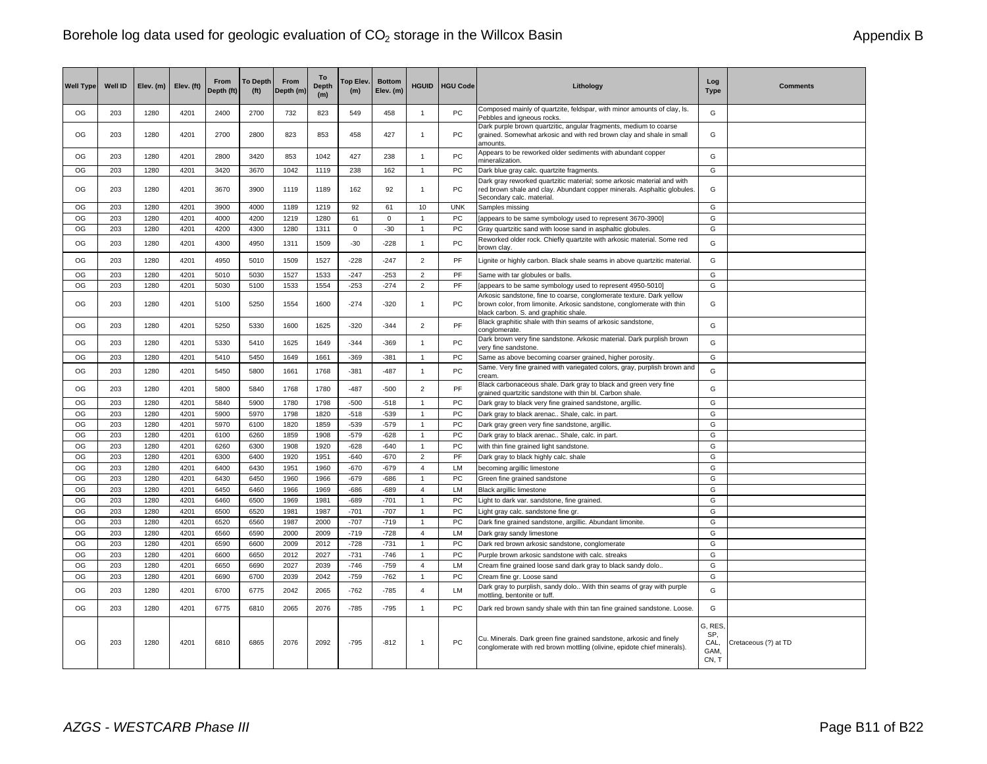| <b>Well Type</b> | <b>Well ID</b> | Elev. (m) | Elev. (ft) | <b>From</b><br>Depth (ft) | <b>To Depth</b><br>(f <sup>t</sup> ) | From<br>Depth (m) | To<br><b>Depth</b><br>(m) | op Elev.<br>(m) | <b>Bottom</b><br>Elev. (m) | <b>HGUID</b>   | <b>HGU Code</b> | Lithology                                                                                                                                                                              | Log<br><b>Type</b>                      | <b>Comments</b>      |
|------------------|----------------|-----------|------------|---------------------------|--------------------------------------|-------------------|---------------------------|-----------------|----------------------------|----------------|-----------------|----------------------------------------------------------------------------------------------------------------------------------------------------------------------------------------|-----------------------------------------|----------------------|
| OG               | 203            | 1280      | 4201       | 2400                      | 2700                                 | 732               | 823                       | 549             | 458                        | $\mathbf{1}$   | <b>PC</b>       | Composed mainly of quartzite, feldspar, with minor amounts of clay, ls.<br>Pebbles and igneous rocks.                                                                                  | G                                       |                      |
| OG               | 203            | 1280      | 4201       | 2700                      | 2800                                 | 823               | 853                       | 458             | 427                        | 1              | PC              | Dark purple brown quartzitic, angular fragments, medium to coarse<br>grained. Somewhat arkosic and with red brown clay and shale in small<br>amounts                                   | G                                       |                      |
| OG               | 203            | 1280      | 4201       | 2800                      | 3420                                 | 853               | 1042                      | 427             | 238                        | 1              | <b>PC</b>       | Appears to be reworked older sediments with abundant copper<br>mineralization.                                                                                                         | G                                       |                      |
| OG               | 203            | 1280      | 4201       | 3420                      | 3670                                 | 1042              | 1119                      | 238             | 162                        | 1              | PC              | Dark blue gray calc. quartzite fragments.                                                                                                                                              | G                                       |                      |
| OG               | 203            | 1280      | 4201       | 3670                      | 3900                                 | 1119              | 1189                      | 162             | 92                         | $\mathbf{1}$   | PC              | Dark gray reworked quartzitic material; some arkosic material and with<br>red brown shale and clay. Abundant copper minerals. Asphaltic globules.<br>Secondary calc. material.         | G                                       |                      |
| OG               | 203            | 1280      | 4201       | 3900                      | 4000                                 | 1189              | 1219                      | 92              | 61                         | 10             | <b>UNK</b>      | Samples missing                                                                                                                                                                        | G                                       |                      |
| OG               | 203            | 1280      | 4201       | 4000                      | 4200                                 | 1219              | 1280                      | 61              | $\mathbf 0$                | 1              | PC              | [appears to be same symbology used to represent 3670-3900]                                                                                                                             | G                                       |                      |
| OG               | 203            | 1280      | 4201       | 4200                      | 4300                                 | 1280              | 1311                      | 0               | $-30$                      | $\mathbf{1}$   | PC              | Gray quartzitic sand with loose sand in asphaltic globules                                                                                                                             | G                                       |                      |
| OG               | 203            | 1280      | 4201       | 4300                      | 4950                                 | 1311              | 1509                      | $-30$           | $-228$                     | $\mathbf{1}$   | <b>PC</b>       | Reworked older rock. Chiefly quartzite with arkosic material. Some red<br>brown clay.                                                                                                  | G                                       |                      |
| OG               | 203            | 1280      | 4201       | 4950                      | 5010                                 | 1509              | 1527                      | $-228$          | $-247$                     | $\overline{2}$ | PF              | Lignite or highly carbon. Black shale seams in above quartzitic material.                                                                                                              | G                                       |                      |
| OG               | 203            | 1280      | 4201       | 5010                      | 5030                                 | 1527              | 1533                      | $-247$          | $-253$                     | $\overline{2}$ | PF              | Same with tar globules or balls.                                                                                                                                                       | G                                       |                      |
| OG               | 203            | 1280      | 4201       | 5030                      | 5100                                 | 1533              | 1554                      | $-253$          | $-274$                     | $\overline{2}$ | PF              | [appears to be same symbology used to represent 4950-5010]                                                                                                                             | G                                       |                      |
| OG               | 203            | 1280      | 4201       | 5100                      | 5250                                 | 1554              | 1600                      | $-274$          | $-320$                     | $\mathbf{1}$   | <b>PC</b>       | Arkosic sandstone, fine to coarse, conglomerate texture. Dark yellow<br>brown color, from limonite. Arkosic sandstone, conglomerate with thin<br>black carbon. S. and graphitic shale. | G                                       |                      |
| OG               | 203            | 1280      | 4201       | 5250                      | 5330                                 | 1600              | 1625                      | $-320$          | $-344$                     | $\overline{2}$ | PF              | Black graphitic shale with thin seams of arkosic sandstone,<br>conglomerate.                                                                                                           | G                                       |                      |
| OG               | 203            | 1280      | 4201       | 5330                      | 5410                                 | 1625              | 1649                      | $-344$          | $-369$                     | 1              | PC              | Dark brown very fine sandstone. Arkosic material. Dark purplish brown<br>very fine sandstone.                                                                                          | G                                       |                      |
| OG               | 203            | 1280      | 4201       | 5410                      | 5450                                 | 1649              | 1661                      | -369            | $-381$                     | $\overline{1}$ | PC              | Same as above becoming coarser grained, higher porosity.                                                                                                                               | G                                       |                      |
| OG               | 203            | 1280      | 4201       | 5450                      | 5800                                 | 1661              | 1768                      | $-381$          | $-487$                     | $\mathbf{1}$   | PC              | Same. Very fine grained with variegated colors, gray, purplish brown and<br>cream                                                                                                      | G                                       |                      |
| OG               | 203            | 1280      | 4201       | 5800                      | 5840                                 | 1768              | 1780                      | $-487$          | $-500$                     | $\overline{2}$ | PF              | Black carbonaceous shale. Dark gray to black and green very fine<br>grained quartzitic sandstone with thin bl. Carbon shale                                                            | G                                       |                      |
| OG               | 203            | 1280      | 4201       | 5840                      | 5900                                 | 1780              | 1798                      | $-500$          | $-518$                     | $\mathbf{1}$   | PC              | Dark gray to black very fine grained sandstone, argillic.                                                                                                                              | G                                       |                      |
| OG               | 203            | 1280      | 4201       | 5900                      | 5970                                 | 1798              | 1820                      | $-518$          | $-539$                     | $\mathbf{1}$   | PC.             | Dark gray to black arenac Shale, calc. in part.                                                                                                                                        | G                                       |                      |
| OG               | 203            | 1280      | 4201       | 5970                      | 6100                                 | 1820              | 1859                      | $-539$          | $-579$                     | $\mathbf{1}$   | PC              | Dark gray green very fine sandstone, argillic.                                                                                                                                         | G                                       |                      |
| OG               | 203            | 1280      | 4201       | 6100                      | 6260                                 | 1859              | 1908                      | $-579$          | $-628$                     | $\mathbf{1}$   | PC              | Dark gray to black arenac Shale, calc. in part.                                                                                                                                        | G                                       |                      |
| OG               | 203            | 1280      | 4201       | 6260                      | 6300                                 | 1908              | 1920                      | $-628$          | $-640$                     | $\mathbf{1}$   | <b>PC</b>       | with thin fine grained light sandstone.                                                                                                                                                | G                                       |                      |
| OG               | 203            | 1280      | 4201       | 6300                      | 6400                                 | 1920              | 1951                      | $-640$          | $-670$                     | $\overline{2}$ | PF              | Dark gray to black highly calc. shale                                                                                                                                                  | G                                       |                      |
| OG               | 203            | 1280      | 4201       | 6400                      | 6430                                 | 1951              | 1960                      | $-670$          | $-679$                     | $\overline{4}$ | LM              | becoming argillic limestone                                                                                                                                                            | G                                       |                      |
| OG               | 203            | 1280      | 4201       | 6430                      | 6450                                 | 1960              | 1966                      | $-679$          | $-686$                     | -1             | PC.             | Green fine grained sandstone                                                                                                                                                           | G                                       |                      |
| OG               | 203            | 1280      | 4201       | 6450                      | 6460                                 | 1966              | 1969                      | $-686$          | $-689$                     | $\overline{4}$ | LM              | <b>Black argillic limestone</b>                                                                                                                                                        | G                                       |                      |
| OG               | 203            | 1280      | 4201       | 6460                      | 6500                                 | 1969              | 1981                      | $-689$          | $-701$                     | $\mathbf{1}$   | <b>PC</b>       | Light to dark var. sandstone, fine grained.                                                                                                                                            | G                                       |                      |
| OG               | 203            | 1280      | 4201       | 6500                      | 6520                                 | 1981              | 1987                      | $-701$          | $-707$                     | 1              | PC              | Light gray calc. sandstone fine gr.                                                                                                                                                    | G                                       |                      |
| OG               | 203            | 1280      | 4201       | 6520                      | 6560                                 | 1987              | 2000                      | $-707$          | $-719$                     | $\overline{1}$ | PC              | Dark fine grained sandstone, argillic. Abundant limonite.                                                                                                                              | G                                       |                      |
| OG               | 203            | 1280      | 4201       | 6560                      | 6590                                 | 2000              | 2009                      | $-719$          | $-728$                     | $\overline{4}$ | LM              | Dark gray sandy limestone                                                                                                                                                              | G                                       |                      |
| OG               | 203            | 1280      | 4201       | 6590                      | 6600                                 | 2009              | 2012                      | $-728$          | $-731$                     | -1             | PC              | Dark red brown arkosic sandstone, conglomerate                                                                                                                                         | G                                       |                      |
| OG               | 203            | 1280      | 4201       | 6600                      | 6650                                 | 2012              | 2027                      | $-731$          | $-746$                     | $\mathbf{1}$   | PC              | Purple brown arkosic sandstone with calc. streaks                                                                                                                                      | G                                       |                      |
| OG               | 203            | 1280      | 4201       | 6650                      | 6690                                 | 2027              | 2039                      | $-746$          | $-759$                     | $\overline{4}$ | <b>LM</b>       | Cream fine grained loose sand dark gray to black sandy dolo                                                                                                                            | G                                       |                      |
| OG               | 203            | 1280      | 4201       | 6690                      | 6700                                 | 2039              | 2042                      | $-759$          | $-762$                     | 1              | PC              | Cream fine gr. Loose sand                                                                                                                                                              | G                                       |                      |
| OG               | 203            | 1280      | 4201       | 6700                      | 6775                                 | 2042              | 2065                      | $-762$          | $-785$                     | $\overline{4}$ | LM              | Dark gray to purplish, sandy dolo With thin seams of gray with purple<br>mottling, bentonite or tuff.                                                                                  | G                                       |                      |
| OG               | 203            | 1280      | 4201       | 6775                      | 6810                                 | 2065              | 2076                      | $-785$          | $-795$                     | $\mathbf{1}$   | PC              | Dark red brown sandy shale with thin tan fine grained sandstone. Loose.                                                                                                                | G                                       |                      |
| OG               | 203            | 1280      | 4201       | 6810                      | 6865                                 | 2076              | 2092                      | $-795$          | $-812$                     | 1              | <b>PC</b>       | Cu. Minerals. Dark green fine grained sandstone, arkosic and finely<br>conglomerate with red brown mottling (olivine, epidote chief minerals).                                         | G, RES,<br>SP,<br>CAL,<br>GAM.<br>CN, T | Cretaceous (?) at TD |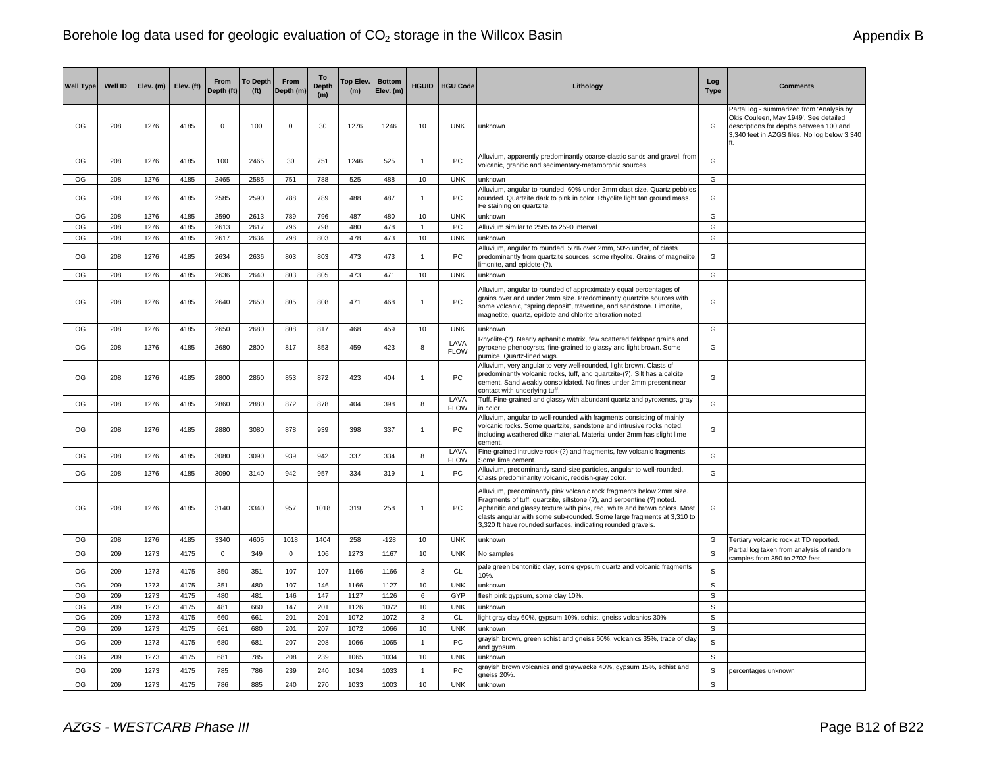| <b>Well Type</b> | Well ID | Elev. (m) | Elev. (ft) | From<br>Depth (ft) | <b>To Depth</b><br>(f <sup>t</sup> ) | From<br>Depth (m | To<br><b>Depth</b><br>(m) | <b>Top Elev</b><br>(m) | <b>Bottom</b><br>Elev. (m) | <b>HGUID</b>   | <b>HGU Code</b>     | Lithology                                                                                                                                                                                                                                                                                                                                                            | Log<br><b>Type</b> | <b>Comments</b>                                                                                                                                                               |
|------------------|---------|-----------|------------|--------------------|--------------------------------------|------------------|---------------------------|------------------------|----------------------------|----------------|---------------------|----------------------------------------------------------------------------------------------------------------------------------------------------------------------------------------------------------------------------------------------------------------------------------------------------------------------------------------------------------------------|--------------------|-------------------------------------------------------------------------------------------------------------------------------------------------------------------------------|
| OG               | 208     | 1276      | 4185       | 0                  | 100                                  | $\mathbf 0$      | 30                        | 1276                   | 1246                       | 10             | <b>UNK</b>          | unknown                                                                                                                                                                                                                                                                                                                                                              | G                  | Partal log - summarized from 'Analysis by<br>Okis Couleen, May 1949'. See detailed<br>descriptions for depths between 100 and<br>3,340 feet in AZGS files. No log below 3,340 |
| OG               | 208     | 1276      | 4185       | 100                | 2465                                 | 30               | 751                       | 1246                   | 525                        | $\overline{1}$ | PC                  | Alluvium, apparently predominantly coarse-clastic sands and gravel, from<br>volcanic, granitic and sedimentary-metamorphic sources.                                                                                                                                                                                                                                  | G                  |                                                                                                                                                                               |
| OG               | 208     | 1276      | 4185       | 2465               | 2585                                 | 751              | 788                       | 525                    | 488                        | 10             | <b>UNK</b>          | unknown                                                                                                                                                                                                                                                                                                                                                              | G                  |                                                                                                                                                                               |
| OG               | 208     | 1276      | 4185       | 2585               | 2590                                 | 788              | 789                       | 488                    | 487                        | $\overline{1}$ | PC                  | Alluvium, angular to rounded, 60% under 2mm clast size. Quartz pebbles<br>rounded. Quartzite dark to pink in color. Rhyolite light tan ground mass.<br>Fe staining on quartzite.                                                                                                                                                                                     | G                  |                                                                                                                                                                               |
| OG               | 208     | 1276      | 4185       | 2590               | 2613                                 | 789              | 796                       | 487                    | 480                        | 10             | <b>UNK</b>          | unknown                                                                                                                                                                                                                                                                                                                                                              | G                  |                                                                                                                                                                               |
| OG               | 208     | 1276      | 4185       | 2613               | 2617                                 | 796              | 798                       | 480                    | 478                        | $\overline{1}$ | PC                  | Alluvium similar to 2585 to 2590 interval                                                                                                                                                                                                                                                                                                                            | G                  |                                                                                                                                                                               |
| OG               | 208     | 1276      | 4185       | 2617               | 2634                                 | 798              | 803                       | 478                    | 473                        | 10             | <b>UNK</b>          | unknown                                                                                                                                                                                                                                                                                                                                                              | G                  |                                                                                                                                                                               |
| OG               | 208     | 1276      | 4185       | 2634               | 2636                                 | 803              | 803                       | 473                    | 473                        | $\overline{1}$ | PC                  | Alluvium, angular to rounded, 50% over 2mm, 50% under, of clasts<br>predominantly from quartzite sources, some rhyolite. Grains of magneiite<br>limonite, and epidote-(?).                                                                                                                                                                                           | G                  |                                                                                                                                                                               |
| OG               | 208     | 1276      | 4185       | 2636               | 2640                                 | 803              | 805                       | 473                    | 471                        | 10             | <b>UNK</b>          | unknown                                                                                                                                                                                                                                                                                                                                                              | G                  |                                                                                                                                                                               |
| OG               | 208     | 1276      | 4185       | 2640               | 2650                                 | 805              | 808                       | 471                    | 468                        | $\overline{1}$ | PC                  | Alluvium, angular to rounded of approximately equal percentages of<br>grains over and under 2mm size. Predominantly quartzite sources with<br>some volcanic, "spring deposit", travertine, and sandstone. Limonite,<br>magnetite, quartz, epidote and chlorite alteration noted.                                                                                     | G                  |                                                                                                                                                                               |
| OG               | 208     | 1276      | 4185       | 2650               | 2680                                 | 808              | 817                       | 468                    | 459                        | 10             | <b>UNK</b>          | unknown                                                                                                                                                                                                                                                                                                                                                              | G                  |                                                                                                                                                                               |
| OG               | 208     | 1276      | 4185       | 2680               | 2800                                 | 817              | 853                       | 459                    | 423                        | 8              | LAVA<br><b>FLOW</b> | Rhyolite-(?). Nearly aphanitic matrix, few scattered feldspar grains and<br>pyroxene phenocyrsts, fine-grained to glassy and light brown. Some<br>pumice. Quartz-lined vugs.                                                                                                                                                                                         | G                  |                                                                                                                                                                               |
| OG               | 208     | 1276      | 4185       | 2800               | 2860                                 | 853              | 872                       | 423                    | 404                        | $\overline{1}$ | PC                  | Alluvium, very angular to very well-rounded, light brown. Clasts of<br>predominantly volcanic rocks, tuff, and quartzite-(?). Silt has a calcite<br>cement. Sand weakly consolidated. No fines under 2mm present near<br>contact with underlying tuff.                                                                                                               | G                  |                                                                                                                                                                               |
| OG               | 208     | 1276      | 4185       | 2860               | 2880                                 | 872              | 878                       | 404                    | 398                        | 8              | LAVA<br><b>FLOW</b> | Tuff. Fine-grained and glassy with abundant quartz and pyroxenes, gray<br>in color.                                                                                                                                                                                                                                                                                  | G                  |                                                                                                                                                                               |
| OG               | 208     | 1276      | 4185       | 2880               | 3080                                 | 878              | 939                       | 398                    | 337                        | $\overline{1}$ | PC                  | Alluvium, angular to well-rounded with fragments consisting of mainly<br>volcanic rocks. Some quartzite, sandstone and intrusive rocks noted,<br>including weathered dike material. Material under 2mm has slight lime<br>cement.                                                                                                                                    | G                  |                                                                                                                                                                               |
| OG               | 208     | 1276      | 4185       | 3080               | 3090                                 | 939              | 942                       | 337                    | 334                        | 8              | LAVA<br><b>FLOW</b> | Fine-grained intrusive rock-(?) and fragments, few volcanic fragments.<br>Some lime cement.                                                                                                                                                                                                                                                                          | G                  |                                                                                                                                                                               |
| OG               | 208     | 1276      | 4185       | 3090               | 3140                                 | 942              | 957                       | 334                    | 319                        | $\overline{1}$ | PC                  | Alluvium, predominantly sand-size particles, angular to well-rounded.<br>Clasts predominanlty volcanic, reddish-gray color.                                                                                                                                                                                                                                          | G                  |                                                                                                                                                                               |
| OG               | 208     | 1276      | 4185       | 3140               | 3340                                 | 957              | 1018                      | 319                    | 258                        | $\overline{1}$ | PC                  | Alluvium, predominantly pink volcanic rock fragments below 2mm size.<br>Fragments of tuff, quartzite, siltstone (?), and serpentine (?) noted.<br>Aphanitic and glassy texture with pink, red, white and brown colors. Most<br>clasts angular with some sub-rounded. Some large fragments at 3,310 to<br>3,320 ft have rounded surfaces, indicating rounded gravels. | G                  |                                                                                                                                                                               |
| OG               | 208     | 1276      | 4185       | 3340               | 4605                                 | 1018             | 1404                      | 258                    | $-128$                     | 10             | <b>UNK</b>          | unknown                                                                                                                                                                                                                                                                                                                                                              | G                  | Tertiary volcanic rock at TD reported.                                                                                                                                        |
| OG               | 209     | 1273      | 4175       | 0                  | 349                                  | $\mathbf 0$      | 106                       | 1273                   | 1167                       | 10             | <b>UNK</b>          | No samples                                                                                                                                                                                                                                                                                                                                                           | S                  | Partial log taken from analysis of random<br>samples from 350 to 2702 feet.                                                                                                   |
| OG               | 209     | 1273      | 4175       | 350                | 351                                  | 107              | 107                       | 1166                   | 1166                       | $\mathbf{3}$   | CL                  | pale green bentonitic clay, some gypsum quartz and volcanic fragments<br>10%.                                                                                                                                                                                                                                                                                        | S                  |                                                                                                                                                                               |
| OG               | 209     | 1273      | 4175       | 351                | 480                                  | 107              | 146                       | 1166                   | 1127                       | 10             | <b>UNK</b>          | unknown                                                                                                                                                                                                                                                                                                                                                              | S                  |                                                                                                                                                                               |
| OG               | 209     | 1273      | 4175       | 480                | 481                                  | 146              | 147                       | 1127                   | 1126                       | 6              | GYP                 | flesh pink gypsum, some clay 10%.                                                                                                                                                                                                                                                                                                                                    | S                  |                                                                                                                                                                               |
| OG               | 209     | 1273      | 4175       | 481                | 660                                  | 147              | 201                       | 1126                   | 1072                       | 10             | <b>UNK</b>          | unknown                                                                                                                                                                                                                                                                                                                                                              | $\mathbb S$        |                                                                                                                                                                               |
| OG               | 209     | 1273      | 4175       | 660                | 661                                  | 201              | 201                       | 1072                   | 1072                       | 3              | <b>CL</b>           | light gray clay 60%, gypsum 10%, schist, gneiss volcanics 30%                                                                                                                                                                                                                                                                                                        | $\mathbb S$        |                                                                                                                                                                               |
| OG               | 209     | 1273      | 4175       | 661                | 680                                  | 201              | 207                       | 1072                   | 1066                       | 10             | <b>UNK</b>          | unknown                                                                                                                                                                                                                                                                                                                                                              | $\mathbb S$        |                                                                                                                                                                               |
| OG               | 209     | 1273      | 4175       | 680                | 681                                  | 207              | 208                       | 1066                   | 1065                       | $\overline{1}$ | PC                  | grayish brown, green schist and gneiss 60%, volcanics 35%, trace of clay<br>and gypsum.                                                                                                                                                                                                                                                                              | S                  |                                                                                                                                                                               |
| OG               | 209     | 1273      | 4175       | 681                | 785                                  | 208              | 239                       | 1065                   | 1034                       | $10$           | <b>UNK</b>          | unknown                                                                                                                                                                                                                                                                                                                                                              | S                  |                                                                                                                                                                               |
| OG               | 209     | 1273      | 4175       | 785                | 786                                  | 239              | 240                       | 1034                   | 1033                       | $\overline{1}$ | <b>PC</b>           | grayish brown volcanics and graywacke 40%, gypsum 15%, schist and<br>aneiss 20%                                                                                                                                                                                                                                                                                      | S                  | percentages unknown                                                                                                                                                           |
| OG               | 209     | 1273      | 4175       | 786                | 885                                  | 240              | 270                       | 1033                   | 1003                       | 10             | <b>UNK</b>          | unknown                                                                                                                                                                                                                                                                                                                                                              | S                  |                                                                                                                                                                               |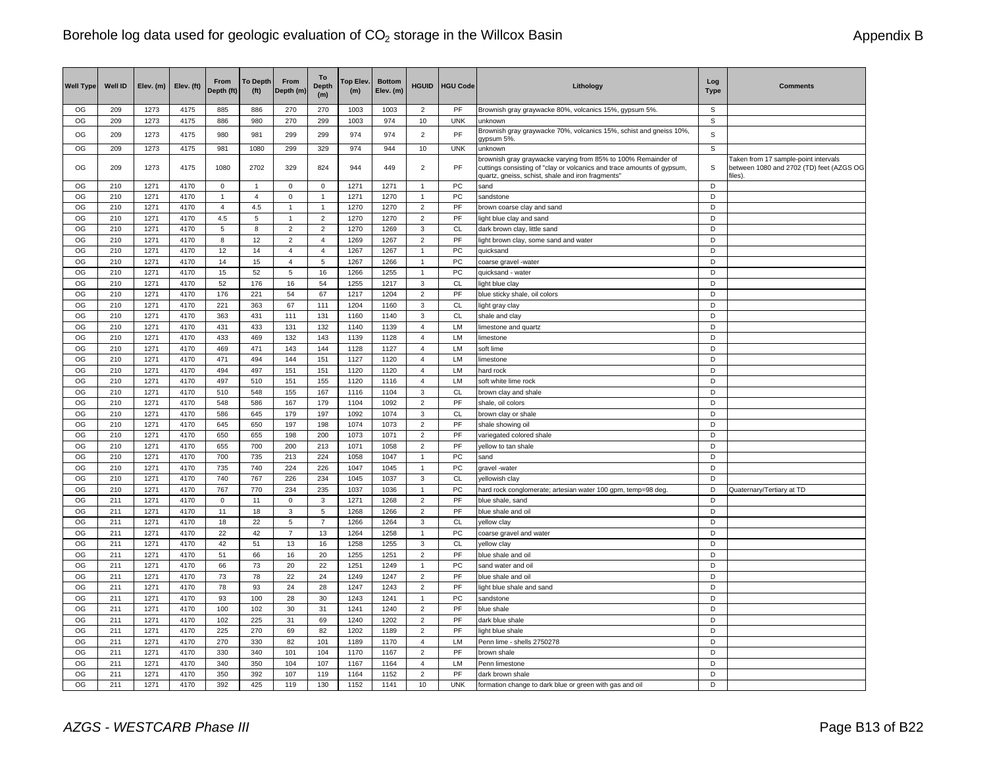| <b>Well Type</b> | <b>Well ID</b> | Elev. (m)    | Elev. (ft)   | From<br>Depth (ft) | <b>To Depth</b><br>(f <sup>t</sup> ) | From<br>Depth (m) | To<br><b>Depth</b><br>(m) | Top Elev.<br>(m) | <b>Bottom</b><br>Elev. (m) | <b>HGUID</b>            | <b>HGU Code</b> | Lithology                                                                                                                                                                                    | Log<br><b>Type</b> | <b>Comments</b>                                                                             |
|------------------|----------------|--------------|--------------|--------------------|--------------------------------------|-------------------|---------------------------|------------------|----------------------------|-------------------------|-----------------|----------------------------------------------------------------------------------------------------------------------------------------------------------------------------------------------|--------------------|---------------------------------------------------------------------------------------------|
| OG               | 209            | 1273         | 4175         | 885                | 886                                  | 270               | 270                       | 1003             | 1003                       | $\overline{2}$          | <b>PF</b>       | Brownish gray graywacke 80%, volcanics 15%, gypsum 5%.                                                                                                                                       | s                  |                                                                                             |
| OG               | 209            | 1273         | 4175         | 886                | 980                                  | 270               | 299                       | 1003             | 974                        | 10                      | <b>UNK</b>      | unknown                                                                                                                                                                                      | $\mathsf S$        |                                                                                             |
| OG               | 209            | 1273         | 4175         | 980                | 981                                  | 299               | 299                       | 974              | 974                        | $\mathbf 2$             | PF              | Brownish gray graywacke 70%, volcanics 15%, schist and gneiss 10%,<br>gypsum 5%                                                                                                              | $\mathbb S$        |                                                                                             |
| OG               | 209            | 1273         | 4175         | 981                | 1080                                 | 299               | 329                       | 974              | 944                        | 10                      | <b>UNK</b>      | unknown                                                                                                                                                                                      | $\mathbb S$        |                                                                                             |
| OG               | 209            | 1273         | 4175         | 1080               | 2702                                 | 329               | 824                       | 944              | 449                        | $\overline{2}$          | <b>PF</b>       | brownish gray graywacke varying from 85% to 100% Remainder of<br>cuttings consisting of "clay or volcanics and trace amounts of gypsum,<br>quartz, gneiss, schist, shale and iron fragments" | S                  | Taken from 17 sample-point intervals<br>between 1080 and 2702 (TD) feet (AZGS OG<br>files). |
| OG               | 210            | 1271         | 4170         | $\mathbf 0$        | 1                                    | 0                 | 0                         | 1271             | 1271                       | 1                       | PC              | sand                                                                                                                                                                                         | D                  |                                                                                             |
| OG               | 210            | 1271         | 4170         | $\mathbf{1}$       | $\overline{4}$                       | $\mathbf 0$       | $\mathbf{1}$              | 1271             | 1270                       | 1                       | PC              | sandstone                                                                                                                                                                                    | D                  |                                                                                             |
| OG               | 210            | 1271         | 4170         | $\overline{4}$     | 4.5                                  | $\mathbf{1}$      | $\mathbf{1}$              | 1270             | 1270                       | $\overline{c}$          | PF              | brown coarse clay and sand                                                                                                                                                                   | D                  |                                                                                             |
| OG               | 210            | 1271         | 4170         | 4.5                | 5                                    | $\mathbf{1}$      | $\overline{2}$            | 1270             | 1270                       | $\overline{2}$          | PF              | light blue clay and sand                                                                                                                                                                     | D                  |                                                                                             |
| OG               | 210            | 1271         | 4170         | 5                  | 8                                    | $\overline{2}$    | $\overline{2}$            | 1270             | 1269                       | 3                       | CL              | dark brown clay, little sand                                                                                                                                                                 | D                  |                                                                                             |
| OG               | 210            | 1271         | 4170         | 8                  | 12                                   | $\overline{2}$    | $\overline{4}$            | 1269             | 1267                       | $\overline{2}$          | PF              | light brown clay, some sand and water                                                                                                                                                        | D                  |                                                                                             |
| OG               | 210            | 1271         | 4170         | 12                 | 14                                   | $\sqrt{4}$        | $\overline{4}$            | 1267             | 1267                       | $\overline{1}$          | PC              | quicksand                                                                                                                                                                                    | D                  |                                                                                             |
| OG               | 210            | 1271         | 4170         | 14                 | 15                                   | $\overline{4}$    | 5                         | 1267             | 1266                       | 1                       | PC              | coarse gravel -water                                                                                                                                                                         | D                  |                                                                                             |
| OG               | 210            | 1271         | 4170         | 15                 | 52                                   | 5                 | 16                        | 1266             | 1255                       | $\mathbf{1}$            | PC              | quicksand - water                                                                                                                                                                            | D                  |                                                                                             |
| OG               | 210            | 1271         | 4170         | 52                 | 176                                  | 16                | 54                        | 1255             | 1217                       | 3                       | <b>CL</b>       | light blue clay                                                                                                                                                                              | D                  |                                                                                             |
| OG               | 210            | 1271         | 4170         | 176                | 221                                  | 54                | 67                        | 1217             | 1204                       | $\overline{2}$          | PF              | blue sticky shale, oil colors                                                                                                                                                                | D                  |                                                                                             |
| OG               | 210            | 1271         | 4170         | 221                | 363                                  | 67                | 111                       | 1204             | 1160                       | 3                       | CL              | light gray clay                                                                                                                                                                              | D                  |                                                                                             |
| OG               | 210            | 1271         | 4170         | 363                | 431                                  | 111               | 131                       | 1160             | 1140                       | 3                       | <b>CL</b>       | shale and clay                                                                                                                                                                               | D                  |                                                                                             |
| OG               | 210            | 1271         | 4170         | 431                | 433                                  | 131               | 132                       | 1140             | 1139                       | $\overline{4}$          | LM              | limestone and quartz                                                                                                                                                                         | D                  |                                                                                             |
| OG               | 210            | 1271         | 4170         | 433                | 469                                  | 132               | 143                       | 1139             | 1128                       | $\overline{4}$          | LM              | limestone                                                                                                                                                                                    | D                  |                                                                                             |
| OG               | 210            | 1271         | 4170         | 469                | 471                                  | 143               | 144                       | 1128             | 1127                       | $\overline{4}$          | <b>LM</b>       | soft lime                                                                                                                                                                                    | D                  |                                                                                             |
| OG               | 210            | 1271         | 4170         | 471                | 494                                  | 144               | 151                       | 1127             | 1120                       | $\overline{4}$          | LM              | limestone                                                                                                                                                                                    | D                  |                                                                                             |
| OG               | 210            | 1271         | 4170         | 494                | 497                                  | 151               | 151                       | 1120             | 1120                       | $\overline{4}$          | LM              | hard rock                                                                                                                                                                                    | D                  |                                                                                             |
| OG               | 210            | 1271         | 4170         | 497                | 510                                  | 151               | 155                       | 1120             | 1116                       | $\overline{4}$          | LM              | soft white lime rock                                                                                                                                                                         | D                  |                                                                                             |
| OG               | 210            | 1271         | 4170         | 510                | 548                                  | 155               | 167                       | 1116             | 1104                       | 3                       | <b>CL</b>       | brown clay and shale                                                                                                                                                                         | D                  |                                                                                             |
| OG               | 210            | 1271         | 4170         | 548                | 586                                  | 167               | 179                       | 1104             | 1092                       | $\overline{2}$          | PF              | shale, oil colors                                                                                                                                                                            | D                  |                                                                                             |
| OG               | 210            | 1271         | 4170         | 586                | 645                                  | 179               | 197                       | 1092             | 1074                       | 3                       | CL<br>PF        | brown clay or shale                                                                                                                                                                          | D                  |                                                                                             |
| OG               | 210            | 1271         | 4170         | 645                | 650                                  | 197               | 198                       | 1074             | 1073                       | $\overline{2}$          |                 | shale showing oil                                                                                                                                                                            | D<br>D             |                                                                                             |
| OG               | 210            | 1271         | 4170         | 650                | 655                                  | 198               | 200                       | 1073             | 1071                       | $\overline{c}$          | PF              | variegated colored shale                                                                                                                                                                     |                    |                                                                                             |
| OG<br>OG         | 210<br>210     | 1271         | 4170         | 655<br>700         | 700                                  | 200               | 213                       | 1071             | 1058                       | $\overline{2}$<br>1     | PF<br>PC        | yellow to tan shale                                                                                                                                                                          | D<br>D             |                                                                                             |
| OG               | 210            | 1271<br>1271 | 4170<br>4170 | 735                | 735<br>740                           | 213<br>224        | 224<br>226                | 1058<br>1047     | 1047<br>1045               | $\mathbf{1}$            | PC              | sand<br>gravel -water                                                                                                                                                                        | D                  |                                                                                             |
| OG               | 210            | 1271         | 4170         | 740                | 767                                  | 226               | 234                       | 1045             | 1037                       | 3                       | CL              | yellowish clay                                                                                                                                                                               | D                  |                                                                                             |
| OG               | 210            | 1271         | 4170         | 767                | 770                                  | 234               | 235                       | 1037             | 1036                       | $\mathbf{1}$            | PC              | hard rock conglomerate; artesian water 100 gpm, temp=98 deg.                                                                                                                                 | D                  | Quaternary/Tertiary at TD                                                                   |
| OG               | 211            | 1271         | 4170         | $\mathsf 0$        | 11                                   | $\mathbf 0$       | 3                         | 1271             | 1268                       | $\overline{c}$          | PF              | blue shale, sand                                                                                                                                                                             | D                  |                                                                                             |
| OG               | 211            | 1271         | 4170         | 11                 | 18                                   | 3                 | 5                         | 1268             | 1266                       | $\overline{2}$          | PF              | blue shale and oil                                                                                                                                                                           | D                  |                                                                                             |
| OG               | 211            | 1271         | 4170         | 18                 | 22                                   | 5                 | $\overline{7}$            | 1266             | 1264                       | 3                       | <b>CL</b>       | yellow clay                                                                                                                                                                                  | D                  |                                                                                             |
| OG               | 211            | 1271         | 4170         | 22                 | 42                                   | $\overline{7}$    | 13                        | 1264             | 1258                       | $\mathbf{1}$            | PC              | coarse gravel and water                                                                                                                                                                      | D                  |                                                                                             |
| OG               | 211            | 1271         | 4170         | 42                 | 51                                   | 13                | 16                        | 1258             | 1255                       | 3                       | CL              | yellow clay                                                                                                                                                                                  | D                  |                                                                                             |
| OG               | 211            | 1271         | 4170         | 51                 | 66                                   | 16                | 20                        | 1255             | 1251                       | $\overline{2}$          | PF              | blue shale and oil                                                                                                                                                                           | D                  |                                                                                             |
| OG               | 211            | 1271         | 4170         | 66                 | 73                                   | 20                | 22                        | 1251             | 1249                       | $\overline{1}$          | PC              | sand water and oil                                                                                                                                                                           | D                  |                                                                                             |
| OG               | 211            | 1271         | 4170         | 73                 | 78                                   | 22                | 24                        | 1249             | 1247                       | $\overline{2}$          | PF              | blue shale and oil                                                                                                                                                                           | D                  |                                                                                             |
| OG               | 211            | 1271         | 4170         | 78                 | 93                                   | 24                | 28                        | 1247             | 1243                       | $\overline{\mathbf{c}}$ | PF              | light blue shale and sand                                                                                                                                                                    | D                  |                                                                                             |
| OG               | 211            | 1271         | 4170         | 93                 | 100                                  | 28                | 30                        | 1243             | 1241                       | $\mathbf{1}$            | PC              | sandstone                                                                                                                                                                                    | D                  |                                                                                             |
| OG               | 211            | 1271         | 4170         | 100                | 102                                  | 30                | 31                        | 1241             | 1240                       | $\overline{2}$          | PF              | blue shale                                                                                                                                                                                   | D                  |                                                                                             |
| OG               | 211            | 1271         | 4170         | 102                | 225                                  | 31                | 69                        | 1240             | 1202                       | $\overline{2}$          | PF              | dark blue shale                                                                                                                                                                              | D                  |                                                                                             |
| OG               | 211            | 1271         | 4170         | 225                | 270                                  | 69                | 82                        | 1202             | 1189                       | $\overline{\mathbf{c}}$ | PF              | light blue shale                                                                                                                                                                             | D                  |                                                                                             |
| OG               | 211            | 1271         | 4170         | 270                | 330                                  | 82                | 101                       | 1189             | 1170                       | 4                       | LM              | Penn lime - shells 2750278                                                                                                                                                                   | D                  |                                                                                             |
| OG               | 211            | 1271         | 4170         | 330                | 340                                  | 101               | 104                       | 1170             | 1167                       | $\overline{\mathbf{c}}$ | PF              | brown shale                                                                                                                                                                                  | D                  |                                                                                             |
| OG               | 211            | 1271         | 4170         | 340                | 350                                  | 104               | 107                       | 1167             | 1164                       | $\overline{4}$          | <b>LM</b>       | Penn limestone                                                                                                                                                                               | D                  |                                                                                             |
| OG               | 211            | 1271         | 4170         | 350                | 392                                  | 107               | 119                       | 1164             | 1152                       | $\overline{2}$          | PF              | dark brown shale                                                                                                                                                                             | D                  |                                                                                             |
| OG               | 211            | 1271         | 4170         | 392                | 425                                  | 119               | 130                       | 1152             | 1141                       | 10                      | <b>UNK</b>      | formation change to dark blue or green with gas and oil                                                                                                                                      | D                  |                                                                                             |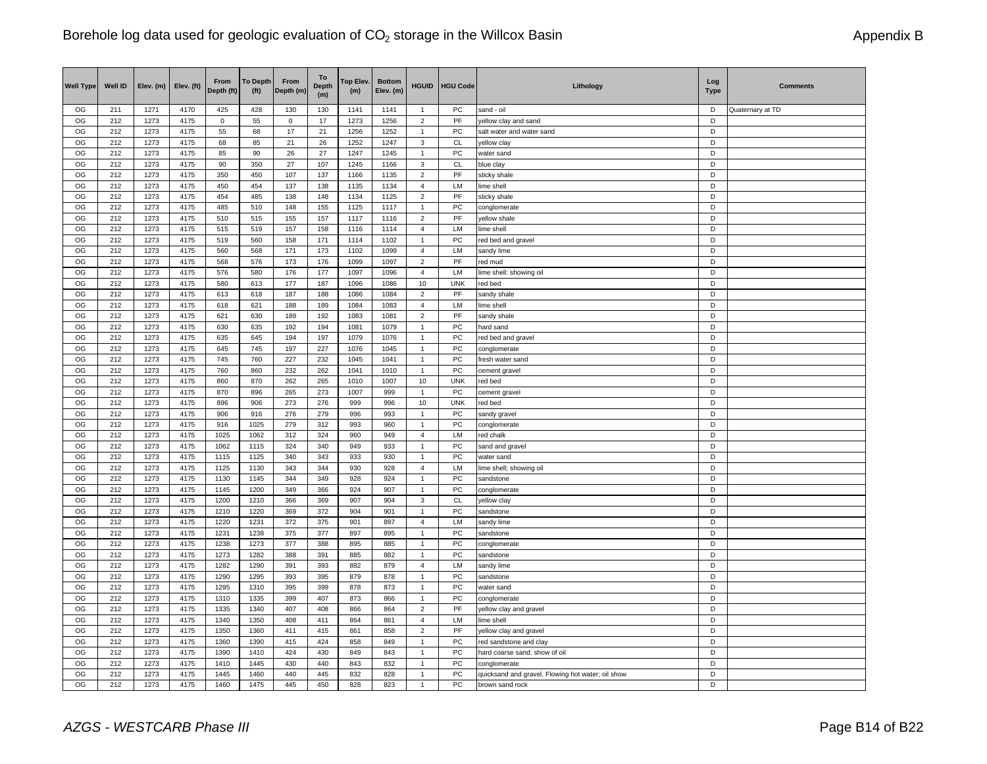| <b>Well Type</b> | Well ID    | Elev. (m)    | Elev. (ft)   | From<br>Depth (ft) | <b>To Depth</b><br>(f <sup>t</sup> ) | From<br>Depth (m) | To<br><b>Depth</b><br>(m) | Top Elev.<br>(m) | <b>Bottom</b><br>Elev. (m) | <b>HGUID</b>                     | <b>HGU Code</b>            | Lithology                                         | Log<br><b>Type</b> | <b>Comments</b>  |
|------------------|------------|--------------|--------------|--------------------|--------------------------------------|-------------------|---------------------------|------------------|----------------------------|----------------------------------|----------------------------|---------------------------------------------------|--------------------|------------------|
| OG               | 211        | 1271         | 4170         | 425                | 428                                  | 130               | 130                       | 1141             | 1141                       | $\overline{1}$                   | PC                         | sand - oil                                        | D                  | Quaternary at TD |
| OG               | 212        | 1273         | 4175         | $\mathbf 0$        | 55                                   | $\mathbf 0$       | 17                        | 1273             | 1256                       | $\overline{2}$                   | PF                         | yellow clay and sand                              | D                  |                  |
| OG               | 212        | 1273         | 4175         | 55                 | 68                                   | 17                | 21                        | 1256             | 1252                       | $\mathbf{1}$                     | PC                         | salt water and water sand                         | D                  |                  |
| OG               | 212        | 1273         | 4175         | 68                 | 85                                   | 21                | 26                        | 1252             | 1247                       | 3                                | <b>CL</b>                  | yellow clay                                       | D                  |                  |
| OG               | 212        | 1273         | 4175         | 85                 | 90                                   | 26                | 27                        | 1247             | 1245                       | 1                                | PC                         | water sand                                        | D                  |                  |
| OG               | 212        | 1273         | 4175         | 90                 | 350                                  | 27                | 107                       | 1245             | 1166                       | 3                                | <b>CL</b>                  | blue clay                                         | D                  |                  |
| OG               | 212        | 1273         | 4175         | 350                | 450                                  | 107               | 137                       | 1166             | 1135                       | $\overline{\mathbf{c}}$          | $\ensuremath{\mathsf{PF}}$ | sticky shale                                      | D                  |                  |
| OG               | 212        | 1273         | 4175         | 450                | 454                                  | 137               | 138                       | 1135             | 1134                       | 4                                | LM                         | lime shell                                        | D                  |                  |
| OG               | 212        | 1273         | 4175         | 454                | 485                                  | 138               | 148                       | 1134             | 1125                       | $\overline{2}$                   | PF                         | sticky shale                                      | D                  |                  |
| OG               | 212        | 1273         | 4175         | 485                | 510                                  | 148               | 155                       | 1125             | 1117                       | 1                                | PC                         | conglomerate                                      | D                  |                  |
| OG               | 212        | 1273         | 4175         | 510                | 515                                  | 155               | 157                       | 1117             | 1116                       | $\overline{\mathbf{c}}$          | PF                         | yellow shale                                      | D                  |                  |
| OG               | 212        | 1273         | 4175         | 515                | 519                                  | 157               | 158                       | 1116             | 1114                       | 4<br>1                           | LM                         | lime shell                                        | D<br>D             |                  |
| OG<br>OG         | 212<br>212 | 1273         | 4175         | 519<br>560         | 560                                  | 158               | 171                       | 1114<br>1102     | 1102                       | $\overline{4}$                   | PC<br>LM                   | red bed and gravel                                | D                  |                  |
| OG               | 212        | 1273<br>1273 | 4175<br>4175 | 568                | 568<br>576                           | 171<br>173        | 173<br>176                | 1099             | 1099<br>1097               | $\overline{2}$                   | <b>PF</b>                  | sandy lime<br>red mud                             | D                  |                  |
| OG               | 212        | 1273         | 4175         | 576                | 580                                  | 176               | 177                       | 1097             | 1096                       | $\overline{4}$                   | LM                         | lime shell: showing oil                           | D                  |                  |
| OG               | 212        | 1273         | 4175         | 580                | 613                                  | 177               | 187                       | 1096             | 1086                       | 10                               | <b>UNK</b>                 | red bed                                           | D                  |                  |
| OG               | 212        | 1273         | 4175         | 613                | 618                                  | 187               | 188                       | 1086             | 1084                       | $\overline{\mathbf{c}}$          | PF                         | sandy shale                                       | D                  |                  |
| OG               | 212        | 1273         | 4175         | 618                | 621                                  | 188               | 189                       | 1084             | 1083                       | 4                                | LM                         | lime shell                                        | D                  |                  |
| OG               | 212        | 1273         | 4175         | 621                | 630                                  | 189               | 192                       | 1083             | 1081                       | $\overline{2}$                   | PF                         | sandy shale                                       | D                  |                  |
| OG               | 212        | 1273         | 4175         | 630                | 635                                  | 192               | 194                       | 1081             | 1079                       | $\mathbf{1}$                     | PC                         | hard sand                                         | D                  |                  |
| OG               | 212        | 1273         | 4175         | 635                | 645                                  | 194               | 197                       | 1079             | 1076                       | 1                                | PC                         | red bed and gravel                                | D                  |                  |
| OG               | 212        | 1273         | 4175         | 645                | 745                                  | 197               | 227                       | 1076             | 1045                       | $\overline{1}$                   | PC                         | conglomerate                                      | D                  |                  |
| OG               | 212        | 1273         | 4175         | 745                | 760                                  | 227               | 232                       | 1045             | 1041                       | $\mathbf{1}$                     | PC                         | fresh water sand                                  | D                  |                  |
| OG               | 212        | 1273         | 4175         | 760                | 860                                  | 232               | 262                       | 1041             | 1010                       | $\mathbf{1}$                     | PC                         | cement gravel                                     | D                  |                  |
| OG               | 212        | 1273         | 4175         | 860                | 870                                  | 262               | 265                       | 1010             | 1007                       | 10                               | <b>UNK</b>                 | red bed                                           | D                  |                  |
| OG               | 212        | 1273         | 4175         | 870                | 896                                  | 265               | 273                       | 1007             | 999                        | $\mathbf{1}$                     | PC                         | cement gravel                                     | D                  |                  |
| OG               | 212        | 1273         | 4175         | 896                | 906                                  | 273               | 276                       | 999              | 996                        | 10                               | <b>UNK</b>                 | red bed                                           | D                  |                  |
| OG               | 212        | 1273         | 4175         | 906                | 916                                  | 276               | 279                       | 996              | 993                        | $\mathbf{1}$                     | PC                         | sandy gravel                                      | D                  |                  |
| OG               | 212        | 1273         | 4175         | 916                | 1025                                 | 279               | 312                       | 993              | 960                        | $\mathbf{1}$                     | PC                         | conglomerate                                      | D                  |                  |
| OG               | 212        | 1273         | 4175         | 1025               | 1062                                 | 312               | 324                       | 960              | 949                        | 4                                | LM                         | red chalk                                         | D                  |                  |
| OG               | 212        | 1273         | 4175         | 1062               | 1115                                 | 324               | 340                       | 949              | 933                        | $\mathbf{1}$                     | PC                         | sand and gravel                                   | D                  |                  |
| OG               | 212        | 1273         | 4175         | 1115               | 1125                                 | 340               | 343                       | 933              | 930                        | $\mathbf{1}$                     | PC                         | water sand                                        | D<br>D             |                  |
| OG<br>OG         | 212<br>212 | 1273<br>1273 | 4175<br>4175 | 1125<br>1130       | 1130<br>1145                         | 343<br>344        | 344<br>349                | 930<br>928       | 928<br>924                 | $\overline{4}$<br>$\overline{1}$ | LM<br>PC                   | lime shell; showing oil<br>sandstone              | D                  |                  |
| OG               | 212        | 1273         | 4175         | 1145               | 1200                                 | 349               | 366                       | 924              | 907                        | $\mathbf{1}$                     | PC                         | conglomerate                                      | D                  |                  |
| OG               | 212        | 1273         | 4175         | 1200               | 1210                                 | 366               | 369                       | 907              | 904                        | 3                                | CL                         | yellow clay                                       | D                  |                  |
| OG               | 212        | 1273         | 4175         | 1210               | 1220                                 | 369               | 372                       | 904              | 901                        | $\mathbf{1}$                     | ${\sf PC}$                 | sandstone                                         | D                  |                  |
| OG               | 212        | 1273         | 4175         | 1220               | 1231                                 | 372               | 375                       | 901              | 897                        | 4                                | LM                         | sandy lime                                        | D                  |                  |
| OG               | 212        | 1273         | 4175         | 1231               | 1238                                 | 375               | 377                       | 897              | 895                        | $\mathbf{1}$                     | PC                         | sandstone                                         | D                  |                  |
| OG               | 212        | 1273         | 4175         | 1238               | 1273                                 | 377               | 388                       | 895              | 885                        | $\mathbf{1}$                     | PC                         | conglomerate                                      | $\overline{D}$     |                  |
| OG               | 212        | 1273         | 4175         | 1273               | 1282                                 | 388               | 391                       | 885              | 882                        | $\mathbf{1}$                     | PC                         | sandstone                                         | D                  |                  |
| OG               | 212        | 1273         | 4175         | 1282               | 1290                                 | 391               | 393                       | 882              | 879                        | $\overline{4}$                   | LM                         | sandy lime                                        | D                  |                  |
| OG               | 212        | 1273         | 4175         | 1290               | 1295                                 | 393               | 395                       | 879              | 878                        | $\mathbf{1}$                     | PC                         | sandstone                                         | D                  |                  |
| OG               | 212        | 1273         | 4175         | 1295               | 1310                                 | 395               | 399                       | 878              | 873                        | $\mathbf{1}$                     | PC                         | water sand                                        | D                  |                  |
| OG               | 212        | 1273         | 4175         | 1310               | 1335                                 | 399               | 407                       | 873              | 866                        | $\mathbf{1}$                     | PC                         | conglomerate                                      | D                  |                  |
| OG               | 212        | 1273         | 4175         | 1335               | 1340                                 | 407               | 408                       | 866              | 864                        | $\overline{2}$                   | PF                         | yellow clay and gravel                            | D                  |                  |
| OG               | 212        | 1273         | 4175         | 1340               | 1350                                 | 408               | 411                       | 864              | 861                        | $\overline{4}$                   | LM                         | lime shell                                        | D                  |                  |
| OG               | 212        | 1273         | 4175         | 1350               | 1360                                 | 411               | 415                       | 861              | 858                        | $\overline{2}$                   | PF                         | yellow clay and gravel                            | D                  |                  |
| OG               | 212        | 1273         | 4175         | 1360               | 1390                                 | 415               | 424                       | 858              | 849                        | $\mathbf{1}$                     | PC                         | red sandstone and clay                            | D                  |                  |
| OG               | 212        | 1273         | 4175         | 1390               | 1410                                 | 424               | 430                       | 849              | 843                        | 1                                | PC                         | hard coarse sand; show of oil                     | D                  |                  |
| OG               | 212        | 1273         | 4175         | 1410               | 1445                                 | 430               | 440                       | 843              | 832                        | 1                                | PC                         | conglomerate                                      | D                  |                  |
| OG               | 212        | 1273         | 4175         | 1445               | 1460<br>1475                         | 440               | 445                       | 832              | 828                        | $\mathbf{1}$<br>$\mathbf{1}$     | PC                         | quicksand and gravel. Flowing hot water; oil show | D<br>D             |                  |
| OG               | 212        | 1273         | 4175         | 1460               |                                      | 445               | 450                       | 828              | 823                        |                                  | PC                         | brown sand rock                                   |                    |                  |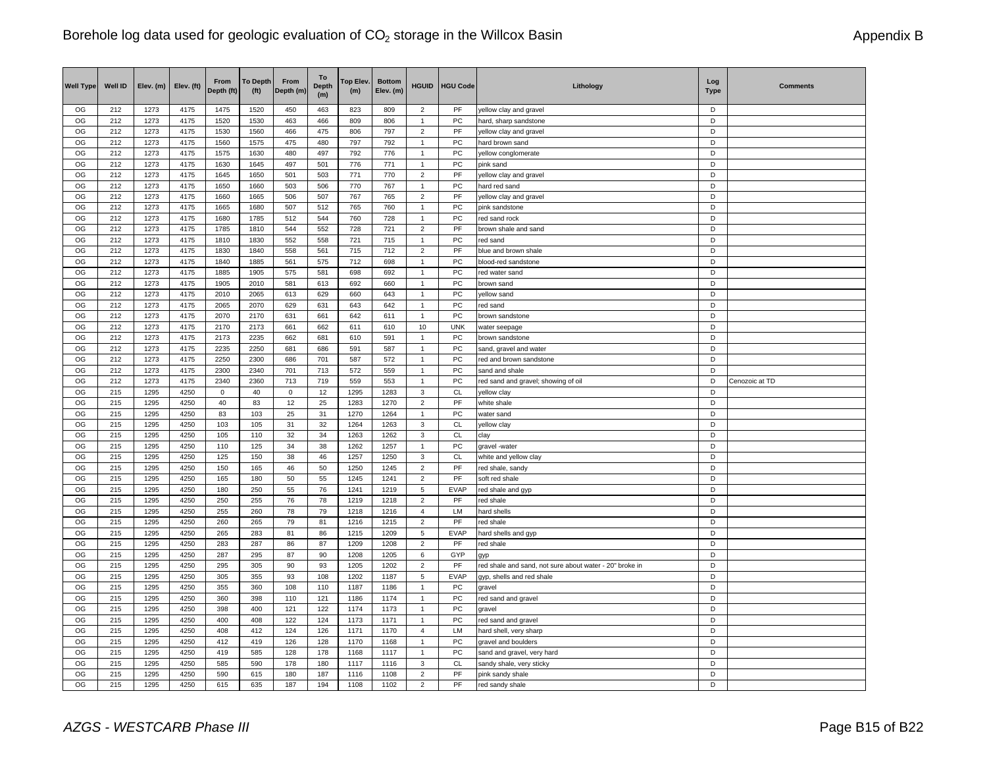| <b>Well Type</b> | Well ID    | Elev. (m)    | Elev. (ft)   | <b>From</b><br>Depth (ft) | <b>To Depth</b><br>(f <sup>t</sup> ) | From<br>Depth (m) | To<br><b>Depth</b><br>(m) | Top Elev.<br>(m) | <b>Bottom</b><br>Elev. (m) | <b>HGUID</b>                   | <b>HGU Code</b> | Lithology                                               | Log<br><b>Type</b> | <b>Comments</b> |
|------------------|------------|--------------|--------------|---------------------------|--------------------------------------|-------------------|---------------------------|------------------|----------------------------|--------------------------------|-----------------|---------------------------------------------------------|--------------------|-----------------|
| OG               | 212        | 1273         | 4175         | 1475                      | 1520                                 | 450               | 463                       | 823              | 809                        | $\overline{c}$                 | PF              | yellow clay and gravel                                  | D                  |                 |
| OG               | 212        | 1273         | 4175         | 1520                      | 1530                                 | 463               | 466                       | 809              | 806                        | $\mathbf{1}$                   | PC              | hard, sharp sandstone                                   | D                  |                 |
| OG               | 212        | 1273         | 4175         | 1530                      | 1560                                 | 466               | 475                       | 806              | 797                        | $\overline{2}$                 | PF              | yellow clay and gravel                                  | D                  |                 |
| OG               | 212        | 1273         | 4175         | 1560                      | 1575                                 | 475               | 480                       | 797              | 792                        | $\mathbf{1}$                   | PC              | hard brown sand                                         | D                  |                 |
| OG               | 212        | 1273         | 4175         | 1575                      | 1630                                 | 480               | 497                       | 792              | 776                        | 1                              | PC              | yellow conglomerate                                     | D                  |                 |
| OG               | 212        | 1273         | 4175         | 1630                      | 1645                                 | 497               | 501                       | 776              | 771                        | 1                              | PC              | pink sand                                               | D                  |                 |
| OG               | 212        | 1273         | 4175         | 1645                      | 1650                                 | 501               | 503                       | 771              | 770                        | $\overline{c}$                 | PF              | yellow clay and gravel                                  | D<br>D             |                 |
| OG<br>OG         | 212<br>212 | 1273<br>1273 | 4175<br>4175 | 1650                      | 1660                                 | 503<br>506        | 506<br>507                | 770<br>767       | 767<br>765                 | $\mathbf{1}$<br>$\overline{2}$ | PC<br>PF        | hard red sand                                           | D                  |                 |
| OG               | 212        | 1273         | 4175         | 1660<br>1665              | 1665<br>1680                         | 507               | 512                       | 765              | 760                        | 1                              | PC              | yellow clay and gravel<br>pink sandstone                | D                  |                 |
| OG               | 212        | 1273         | 4175         | 1680                      | 1785                                 | 512               | 544                       | 760              | 728                        | $\mathbf{1}$                   | PC              | red sand rock                                           | D                  |                 |
| OG               | 212        | 1273         | 4175         | 1785                      | 1810                                 | 544               | 552                       | 728              | 721                        | $\overline{2}$                 | PF              | brown shale and sand                                    | D                  |                 |
| OG               | 212        | 1273         | 4175         | 1810                      | 1830                                 | 552               | 558                       | 721              | 715                        | 1                              | PC              | red sand                                                | D                  |                 |
| OG               | 212        | 1273         | 4175         | 1830                      | 1840                                 | 558               | 561                       | 715              | 712                        | $\overline{2}$                 | PF              | blue and brown shale                                    | D                  |                 |
| OG               | 212        | 1273         | 4175         | 1840                      | 1885                                 | 561               | 575                       | 712              | 698                        | $\mathbf{1}$                   | PC              | blood-red sandstone                                     | D                  |                 |
| OG               | 212        | 1273         | 4175         | 1885                      | 1905                                 | 575               | 581                       | 698              | 692                        | $\mathbf{1}$                   | PC              | red water sand                                          | D                  |                 |
| OG               | 212        | 1273         | 4175         | 1905                      | 2010                                 | 581               | 613                       | 692              | 660                        | $\mathbf{1}$                   | PC              | brown sand                                              | D                  |                 |
| OG               | 212        | 1273         | 4175         | 2010                      | 2065                                 | 613               | 629                       | 660              | 643                        | $\overline{1}$                 | PC              | yellow sand                                             | D                  |                 |
| OG               | 212        | 1273         | 4175         | 2065                      | 2070                                 | 629               | 631                       | 643              | 642                        | $\mathbf{1}$                   | PC              | red sand                                                | D                  |                 |
| OG               | 212        | 1273         | 4175         | 2070                      | 2170                                 | 631               | 661                       | 642              | 611                        | $\mathbf{1}$                   | PC              | brown sandstone                                         | D                  |                 |
| OG               | 212        | 1273         | 4175         | 2170                      | 2173                                 | 661               | 662                       | 611              | 610                        | 10                             | <b>UNK</b>      | water seepage                                           | D                  |                 |
| OG               | 212        | 1273         | 4175         | 2173                      | 2235                                 | 662               | 681                       | 610              | 591                        | 1                              | PC              | brown sandstone                                         | D                  |                 |
| OG               | 212        | 1273         | 4175         | 2235                      | 2250                                 | 681               | 686                       | 591              | 587                        | $\mathbf{1}$                   | PC              | sand, gravel and water                                  | D                  |                 |
| OG               | 212        | 1273         | 4175         | 2250                      | 2300                                 | 686               | 701                       | 587              | 572                        | $\mathbf{1}$                   | PC              | red and brown sandstone                                 | D                  |                 |
| OG               | 212        | 1273         | 4175         | 2300                      | 2340                                 | 701               | 713                       | 572              | 559                        | $\mathbf{1}$                   | PC              | sand and shale                                          | D                  |                 |
| OG               | 212        | 1273         | 4175         | 2340                      | 2360                                 | 713               | 719                       | 559              | 553                        | $\mathbf{1}$                   | PC              | red sand and gravel; showing of oil                     | D                  | Cenozoic at TD  |
| OG               | 215        | 1295         | 4250         | $\mathbf 0$               | 40                                   | $\mathbf 0$       | 12                        | 1295             | 1283                       | 3                              | CL              | yellow clay                                             | D                  |                 |
| OG               | 215        | 1295         | 4250         | 40                        | 83                                   | 12                | 25                        | 1283             | 1270                       | $\overline{\mathbf{c}}$        | PF              | white shale                                             | D                  |                 |
| OG               | 215        | 1295         | 4250         | 83                        | 103                                  | 25                | 31                        | 1270             | 1264                       | $\mathbf{1}$                   | PC              | water sand                                              | D                  |                 |
| OG               | 215        | 1295         | 4250         | 103                       | 105                                  | 31                | 32                        | 1264             | 1263                       | 3                              | CL              | yellow clay                                             | D                  |                 |
| OG               | 215        | 1295         | 4250         | 105                       | 110                                  | 32                | 34                        | 1263             | 1262                       | 3                              | <b>CL</b>       | clay                                                    | D                  |                 |
| OG               | 215        | 1295         | 4250         | 110                       | 125                                  | 34                | 38                        | 1262             | 1257                       | $\mathbf{1}$                   | PC              | gravel-water                                            | D                  |                 |
| OG               | 215        | 1295         | 4250         | 125                       | 150                                  | 38                | 46                        | 1257             | 1250                       | 3                              | CL              | white and yellow clay                                   | D                  |                 |
| OG               | 215        | 1295         | 4250         | 150                       | 165                                  | 46                | 50                        | 1250             | 1245                       | $\overline{c}$                 | PF              | red shale, sandy                                        | D                  |                 |
| OG               | 215        | 1295         | 4250         | 165                       | 180                                  | 50                | 55                        | 1245             | 1241                       | $\overline{2}$                 | PF              | soft red shale                                          | D                  |                 |
| OG               | 215        | 1295         | 4250         | 180                       | 250                                  | 55                | 76                        | 1241             | 1219                       | 5                              | <b>EVAP</b>     | red shale and gyp                                       | D                  |                 |
| OG               | 215        | 1295         | 4250         | 250                       | 255                                  | 76                | 78                        | 1219             | 1218                       | $\overline{2}$                 | PF              | red shale                                               | D                  |                 |
| OG               | 215        | 1295         | 4250         | 255                       | 260                                  | 78                | 79                        | 1218             | 1216                       | $\overline{4}$                 | LM              | hard shells                                             | D                  |                 |
| OG               | 215        | 1295         | 4250         | 260                       | 265                                  | 79                | 81                        | 1216             | 1215                       | $\overline{c}$                 | PF              | red shale                                               | D                  |                 |
| OG               | 215        | 1295         | 4250         | 265                       | 283                                  | 81                | 86                        | 1215             | 1209                       | 5                              | <b>EVAP</b>     | hard shells and gyp                                     | D                  |                 |
| OG               | 215        | 1295         | 4250         | 283                       | 287                                  | 86                | 87                        | 1209             | 1208                       | $\overline{c}$                 | PF              | red shale                                               | $\overline{D}$     |                 |
| OG               | 215        | 1295         | 4250         | 287                       | 295                                  | 87                | 90                        | 1208             | 1205                       | 6                              | GYP             | qyp                                                     | D                  |                 |
| OG               | 215        | 1295         | 4250         | 295                       | 305                                  | 90                | 93                        | 1205             | 1202                       | $\overline{2}$                 | PF              | red shale and sand, not sure about water - 20" broke in | D                  |                 |
| OG               | 215        | 1295         | 4250         | 305                       | 355                                  | 93                | 108                       | 1202             | 1187                       | 5                              | <b>EVAP</b>     | gyp, shells and red shale                               | D                  |                 |
| OG               | 215        | 1295         | 4250         | 355                       | 360                                  | 108               | 110                       | 1187             | 1186                       | $\overline{1}$                 | PC              | gravel                                                  | D                  |                 |
| OG               | 215        | 1295         | 4250         | 360                       | 398                                  | 110               | 121                       | 1186             | 1174                       | $\mathbf{1}$                   | PC              | red sand and gravel                                     | D                  |                 |
| OG               | 215        | 1295         | 4250         | 398                       | 400                                  | 121               | 122                       | 1174             | 1173                       | $\mathbf{1}$                   | PC              | gravel                                                  | D                  |                 |
| OG               | 215        | 1295         | 4250         | 400                       | 408                                  | 122               | 124                       | 1173             | 1171                       | $\mathbf{1}$                   | PC              | red sand and gravel                                     | D                  |                 |
| OG               | 215        | 1295         | 4250         | 408                       | 412                                  | 124               | 126                       | 1171             | 1170                       | $\overline{4}$                 | <b>LM</b>       | hard shell, very sharp                                  | D                  |                 |
| OG               | 215        | 1295         | 4250         | 412                       | 419                                  | 126               | 128                       | 1170             | 1168                       | $\mathbf{1}$                   | PC              | gravel and boulders                                     | D                  |                 |
| OG               | 215        | 1295         | 4250         | 419                       | 585                                  | 128               | 178                       | 1168             | 1117                       | 1                              | PC              | sand and gravel, very hard                              | D                  |                 |
| OG               | 215        | 1295         | 4250         | 585                       | 590                                  | 178               | 180                       | 1117             | 1116                       | 3                              | <b>CL</b>       | sandy shale, very sticky                                | D                  |                 |
| OG               | 215        | 1295         | 4250         | 590                       | 615                                  | 180               | 187                       | 1116             | 1108                       | $\overline{2}$                 | PF              | pink sandy shale                                        | D                  |                 |
| OG               | 215        | 1295         | 4250         | 615                       | 635                                  | 187               | 194                       | 1108             | 1102                       | $\overline{2}$                 | PF              | red sandy shale                                         | D                  |                 |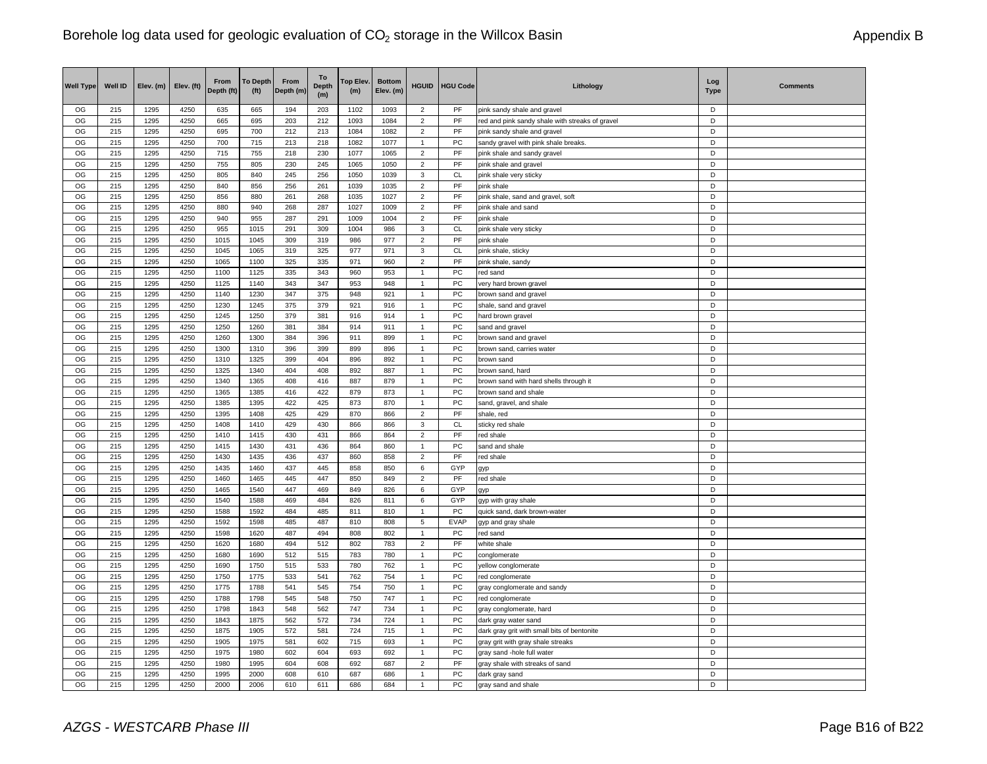| <b>Well Type</b> | Well ID    | Elev. (m)    | Elev. (ft)   | From<br>Depth (ft) | <b>To Depth</b><br>(f <sup>t</sup> ) | From<br>Depth (m) | To<br><b>Depth</b><br>(m) | Top Elev.<br>(m) | <b>Bottom</b><br>Elev. (m) | <b>HGUID</b>        | <b>HGU Code</b> | Lithology                                       | Log<br><b>Type</b> | <b>Comments</b> |
|------------------|------------|--------------|--------------|--------------------|--------------------------------------|-------------------|---------------------------|------------------|----------------------------|---------------------|-----------------|-------------------------------------------------|--------------------|-----------------|
| OG               | 215        | 1295         | 4250         | 635                | 665                                  | 194               | 203                       | 1102             | 1093                       | $\overline{2}$      | PF              | pink sandy shale and gravel                     | D                  |                 |
| OG               | 215        | 1295         | 4250         | 665                | 695                                  | 203               | 212                       | 1093             | 1084                       | $\overline{2}$      | PF              | red and pink sandy shale with streaks of gravel | D                  |                 |
| OG               | 215        | 1295         | 4250         | 695                | 700                                  | 212               | 213                       | 1084             | 1082                       | $\overline{2}$      | PF              | pink sandy shale and gravel                     | D                  |                 |
| OG               | 215        | 1295         | 4250         | 700                | 715                                  | 213               | 218                       | 1082             | 1077                       | $\mathbf{1}$        | PC              | sandy gravel with pink shale breaks.            | D                  |                 |
| OG               | 215<br>215 | 1295         | 4250<br>4250 | 715                | 755                                  | 218               | 230                       | 1077             | 1065                       | $\overline{2}$      | PF<br>PF        | pink shale and sandy gravel                     | D<br>D             |                 |
| OG<br>OG         |            | 1295         |              | 755                | 805                                  | 230               | 245                       | 1065             | 1050                       | $\overline{2}$      |                 | pink shale and gravel                           | D                  |                 |
| OG               | 215<br>215 | 1295<br>1295 | 4250<br>4250 | 805<br>840         | 840<br>856                           | 245<br>256        | 256<br>261                | 1050<br>1039     | 1039<br>1035               | 3<br>$\overline{2}$ | CL<br>PF        | pink shale very sticky<br>pink shale            | D                  |                 |
| OG               | 215        | 1295         | 4250         | 856                | 880                                  | 261               | 268                       | 1035             | 1027                       | $\overline{2}$      | PF              | pink shale, sand and gravel, soft               | D                  |                 |
| OG               | 215        | 1295         | 4250         | 880                | 940                                  | 268               | 287                       | 1027             | 1009                       | $\mathbf 2$         | PF              | pink shale and sand                             | D                  |                 |
| OG               | 215        | 1295         | 4250         | 940                | 955                                  | 287               | 291                       | 1009             | 1004                       | $\overline{2}$      | PF              | pink shale                                      | D                  |                 |
| OG               | 215        | 1295         | 4250         | 955                | 1015                                 | 291               | 309                       | 1004             | 986                        | 3                   | CL              | pink shale very sticky                          | D                  |                 |
| OG               | 215        | 1295         | 4250         | 1015               | 1045                                 | 309               | 319                       | 986              | 977                        | $\overline{2}$      | PF              | pink shale                                      | D                  |                 |
| OG               | 215        | 1295         | 4250         | 1045               | 1065                                 | 319               | 325                       | 977              | 971                        | 3                   | CL              | pink shale, sticky                              | D                  |                 |
| OG               | 215        | 1295         | 4250         | 1065               | 1100                                 | 325               | 335                       | 971              | 960                        | $\overline{2}$      | PF              | pink shale, sandy                               | D                  |                 |
| OG               | 215        | 1295         | 4250         | 1100               | 1125                                 | 335               | 343                       | 960              | 953                        | $\mathbf{1}$        | PC              | red sand                                        | D                  |                 |
| OG               | 215        | 1295         | 4250         | 1125               | 1140                                 | 343               | 347                       | 953              | 948                        | $\overline{1}$      | PC              | very hard brown gravel                          | D                  |                 |
| OG               | 215        | 1295         | 4250         | 1140               | 1230                                 | 347               | 375                       | 948              | 921                        | $\overline{1}$      | PC              | brown sand and gravel                           | D                  |                 |
| OG               | 215        | 1295         | 4250         | 1230               | 1245                                 | 375               | 379                       | 921              | 916                        | $\mathbf{1}$        | PC              | shale, sand and gravel                          | D                  |                 |
| OG               | 215        | 1295         | 4250         | 1245               | 1250                                 | 379               | 381                       | 916              | 914                        | $\mathbf{1}$        | <b>PC</b>       | hard brown gravel                               | D                  |                 |
| OG               | 215        | 1295         | 4250         | 1250               | 1260                                 | 381               | 384                       | 914              | 911                        | $\mathbf{1}$        | PC              | sand and gravel                                 | D                  |                 |
| OG               | 215        | 1295         | 4250         | 1260               | 1300                                 | 384               | 396                       | 911              | 899                        | $\mathbf{1}$        | PC              | brown sand and gravel                           | D                  |                 |
| OG               | 215        | 1295         | 4250         | 1300               | 1310                                 | 396               | 399                       | 899              | 896                        | $\overline{1}$      | PC              | brown sand, carries water                       | D                  |                 |
| OG               | 215        | 1295         | 4250         | 1310               | 1325                                 | 399               | 404                       | 896              | 892                        | $\mathbf{1}$        | PC              | brown sand                                      | D                  |                 |
| OG               | 215        | 1295         | 4250         | 1325               | 1340                                 | 404               | 408                       | 892              | 887                        | $\mathbf{1}$        | PC              | brown sand, hard                                | D                  |                 |
| OG               | 215        | 1295         | 4250         | 1340               | 1365                                 | 408               | 416                       | 887              | 879                        | $\overline{1}$      | PC              | brown sand with hard shells through it          | D                  |                 |
| OG               | 215        | 1295         | 4250         | 1365               | 1385                                 | 416               | 422                       | 879              | 873                        | $\overline{1}$      | PC              | brown sand and shale                            | D                  |                 |
| OG               | 215        | 1295         | 4250         | 1385               | 1395                                 | 422               | 425                       | 873              | 870                        | $\overline{1}$      | PC              | sand, gravel, and shale                         | D                  |                 |
| OG               | 215        | 1295         | 4250         | 1395               | 1408                                 | 425               | 429                       | 870              | 866                        | $\overline{2}$      | PF              | shale, red                                      | D                  |                 |
| OG               | 215        | 1295         | 4250         | 1408               | 1410                                 | 429               | 430                       | 866              | 866                        | 3                   | CL              | sticky red shale                                | D                  |                 |
| OG               | 215        | 1295         | 4250         | 1410               | 1415                                 | 430               | 431                       | 866              | 864                        | $\overline{2}$      | PF              | red shale                                       | D                  |                 |
| OG               | 215        | 1295         | 4250         | 1415               | 1430                                 | 431               | 436                       | 864              | 860                        | $\mathbf{1}$        | PC              | sand and shale                                  | D                  |                 |
| OG               | 215        | 1295         | 4250         | 1430               | 1435                                 | 436               | 437                       | 860              | 858                        | $\mathbf 2$         | PF              | red shale                                       | D                  |                 |
| OG               | 215        | 1295         | 4250         | 1435               | 1460                                 | 437               | 445                       | 858              | 850                        | 6                   | GYP             | gyp                                             | D                  |                 |
| OG               | 215        | 1295         | 4250         | 1460               | 1465                                 | 445               | 447                       | 850              | 849                        | $\mathbf 2$         | PF              | red shale                                       | D                  |                 |
| OG               | 215        | 1295         | 4250         | 1465               | 1540                                 | 447               | 469                       | 849              | 826                        | 6                   | GYP             | avp                                             | D                  |                 |
| OG               | 215        | 1295         | 4250         | 1540               | 1588                                 | 469               | 484                       | 826              | 811                        | 6                   | GYP             | gyp with gray shale                             | D                  |                 |
| OG               | 215        | 1295         | 4250         | 1588               | 1592                                 | 484               | 485                       | 811              | 810                        | $\overline{1}$      | PC              | quick sand, dark brown-water                    | D                  |                 |
| OG               | 215        | 1295         | 4250         | 1592               | 1598                                 | 485               | 487                       | 810              | 808                        | 5                   | <b>EVAP</b>     | gyp and gray shale                              | D                  |                 |
| OG               | 215        | 1295         | 4250         | 1598               | 1620                                 | 487               | 494                       | 808              | 802                        | $\mathbf{1}$        | PC              | red sand                                        | D                  |                 |
| OG               | 215        | 1295         | 4250         | 1620               | 1680                                 | 494               | 512                       | 802              | 783                        | $\overline{2}$      | PF              | white shale                                     | D                  |                 |
| OG               | 215        | 1295         | 4250         | 1680               | 1690                                 | 512               | 515                       | 783              | 780                        | $\mathbf{1}$        | PC              | conglomerate                                    | D                  |                 |
| OG               | 215        | 1295         | 4250         | 1690               | 1750                                 | 515               | 533                       | 780              | 762                        | $\overline{1}$      | PC              | yellow conglomerate                             | D                  |                 |
| OG               | 215        | 1295         | 4250         | 1750               | 1775                                 | 533               | 541                       | 762              | 754                        | $\mathbf{1}$        | PC              | red conglomerate                                | D                  |                 |
| OG               | 215        | 1295         | 4250         | 1775               | 1788                                 | 541               | 545                       | 754              | 750                        | $\mathbf{1}$        | PC              | gray conglomerate and sandy                     | D                  |                 |
| OG               | 215        | 1295         | 4250         | 1788               | 1798                                 | 545               | 548                       | 750              | 747                        | $\mathbf{1}$        | PC              | red conglomerate                                | D                  |                 |
| OG               | 215        | 1295         | 4250         | 1798               | 1843                                 | 548               | 562                       | 747              | 734                        | $\mathbf{1}$        | PC              | gray conglomerate, hard                         | D                  |                 |
| OG               | 215        | 1295         | 4250         | 1843               | 1875                                 | 562               | 572                       | 734              | 724                        | $\mathbf{1}$        | PC              | dark gray water sand                            | D                  |                 |
| OG               | 215        | 1295         | 4250         | 1875               | 1905                                 | 572               | 581                       | 724              | 715                        | $\mathbf{1}$        | PC              | dark gray grit with small bits of bentonite     | D                  |                 |
| OG               | 215        | 1295         | 4250         | 1905               | 1975                                 | 581               | 602                       | 715              | 693                        | $\mathbf{1}$        | PC              | gray grit with gray shale streaks               | D                  |                 |
| OG               | 215        | 1295         | 4250         | 1975               | 1980                                 | 602               | 604                       | 693              | 692                        | $\mathbf{1}$        | PC              | gray sand -hole full water                      | $\overline{D}$     |                 |
| OG               | 215        | 1295         | 4250         | 1980               | 1995                                 | 604               | 608                       | 692              | 687                        | $\overline{2}$      | PF              | gray shale with streaks of sand                 | D                  |                 |
| OG               | 215        | 1295         | 4250         | 1995               | 2000                                 | 608               | 610                       | 687              | 686                        | $\mathbf{1}$        | PC              | dark gray sand                                  | D                  |                 |
| OG               | 215        | 1295         | 4250         | 2000               | 2006                                 | 610               | 611                       | 686              | 684                        | $\mathbf{1}$        | PC              | gray sand and shale                             | D                  |                 |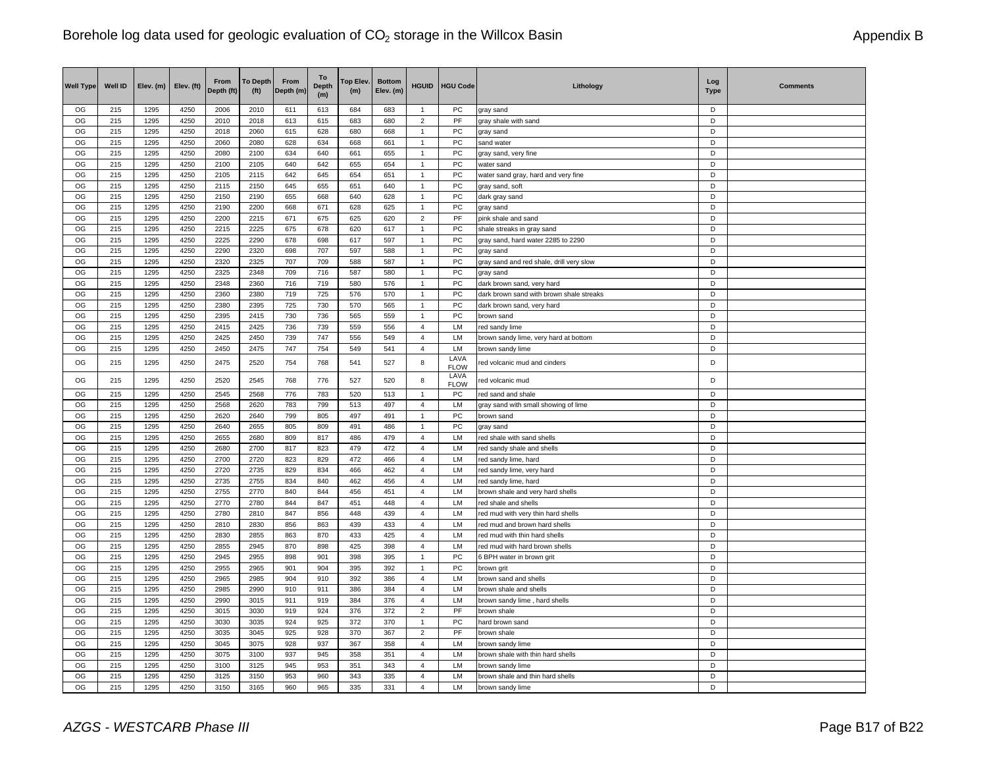| <b>Well Type</b> | <b>Well ID</b> | Elev. (m)    | Elev. (ft)   | From<br>Depth (ft) | <b>To Depth</b><br>(f <sup>t</sup> ) | From<br>Depth (m) | To<br><b>Depth</b><br>(m) | Top Elev.<br>(m) | <b>Bottom</b><br>Elev. (m) | <b>HGUID</b>                     | <b>HGU Code</b>     | Lithology                                | Log<br><b>Type</b> | <b>Comments</b> |
|------------------|----------------|--------------|--------------|--------------------|--------------------------------------|-------------------|---------------------------|------------------|----------------------------|----------------------------------|---------------------|------------------------------------------|--------------------|-----------------|
| OG               | 215            | 1295         | 4250         | 2006               | 2010                                 | 611               | 613                       | 684              | 683                        | $\mathbf{1}$                     | <b>PC</b>           | gray sand                                | D                  |                 |
| OG               | 215            | 1295         | 4250         | 2010               | 2018                                 | 613               | 615                       | 683              | 680                        | $\overline{2}$                   | PF                  | gray shale with sand                     | D                  |                 |
| OG               | 215            | 1295         | 4250         | 2018               | 2060                                 | 615               | 628                       | 680              | 668                        | $\overline{1}$                   | PC                  | gray sand                                | D                  |                 |
| OG               | 215            | 1295         | 4250         | 2060               | 2080                                 | 628               | 634                       | 668              | 661                        | $\overline{1}$                   | PC                  | sand water                               | D<br>D             |                 |
| OG<br>OG         | 215<br>215     | 1295<br>1295 | 4250<br>4250 | 2080<br>2100       | 2100<br>2105                         | 634<br>640        | 640<br>642                | 661<br>655       | 655<br>654                 | $\overline{1}$<br>$\mathbf{1}$   | PC<br>PC            | gray sand, very fine<br>water sand       | D                  |                 |
| OG               | 215            | 1295         | 4250         | 2105               | 2115                                 | 642               | 645                       | 654              | 651                        | $\overline{1}$                   | PC                  | water sand gray, hard and very fine      | D                  |                 |
| OG               | 215            | 1295         | 4250         | 2115               | 2150                                 | 645               | 655                       | 651              | 640                        | $\overline{1}$                   | PC                  | gray sand, soft                          | D                  |                 |
| OG               | 215            | 1295         | 4250         | 2150               | 2190                                 | 655               | 668                       | 640              | 628                        | $\overline{1}$                   | PC                  | dark gray sand                           | D                  |                 |
| OG               | 215            | 1295         | 4250         | 2190               | 2200                                 | 668               | 671                       | 628              | 625                        | $\overline{1}$                   | PC                  | gray sand                                | D                  |                 |
| OG               | 215            | 1295         | 4250         | 2200               | 2215                                 | 671               | 675                       | 625              | 620                        | $\overline{2}$                   | PF                  | pink shale and sand                      | D                  |                 |
| OG               | 215            | 1295         | 4250         | 2215               | 2225                                 | 675               | 678                       | 620              | 617                        | $\overline{1}$                   | PC                  | shale streaks in gray sand               | D                  |                 |
| OG               | 215            | 1295         | 4250         | 2225               | 2290                                 | 678               | 698                       | 617              | 597                        | $\overline{1}$                   | PC                  | gray sand, hard water 2285 to 2290       | D                  |                 |
| OG               | 215            | 1295         | 4250         | 2290               | 2320                                 | 698               | 707                       | 597              | 588                        | $\mathbf{1}$                     | PC                  | gray sand                                | D                  |                 |
| OG               | 215            | 1295         | 4250         | 2320               | 2325                                 | 707               | 709                       | 588              | 587                        | $\overline{1}$                   | PC                  | gray sand and red shale, drill very slow | D                  |                 |
| OG               | 215            | 1295         | 4250         | 2325               | 2348                                 | 709               | 716                       | 587              | 580                        | $\mathbf{1}$                     | PC                  | gray sand                                | D                  |                 |
| OG               | 215            | 1295         | 4250         | 2348               | 2360                                 | 716               | 719                       | 580              | 576                        | $\overline{1}$                   | PC                  | dark brown sand, very hard               | D                  |                 |
| OG               | 215            | 1295         | 4250         | 2360               | 2380                                 | 719               | 725                       | 576              | 570                        | $\overline{1}$                   | PC                  | dark brown sand with brown shale streaks | D                  |                 |
| OG               | 215            | 1295         | 4250         | 2380               | 2395                                 | 725               | 730                       | 570              | 565                        | $\overline{1}$                   | PC                  | dark brown sand, very hard               | D                  |                 |
| OG               | 215            | 1295         | 4250         | 2395               | 2415                                 | 730               | 736                       | 565              | 559                        | $\overline{1}$                   | PC                  | brown sand                               | D                  |                 |
| OG               | 215            | 1295         | 4250         | 2415               | 2425                                 | 736               | 739                       | 559              | 556                        | $\overline{4}$                   | LM                  | red sandy lime                           | D                  |                 |
| OG               | 215            | 1295         | 4250         | 2425               | 2450                                 | 739               | 747                       | 556              | 549                        | $\overline{4}$                   | LM                  | brown sandy lime, very hard at bottom    | D                  |                 |
| OG               | 215            | 1295         | 4250         | 2450               | 2475                                 | 747               | 754                       | 549              | 541                        | $\overline{4}$                   | LM<br>LAVA          | brown sandy lime                         | D                  |                 |
| OG               | 215            | 1295         | 4250         | 2475               | 2520                                 | 754               | 768                       | 541              | 527                        | 8                                | <b>FLOW</b><br>LAVA | red volcanic mud and cinders             | D                  |                 |
| OG               | 215            | 1295         | 4250         | 2520               | 2545                                 | 768               | 776                       | 527              | 520                        | 8                                | <b>FLOW</b>         | red volcanic mud                         | D                  |                 |
| OG               | 215            | 1295         | 4250         | 2545               | 2568                                 | 776               | 783                       | 520              | 513                        | $\overline{1}$                   | PC                  | red sand and shale                       | D                  |                 |
| OG               | 215            | 1295         | 4250         | 2568               | 2620                                 | 783               | 799                       | 513              | 497                        | $\overline{4}$<br>$\overline{1}$ | LM                  | gray sand with small showing of lime     | D<br>D             |                 |
| OG<br>OG         | 215<br>215     | 1295<br>1295 | 4250<br>4250 | 2620<br>2640       | 2640<br>2655                         | 799<br>805        | 805<br>809                | 497<br>491       | 491<br>486                 | 1                                | ${\sf PC}$<br>PC    | brown sand                               | D                  |                 |
| OG               | 215            | 1295         | 4250         | 2655               | 2680                                 | 809               | 817                       | 486              | 479                        | $\overline{4}$                   | LM                  | gray sand<br>red shale with sand shells  | D                  |                 |
| OG               | 215            | 1295         | 4250         | 2680               | 2700                                 | 817               | 823                       | 479              | 472                        | $\overline{4}$                   | LM                  | red sandy shale and shells               | $\overline{D}$     |                 |
| OG               | 215            | 1295         | 4250         | 2700               | 2720                                 | 823               | 829                       | 472              | 466                        | 4                                | LM                  | red sandy lime, hard                     | D                  |                 |
| OG               | 215            | 1295         | 4250         | 2720               | 2735                                 | 829               | 834                       | 466              | 462                        | $\overline{4}$                   | LM                  | red sandy lime, very hard                | D                  |                 |
| OG               | 215            | 1295         | 4250         | 2735               | 2755                                 | 834               | 840                       | 462              | 456                        | $\overline{4}$                   | LM                  | red sandy lime, hard                     | D                  |                 |
| OG               | 215            | 1295         | 4250         | 2755               | 2770                                 | 840               | 844                       | 456              | 451                        | $\overline{4}$                   | LM                  | brown shale and very hard shells         | D                  |                 |
| OG               | 215            | 1295         | 4250         | 2770               | 2780                                 | 844               | 847                       | 451              | 448                        | $\overline{4}$                   | LM                  | red shale and shells                     | D                  |                 |
| OG               | 215            | 1295         | 4250         | 2780               | 2810                                 | 847               | 856                       | 448              | 439                        | $\overline{4}$                   | LM                  | red mud with very thin hard shells       | D                  |                 |
| OG               | 215            | 1295         | 4250         | 2810               | 2830                                 | 856               | 863                       | 439              | 433                        | $\overline{4}$                   | <b>LM</b>           | red mud and brown hard shells            | D                  |                 |
| OG               | 215            | 1295         | 4250         | 2830               | 2855                                 | 863               | 870                       | 433              | 425                        | $\overline{4}$                   | <b>LM</b>           | red mud with thin hard shells            | D                  |                 |
| OG               | 215            | 1295         | 4250         | 2855               | 2945                                 | 870               | 898                       | 425              | 398                        | $\overline{4}$                   | LM                  | red mud with hard brown shells           | D                  |                 |
| OG               | 215            | 1295         | 4250         | 2945               | 2955                                 | 898               | 901                       | 398              | 395                        | $\overline{1}$                   | PC                  | 6 BPH water in brown grit                | D                  |                 |
| OG               | 215            | 1295         | 4250         | 2955               | 2965                                 | 901               | 904                       | 395              | 392                        | $\overline{1}$                   | PC                  | brown grit                               | D                  |                 |
| OG               | 215            | 1295         | 4250         | 2965               | 2985                                 | 904               | 910                       | 392              | 386                        | $\overline{4}$                   | LM                  | brown sand and shells                    | D                  |                 |
| OG               | 215            | 1295         | 4250         | 2985               | 2990                                 | 910               | 911                       | 386              | 384                        | $\overline{4}$                   | LM                  | brown shale and shells                   | D                  |                 |
| OG<br>OG         | 215<br>215     | 1295         | 4250         | 2990               | 3015                                 | 911<br>919        | 919                       | 384              | 376                        | $\overline{4}$                   | LM<br>PF            | brown sandy lime, hard shells            | D<br>D             |                 |
| OG               | 215            | 1295<br>1295 | 4250<br>4250 | 3015<br>3030       | 3030<br>3035                         | 924               | 924<br>925                | 376<br>372       | 372<br>370                 | $\overline{2}$<br>$\overline{1}$ | PC                  | brown shale                              | D                  |                 |
| OG               | 215            | 1295         | 4250         | 3035               | 3045                                 | 925               | 928                       | 370              | 367                        | $\overline{2}$                   | PF                  | hard brown sand<br>brown shale           | D                  |                 |
| OG               | 215            | 1295         | 4250         | 3045               | 3075                                 | 928               | 937                       | 367              | 358                        | $\overline{4}$                   | LM                  | brown sandy lime                         | D                  |                 |
| OG               | 215            | 1295         | 4250         | 3075               | 3100                                 | 937               | 945                       | 358              | 351                        | $\overline{4}$                   | LM                  | brown shale with thin hard shells        | D                  |                 |
| OG               | 215            | 1295         | 4250         | 3100               | 3125                                 | 945               | 953                       | 351              | 343                        | 4                                | LM                  | brown sandy lime                         | D                  |                 |
| OG               | 215            | 1295         | 4250         | 3125               | 3150                                 | 953               | 960                       | 343              | 335                        | 4                                | LM                  | brown shale and thin hard shells         | D                  |                 |
| OG               | 215            | 1295         | 4250         | 3150               | 3165                                 | 960               | 965                       | 335              | 331                        | $\overline{4}$                   | LM                  | brown sandy lime                         | D                  |                 |
|                  |                |              |              |                    |                                      |                   |                           |                  |                            |                                  |                     |                                          |                    |                 |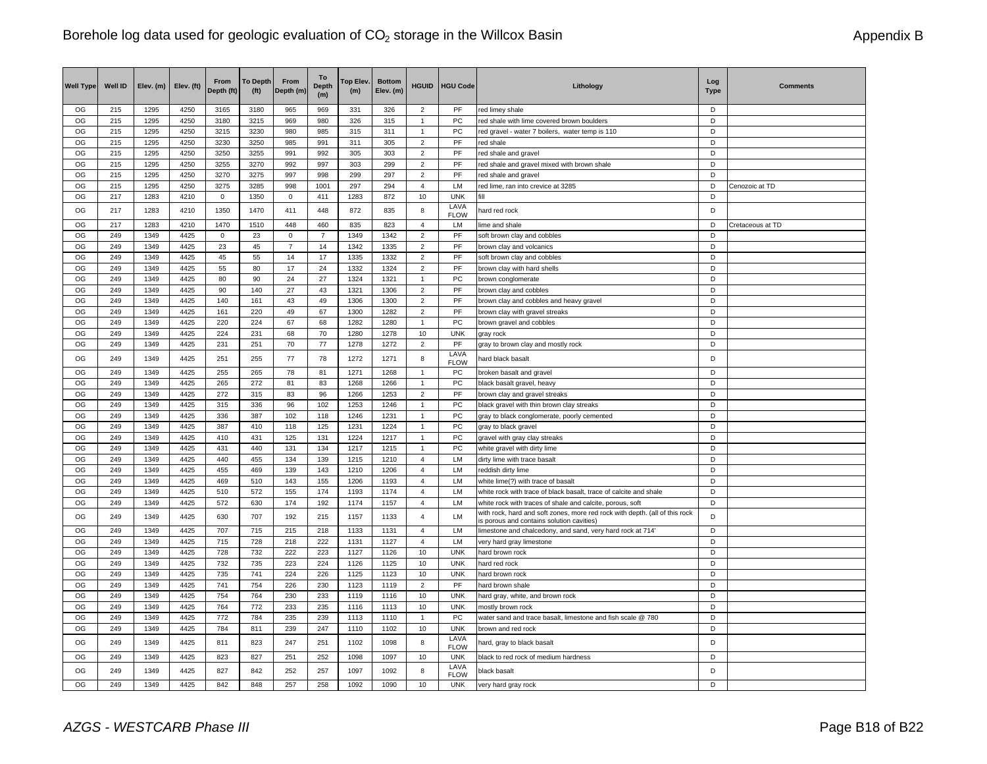| <b>Well Type</b> | Well ID    | Elev. (m)    | Elev. (ft)   | From<br>Depth (ft) | <b>To Depth</b><br>(f <sup>t</sup> ) | From<br>Depth (m) | To<br><b>Depth</b><br>(m) | Top Elev.<br>(m) | <b>Bottom</b><br>Elev. (m) | <b>HGUID</b>                     | <b>HGU Code</b>     | Lithology                                                                                                               | Log<br><b>Type</b> | <b>Comments</b>  |
|------------------|------------|--------------|--------------|--------------------|--------------------------------------|-------------------|---------------------------|------------------|----------------------------|----------------------------------|---------------------|-------------------------------------------------------------------------------------------------------------------------|--------------------|------------------|
| OG               | 215        | 1295         | 4250         | 3165               | 3180                                 | 965               | 969                       | 331              | 326                        | 2                                | PF                  | red limey shale                                                                                                         | D                  |                  |
| OG               | 215        | 1295         | 4250         | 3180               | 3215                                 | 969               | 980                       | 326              | 315                        | $\overline{1}$                   | PC                  | red shale with lime covered brown boulders                                                                              | D                  |                  |
| OG               | 215        | 1295         | 4250         | 3215               | 3230                                 | 980               | 985                       | 315              | 311                        | $\overline{1}$                   | PC                  | red gravel - water 7 boilers, water temp is 110                                                                         | D                  |                  |
| OG               | 215        | 1295         | 4250         | 3230               | 3250                                 | 985               | 991                       | 311              | 305                        | $\overline{2}$                   | PF                  | red shale                                                                                                               | D                  |                  |
| OG               | 215        | 1295         | 4250         | 3250               | 3255                                 | 991               | 992                       | 305              | 303                        | $\overline{2}$                   | PF                  | red shale and gravel                                                                                                    | D                  |                  |
| OG               | 215        | 1295         | 4250         | 3255               | 3270                                 | 992               | 997                       | 303              | 299                        | 2                                | PF<br>PF            | red shale and gravel mixed with brown shale                                                                             | D                  |                  |
| OG<br>OG         | 215<br>215 | 1295<br>1295 | 4250<br>4250 | 3270<br>3275       | 3275<br>3285                         | 997<br>998        | 998<br>1001               | 299<br>297       | 297<br>294                 | $\overline{2}$<br>$\overline{4}$ | LM                  | red shale and gravel                                                                                                    | D<br>D             | Cenozoic at TD   |
| OG               | 217        | 1283         | 4210         | $\mathbf 0$        | 1350                                 | $\mathbf 0$       | 411                       | 1283             | 872                        | 10                               | <b>UNK</b>          | red lime, ran into crevice at 3285<br>fill                                                                              | D                  |                  |
| OG               | 217        | 1283         | 4210         | 1350               | 1470                                 | 411               | 448                       | 872              | 835                        | 8                                | LAVA                | hard red rock                                                                                                           | D                  |                  |
| OG               | 217        | 1283         | 4210         | 1470               | 1510                                 | 448               | 460                       | 835              | 823                        | $\overline{4}$                   | <b>FLOW</b><br>LM   | lime and shale                                                                                                          | D                  | Cretaceous at TD |
| OG               | 249        | 1349         | 4425         | $\mathsf 0$        | 23                                   | $\mathbf 0$       | $\overline{7}$            | 1349             | 1342                       | $\sqrt{2}$                       | PF                  | soft brown clay and cobbles                                                                                             | D                  |                  |
| OG               | 249        | 1349         | 4425         | 23                 | 45                                   | $\overline{7}$    | 14                        | 1342             | 1335                       | 2                                | PF                  | brown clay and volcanics                                                                                                | D                  |                  |
| OG               | 249        | 1349         | 4425         | 45                 | 55                                   | 14                | 17                        | 1335             | 1332                       | $\overline{2}$                   | PF                  | soft brown clay and cobbles                                                                                             | D                  |                  |
| OG               | 249        | 1349         | 4425         | 55                 | 80                                   | 17                | 24                        | 1332             | 1324                       | $\overline{2}$                   | PF                  | brown clay with hard shells                                                                                             | D                  |                  |
| OG               | 249        | 1349         | 4425         | 80                 | 90                                   | 24                | 27                        | 1324             | 1321                       | 1                                | <b>PC</b>           | brown conglomerate                                                                                                      | D                  |                  |
| OG               | 249        | 1349         | 4425         | 90                 | 140                                  | 27                | 43                        | 1321             | 1306                       | $\overline{2}$                   | PF                  | brown clay and cobbles                                                                                                  | D                  |                  |
| OG               | 249        | 1349         | 4425         | 140                | 161                                  | 43                | 49                        | 1306             | 1300                       | 2                                | PF                  | brown clay and cobbles and heavy gravel                                                                                 | D                  |                  |
| OG               | 249        | 1349         | 4425         | 161                | 220                                  | 49                | 67                        | 1300             | 1282                       | $\overline{2}$                   | PF                  | brown clay with gravel streaks                                                                                          | D                  |                  |
| OG               | 249        | 1349         | 4425         | 220                | 224                                  | 67                | 68                        | 1282             | 1280                       | $\mathbf{1}$                     | PC                  | brown gravel and cobbles                                                                                                | D                  |                  |
| OG               | 249        | 1349         | 4425         | 224                | 231                                  | 68                | 70                        | 1280             | 1278                       | 10                               | <b>UNK</b>          | gray rock                                                                                                               | D                  |                  |
| OG               | 249        | 1349         | 4425         | 231                | 251                                  | 70                | 77                        | 1278             | 1272                       | $\overline{2}$                   | PF                  | gray to brown clay and mostly rock                                                                                      | D                  |                  |
| OG               | 249        | 1349         | 4425         | 251                | 255                                  | 77                | 78                        | 1272             | 1271                       | 8                                | LAVA<br><b>FLOW</b> | hard black basalt                                                                                                       | D                  |                  |
| OG               | 249        | 1349         | 4425         | 255                | 265                                  | 78                | 81                        | 1271             | 1268                       | $\mathbf{1}$                     | PC                  | broken basalt and gravel                                                                                                | D                  |                  |
| OG               | 249        | 1349         | 4425         | 265                | 272                                  | 81                | 83                        | 1268             | 1266                       | $\mathbf{1}$                     | PC                  | black basalt gravel, heavy                                                                                              | D                  |                  |
| OG               | 249        | 1349         | 4425         | 272                | 315                                  | 83                | 96                        | 1266             | 1253                       | $\overline{2}$                   | PF                  | brown clay and gravel streaks                                                                                           | D                  |                  |
| OG               | 249        | 1349         | 4425         | 315                | 336                                  | 96                | 102                       | 1253             | 1246                       | 1                                | PC                  | black gravel with thin brown clay streaks                                                                               | D                  |                  |
| OG               | 249        | 1349         | 4425         | 336                | 387                                  | 102               | 118                       | 1246             | 1231                       | $\overline{1}$                   | PC                  | gray to black conglomerate, poorly cemented                                                                             | D                  |                  |
| OG               | 249        | 1349         | 4425         | 387                | 410                                  | 118               | 125                       | 1231             | 1224                       | $\mathbf{1}$                     | PC                  | gray to black gravel                                                                                                    | D                  |                  |
| OG<br>OG         | 249<br>249 | 1349<br>1349 | 4425<br>4425 | 410<br>431         | 431<br>440                           | 125<br>131        | 131<br>134                | 1224<br>1217     | 1217                       | $\mathbf{1}$<br>$\mathbf{1}$     | PC<br>PC            | gravel with gray clay streaks                                                                                           | D<br>D             |                  |
| OG               | 249        | 1349         | 4425         | 440                | 455                                  | 134               | 139                       | 1215             | 1215<br>1210               | $\overline{4}$                   | LM                  | white gravel with dirty lime<br>dirty lime with trace basalt                                                            | D                  |                  |
| OG               | 249        | 1349         | 4425         | 455                | 469                                  | 139               | 143                       | 1210             | 1206                       | $\overline{4}$                   | LM                  | reddish dirty lime                                                                                                      | D                  |                  |
| OG               | 249        | 1349         | 4425         | 469                | 510                                  | 143               | 155                       | 1206             | 1193                       | $\overline{4}$                   | LM                  | white lime(?) with trace of basalt                                                                                      | D                  |                  |
| OG               | 249        | 1349         | 4425         | 510                | 572                                  | 155               | 174                       | 1193             | 1174                       | 4                                | LM                  | white rock with trace of black basalt, trace of calcite and shale                                                       | D                  |                  |
| OG               | 249        | 1349         | 4425         | 572                | 630                                  | 174               | 192                       | 1174             | 1157                       | $\overline{4}$                   | <b>LM</b>           | white rock with traces of shale and calcite, porous, soft                                                               | D                  |                  |
| OG               | 249        | 1349         | 4425         | 630                | 707                                  | 192               | 215                       | 1157             | 1133                       | $\overline{4}$                   | LM                  | with rock, hard and soft zones, more red rock with depth. (all of this rock<br>s porous and contains solution cavities) | D                  |                  |
| OG               | 249        | 1349         | 4425         | 707                | 715                                  | 215               | 218                       | 1133             | 1131                       | $\overline{4}$                   | LM                  | limestone and chalcedony, and sand, very hard rock at 714'                                                              | D                  |                  |
| OG               | 249        | 1349         | 4425         | 715                | 728                                  | 218               | 222                       | 1131             | 1127                       | $\overline{4}$                   | LM                  | very hard gray limestone                                                                                                | D                  |                  |
| OG               | 249        | 1349         | 4425         | 728                | 732                                  | 222               | 223                       | 1127             | 1126                       | 10                               | <b>UNK</b>          | hard brown rock                                                                                                         | D                  |                  |
| OG               | 249        | 1349         | 4425         | 732                | 735                                  | 223               | 224                       | 1126             | 1125                       | 10                               | <b>UNK</b>          | hard red rock                                                                                                           | D                  |                  |
| OG               | 249        | 1349         | 4425         | 735                | 741                                  | 224               | 226                       | 1125             | 1123                       | 10                               | <b>UNK</b>          | hard brown rock                                                                                                         | D                  |                  |
| OG               | 249        | 1349         | 4425         | 741                | 754                                  | 226               | 230                       | 1123             | 1119                       | $\overline{2}$                   | PF                  | hard brown shale                                                                                                        | D                  |                  |
| OG               | 249        | 1349         | 4425         | 754                | 764                                  | 230               | 233                       | 1119             | 1116                       | 10                               | <b>UNK</b>          | hard gray, white, and brown rock                                                                                        | D                  |                  |
| OG               | 249        | 1349         | 4425         | 764                | 772                                  | 233               | 235                       | 1116             | 1113                       | 10                               | <b>UNK</b>          | mostly brown rock                                                                                                       | D                  |                  |
| OG               | 249        | 1349         | 4425         | 772                | 784                                  | 235               | 239                       | 1113             | 1110                       | $\mathbf{1}$                     | <b>PC</b>           | water sand and trace basalt, limestone and fish scale @ 780                                                             | D<br>D             |                  |
| OG               | 249        | 1349         | 4425         | 784                | 811                                  | 239               | 247                       | 1110             | 1102                       | 10                               | <b>UNK</b><br>LAVA  | brown and red rock                                                                                                      |                    |                  |
| OG               | 249        | 1349         | 4425         | 811                | 823                                  | 247               | 251                       | 1102             | 1098                       | 8                                | <b>FLOW</b>         | hard, gray to black basalt                                                                                              | D                  |                  |
| OG               | 249        | 1349         | 4425         | 823                | 827                                  | 251               | 252                       | 1098             | 1097                       | 10                               | <b>UNK</b>          | black to red rock of medium hardness                                                                                    | D                  |                  |
| OG               | 249        | 1349         | 4425         | 827                | 842                                  | 252               | 257                       | 1097             | 1092                       | 8                                | LAVA<br><b>FLOW</b> | black basalt                                                                                                            | D                  |                  |
| OG               | 249        | 1349         | 4425         | 842                | 848                                  | 257               | 258                       | 1092             | 1090                       | 10                               | <b>UNK</b>          | very hard gray rock                                                                                                     | D                  |                  |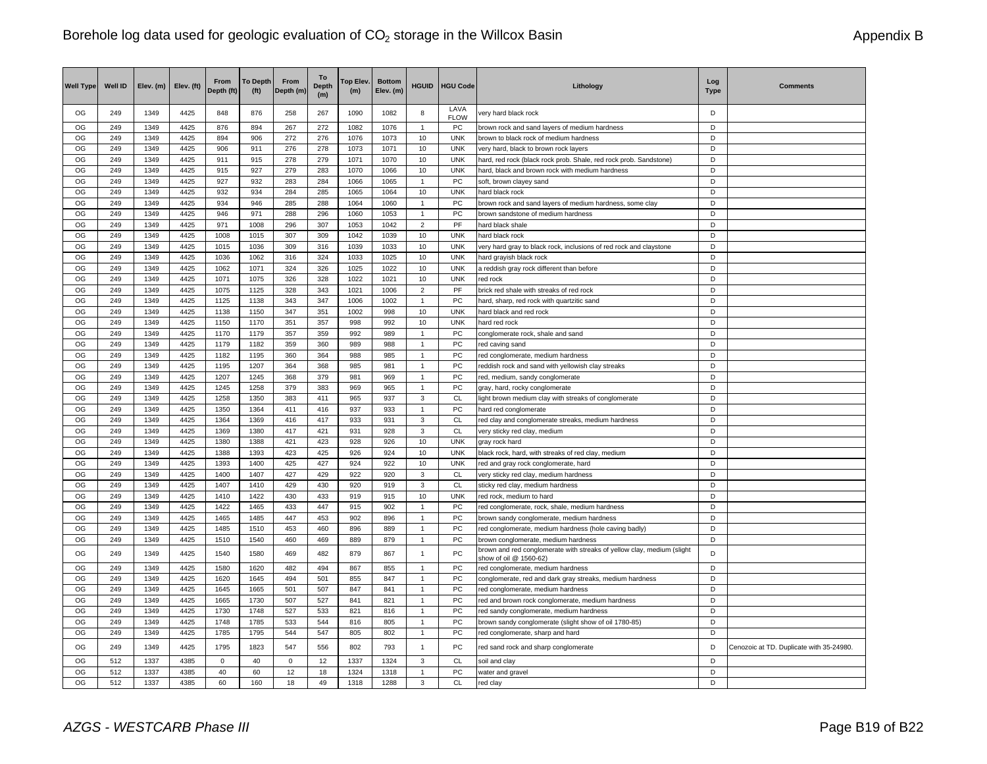| <b>Well Type</b> | Well ID    | Elev. (m)    | Elev. (ft)   | From<br>Depth (ft) | <b>To Depth</b><br>(f <sup>t</sup> ) | From<br>Depth (m) | To<br><b>Depth</b><br>(m) | <b>Top Elev</b><br>(m) | <b>Bottom</b><br>Elev. (m) | <b>HGUID</b>                   | <b>HGU Code</b>     | Lithology                                                                                        | Log<br><b>Type</b> | <b>Comments</b>                          |
|------------------|------------|--------------|--------------|--------------------|--------------------------------------|-------------------|---------------------------|------------------------|----------------------------|--------------------------------|---------------------|--------------------------------------------------------------------------------------------------|--------------------|------------------------------------------|
| OG               | 249        | 1349         | 4425         | 848                | 876                                  | 258               | 267                       | 1090                   | 1082                       | 8                              | LAVA<br><b>FLOW</b> | very hard black rock                                                                             | D                  |                                          |
| OG               | 249        | 1349         | 4425         | 876                | 894                                  | 267               | 272                       | 1082                   | 1076                       | $\overline{1}$                 | PC                  | brown rock and sand layers of medium hardness                                                    | D                  |                                          |
| OG               | 249        | 1349         | 4425         | 894                | 906                                  | 272               | 276                       | 1076                   | 1073                       | 10                             | <b>UNK</b>          | brown to black rock of medium hardness                                                           | D                  |                                          |
| OG               | 249        | 1349         | 4425         | 906                | 911                                  | 276               | 278                       | 1073                   | 1071                       | 10                             | <b>UNK</b>          | very hard, black to brown rock layers                                                            | D                  |                                          |
| OG               | 249        | 1349         | 4425         | 911                | 915                                  | 278               | 279                       | 1071                   | 1070                       | 10                             | <b>UNK</b>          | hard, red rock (black rock prob. Shale, red rock prob. Sandstone)                                | D                  |                                          |
| OG               | 249        | 1349         | 4425         | 915                | 927                                  | 279               | 283                       | 1070                   | 1066                       | 10                             | <b>UNK</b>          | hard, black and brown rock with medium hardness                                                  | D                  |                                          |
| OG               | 249        | 1349         | 4425         | 927                | 932                                  | 283               | 284                       | 1066                   | 1065                       | 1                              | ${\sf PC}$          | soft, brown clayey sand                                                                          | D                  |                                          |
| OG               | 249        | 1349         | 4425         | 932                | 934                                  | 284               | 285                       | 1065                   | 1064                       | 10                             | <b>UNK</b>          | hard black rock                                                                                  | D                  |                                          |
| OG               | 249        | 1349         | 4425         | 934                | 946                                  | 285               | 288                       | 1064                   | 1060                       | $\mathbf{1}$                   | <b>PC</b>           | brown rock and sand layers of medium hardness, some clay                                         | D                  |                                          |
| OG               | 249        | 1349         | 4425         | 946                | 971                                  | 288               | 296                       | 1060                   | 1053                       | $\overline{1}$                 | PC                  | brown sandstone of medium hardness                                                               | D                  |                                          |
| OG               | 249        | 1349         | 4425         | 971                | 1008                                 | 296               | 307                       | 1053                   | 1042                       | $\overline{2}$                 | PF                  | hard black shale                                                                                 | D                  |                                          |
| OG               | 249        | 1349         | 4425         | 1008               | 1015                                 | 307               | 309                       | 1042                   | 1039                       | 10                             | <b>UNK</b>          | hard black rock                                                                                  | D                  |                                          |
| OG               | 249        | 1349         | 4425         | 1015               | 1036                                 | 309               | 316                       | 1039                   | 1033                       | 10                             | <b>UNK</b>          | very hard gray to black rock, inclusions of red rock and claystone                               | D                  |                                          |
| OG               | 249        | 1349         | 4425         | 1036               | 1062                                 | 316               | 324                       | 1033                   | 1025                       | 10                             | <b>UNK</b>          | hard grayish black rock                                                                          | D                  |                                          |
| OG               | 249        | 1349         | 4425         | 1062               | 1071                                 | 324               | 326                       | 1025                   | 1022                       | 10                             | <b>UNK</b>          | a reddish gray rock different than before                                                        | D                  |                                          |
| OG               | 249        | 1349         | 4425         | 1071               | 1075                                 | 326               | 328                       | 1022                   | 1021                       | 10                             | <b>UNK</b>          | red rock                                                                                         | D                  |                                          |
| OG               | 249        | 1349         | 4425         | 1075               | 1125                                 | 328               | 343                       | 1021                   | 1006                       | $\overline{2}$                 | PF                  | brick red shale with streaks of red rock                                                         | D                  |                                          |
| OG               | 249        | 1349         | 4425         | 1125               | 1138                                 | 343               | 347                       | 1006                   | 1002                       | $\mathbf{1}$                   | <b>PC</b>           | hard, sharp, red rock with quartzitic sand                                                       | D                  |                                          |
| OG               | 249        | 1349         | 4425         | 1138               | 1150                                 | 347               | 351                       | 1002                   | 998                        | 10                             | <b>UNK</b>          | hard black and red rock                                                                          | D                  |                                          |
| OG               | 249        | 1349         | 4425         | 1150               | 1170                                 | 351               | 357                       | 998                    | 992                        | 10                             | <b>UNK</b>          | hard red rock                                                                                    | D                  |                                          |
| OG               | 249        | 1349         | 4425         | 1170               | 1179                                 | 357               | 359                       | 992                    | 989                        | $\mathbf{1}$                   | PC                  | conglomerate rock, shale and sand                                                                | D                  |                                          |
| OG               | 249        | 1349         | 4425         | 1179               | 1182                                 | 359               | 360                       | 989                    | 988                        | $\mathbf{1}$                   | PC                  | red caving sand                                                                                  | D                  |                                          |
| OG               | 249        | 1349         | 4425         | 1182               | 1195                                 | 360               | 364                       | 988                    | 985                        | $\overline{1}$                 | PC                  | red conglomerate, medium hardness                                                                | D<br>D             |                                          |
| OG<br>OG         | 249<br>249 | 1349<br>1349 | 4425<br>4425 | 1195<br>1207       | 1207<br>1245                         | 364<br>368        | 368<br>379                | 985                    | 981                        | $\mathbf{1}$<br>$\overline{1}$ | PC<br>${\sf PC}$    | reddish rock and sand with yellowish clay streaks                                                | D                  |                                          |
| OG               | 249        | 1349         | 4425         | 1245               | 1258                                 | 379               | 383                       | 981<br>969             | 969<br>965                 | $\overline{1}$                 | PC                  | red, medium, sandy conglomerate<br>gray, hard, rocky conglomerate                                | D                  |                                          |
| OG               | 249        | 1349         | 4425         | 1258               | 1350                                 | 383               | 411                       | 965                    | 937                        | 3                              | CL                  | light brown medium clay with streaks of conglomerate                                             | D                  |                                          |
| OG               | 249        | 1349         | 4425         | 1350               | 1364                                 | 411               | 416                       | 937                    | 933                        | $\overline{1}$                 | <b>PC</b>           | hard red conglomerate                                                                            | D                  |                                          |
| OG               | 249        | 1349         | 4425         | 1364               | 1369                                 | 416               | 417                       | 933                    | 931                        | 3                              | <b>CL</b>           | red clay and conglomerate streaks, medium hardness                                               | D                  |                                          |
| OG               | 249        | 1349         | 4425         | 1369               | 1380                                 | 417               | 421                       | 931                    | 928                        | 3                              | <b>CL</b>           | very sticky red clay, medium                                                                     | D                  |                                          |
| OG               | 249        | 1349         | 4425         | 1380               | 1388                                 | 421               | 423                       | 928                    | 926                        | 10                             | <b>UNK</b>          | gray rock hard                                                                                   | D                  |                                          |
| OG               | 249        | 1349         | 4425         | 1388               | 1393                                 | 423               | 425                       | 926                    | 924                        | 10                             | <b>UNK</b>          | black rock, hard, with streaks of red clay, medium                                               | D                  |                                          |
| OG               | 249        | 1349         | 4425         | 1393               | 1400                                 | 425               | 427                       | 924                    | 922                        | 10                             | <b>UNK</b>          | red and gray rock conglomerate, hard                                                             | D                  |                                          |
| OG               | 249        | 1349         | 4425         | 1400               | 1407                                 | 427               | 429                       | 922                    | 920                        | 3                              | CL                  | very sticky red clay, medium hardness                                                            | D                  |                                          |
| OG               | 249        | 1349         | 4425         | 1407               | 1410                                 | 429               | 430                       | 920                    | 919                        | $\mathbf{3}$                   | <b>CL</b>           | sticky red clay, medium hardness                                                                 | D                  |                                          |
| OG               | 249        | 1349         | 4425         | 1410               | 1422                                 | 430               | 433                       | 919                    | 915                        | 10                             | <b>UNK</b>          | red rock, medium to hard                                                                         | D                  |                                          |
| OG               | 249        | 1349         | 4425         | 1422               | 1465                                 | 433               | 447                       | 915                    | 902                        | 1                              | <b>PC</b>           | red conglomerate, rock, shale, medium hardness                                                   | D                  |                                          |
| OG               | 249        | 1349         | 4425         | 1465               | 1485                                 | 447               | 453                       | 902                    | 896                        | $\overline{1}$                 | PC                  | brown sandy conglomerate, medium hardness                                                        | D                  |                                          |
| OG               | 249        | 1349         | 4425         | 1485               | 1510                                 | 453               | 460                       | 896                    | 889                        | $\overline{1}$                 | PC                  | red conglomerate, medium hardness (hole caving badly)                                            | D                  |                                          |
| OG               | 249        | 1349         | 4425         | 1510               | 1540                                 | 460               | 469                       | 889                    | 879                        | $\overline{1}$                 | PC                  | brown conglomerate, medium hardness                                                              | D                  |                                          |
| OG               | 249        | 1349         | 4425         | 1540               | 1580                                 | 469               | 482                       | 879                    | 867                        | $\overline{1}$                 | PC                  | brown and red conglomerate with streaks of yellow clay, medium (slight<br>show of oil @ 1560-62) | D                  |                                          |
| OG               | 249        | 1349         | 4425         | 1580               | 1620                                 | 482               | 494                       | 867                    | 855                        | $\overline{1}$                 | PC                  | red conglomerate, medium hardness                                                                | D                  |                                          |
| OG               | 249        | 1349         | 4425         | 1620               | 1645                                 | 494               | 501                       | 855                    | 847                        | $\overline{1}$                 | PC                  | conglomerate, red and dark gray streaks, medium hardness                                         | D                  |                                          |
| OG               | 249        | 1349         | 4425         | 1645               | 1665                                 | 501               | 507                       | 847                    | 841                        | $\overline{1}$                 | PC                  | red conglomerate, medium hardness                                                                | D                  |                                          |
| OG               | 249        | 1349         | 4425         | 1665               | 1730                                 | 507               | 527                       | 841                    | 821                        | $\mathbf{1}$                   | <b>PC</b>           | red and brown rock conglomerate, medium hardness                                                 | D                  |                                          |
| OG               | 249        | 1349         | 4425         | 1730               | 1748                                 | 527               | 533                       | 821                    | 816                        | 1                              | PC                  | red sandy conglomerate, medium hardness                                                          | D                  |                                          |
| OG               | 249        | 1349         | 4425         | 1748               | 1785                                 | 533               | 544                       | 816                    | 805                        | $\overline{1}$                 | ${\sf PC}$          | brown sandy conglomerate (slight show of oil 1780-85)                                            | D                  |                                          |
| OG               | 249        | 1349         | 4425         | 1785               | 1795                                 | 544               | 547                       | 805                    | 802                        | $\overline{1}$                 | PC                  | red conglomerate, sharp and hard                                                                 | D                  |                                          |
| OG               | 249        | 1349         | 4425         | 1795               | 1823                                 | 547               | 556                       | 802                    | 793                        | $\mathbf{1}$                   | PC                  | red sand rock and sharp conglomerate                                                             | D                  | Cenozoic at TD. Duplicate with 35-24980. |
| OG               | 512        | 1337         | 4385         | 0                  | 40                                   | $\mathbf 0$       | 12                        | 1337                   | 1324                       | 3                              | <b>CL</b>           | soil and clay                                                                                    | D                  |                                          |
| OG               | 512        | 1337         | 4385         | 40                 | 60                                   | 12                | 18                        | 1324                   | 1318                       | $\mathbf{1}$                   | ${\sf PC}$          | water and gravel                                                                                 | D                  |                                          |
| OG               | 512        | 1337         | 4385         | 60                 | 160                                  | 18                | 49                        | 1318                   | 1288                       | 3                              | CL                  | red clay                                                                                         | D                  |                                          |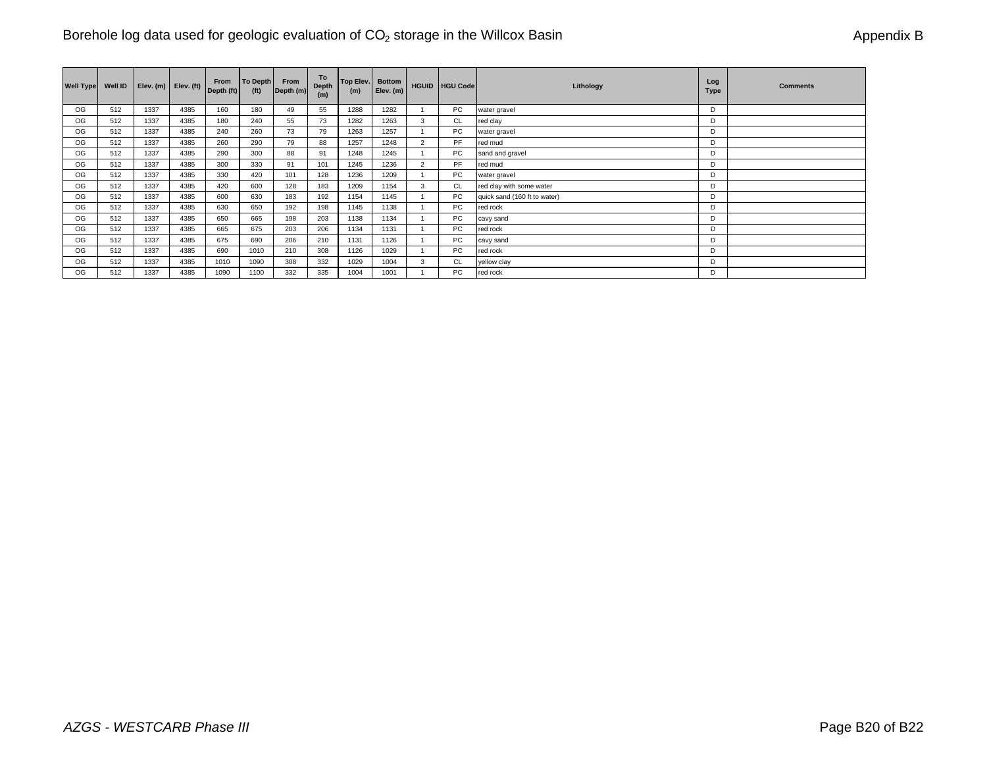| <b>Well Type</b> | Well ID |      | Elev. $(m)$ Elev. $(ft)$ | From<br>Depth (ft) | To Depth<br>(f <sup>t</sup> ) | From<br>Depth (m) | To<br><b>Depth</b><br>(m) | Top Elev. Bottom<br>(m) | Elev. (m) |                | HGUID HGU Code | Lithology                    | Log<br>Type | <b>Comments</b> |
|------------------|---------|------|--------------------------|--------------------|-------------------------------|-------------------|---------------------------|-------------------------|-----------|----------------|----------------|------------------------------|-------------|-----------------|
| OG               | 512     | 1337 | 4385                     | 160                | 180                           | 49                | 55                        | 1288                    | 1282      |                | <b>PC</b>      | water gravel                 | D           |                 |
| OG               | 512     | 1337 | 4385                     | 180                | 240                           | 55                | 73                        | 1282                    | 1263      | 3              | CL             | red clay                     | D           |                 |
| OG               | 512     | 1337 | 4385                     | 240                | 260                           | 73                | 79                        | 1263                    | 1257      |                | <b>PC</b>      | water gravel                 | D           |                 |
| OG               | 512     | 1337 | 4385                     | 260                | 290                           | 79                | 88                        | 1257                    | 1248      | $\overline{2}$ | PF             | red mud                      | D           |                 |
| OG               | 512     | 1337 | 4385                     | 290                | 300                           | 88                | 91                        | 1248                    | 1245      |                | PC             | sand and gravel              | D           |                 |
| OG               | 512     | 1337 | 4385                     | 300                | 330                           | 91                | 101                       | 1245                    | 1236      | 2              | <b>PF</b>      | red mud                      | D           |                 |
| OG               | 512     | 1337 | 4385                     | 330                | 420                           | 101               | 128                       | 1236                    | 1209      |                | PC             | water gravel                 | D           |                 |
| OG               | 512     | 1337 | 4385                     | 420                | 600                           | 128               | 183                       | 1209                    | 1154      | 3              | <b>CL</b>      | red clay with some water     | D           |                 |
| OG.              | 512     | 1337 | 4385                     | 600                | 630                           | 183               | 192                       | 1154                    | 1145      |                | PC             | quick sand (160 ft to water) | D           |                 |
| OG.              | 512     | 1337 | 4385                     | 630                | 650                           | 192               | 198                       | 1145                    | 1138      |                | PC             | red rock                     | D           |                 |
| OG               | 512     | 1337 | 4385                     | 650                | 665                           | 198               | 203                       | 1138                    | 1134      |                | PC             | cavy sand                    | D           |                 |
| OG               | 512     | 1337 | 4385                     | 665                | 675                           | 203               | 206                       | 1134                    | 1131      |                | PC             | red rock                     | D           |                 |
| OG               | 512     | 1337 | 4385                     | 675                | 690                           | 206               | 210                       | 1131                    | 1126      |                | PC             | cavy sand                    | D           |                 |
| OG               | 512     | 1337 | 4385                     | 690                | 1010                          | 210               | 308                       | 1126                    | 1029      |                | PC             | red rock                     | D           |                 |
| OG               | 512     | 1337 | 4385                     | 1010               | 1090                          | 308               | 332                       | 1029                    | 1004      | 3              | CL             | yellow clay                  | D           |                 |
| OG               | 512     | 1337 | 4385                     | 1090               | 1100                          | 332               | 335                       | 1004                    | 1001      |                | PC             | red rock                     | D           |                 |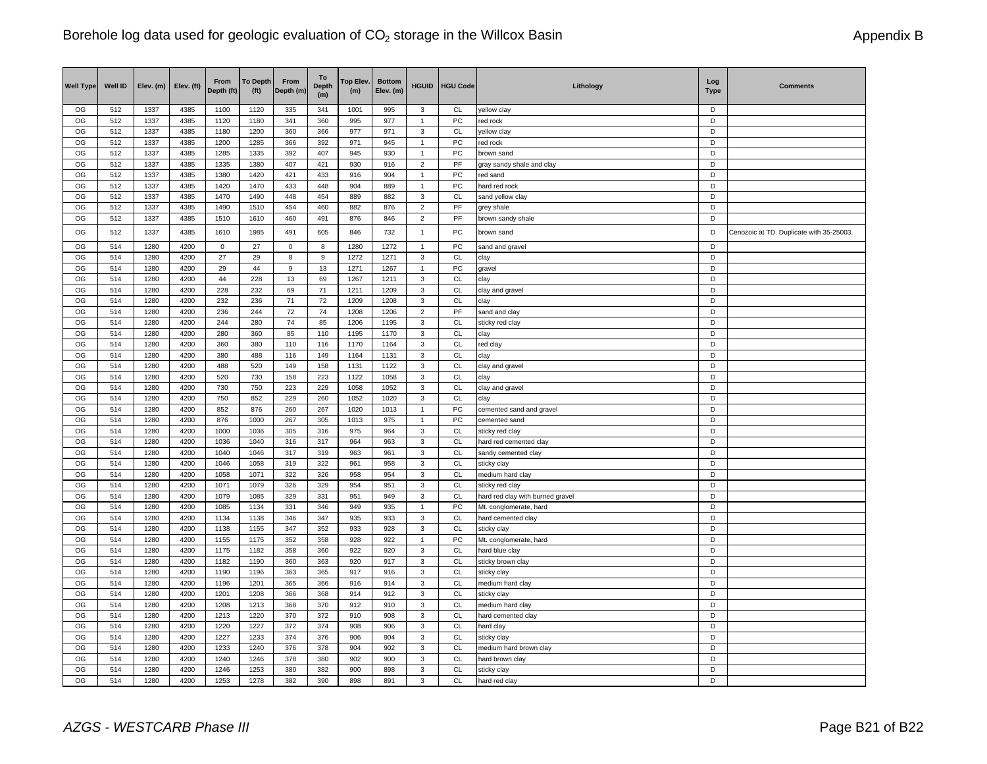| OG<br>512<br>1337<br>4385<br>1100<br>1120<br>341<br>D<br>335<br>1001<br>995<br>3<br><b>CL</b><br>yellow clay<br>D<br>PC<br>OG<br>512<br>1337<br>4385<br>1120<br>1180<br>341<br>360<br>995<br>977<br>$\overline{1}$<br>red rock<br>OG<br>4385<br>1180<br>CL<br>D<br>512<br>1337<br>1200<br>360<br>366<br>977<br>971<br>3<br>yellow clay<br>OG<br>PC<br>512<br>1337<br>4385<br>1200<br>1285<br>366<br>392<br>971<br>945<br>$\overline{1}$<br>D<br>red rock<br>OG<br>PC<br>D<br>512<br>1337<br>4385<br>1285<br>1335<br>392<br>407<br>930<br>945<br>brown sand<br>$\mathbf{1}$<br>OG<br>512<br>1337<br>4385<br>1335<br>1380<br>407<br>421<br>PF<br>D<br>930<br>916<br>$\overline{2}$<br>gray sandy shale and clay<br>OG<br>512<br>1337<br>4385<br>1380<br>1420<br>421<br>433<br>PC<br>D<br>916<br>904<br>$\overline{1}$<br>red sand<br>512<br>1420<br>D<br>OG<br>1337<br>4385<br>1470<br>433<br>448<br>904<br>889<br>PC<br>hard red rock<br>$\mathbf{1}$<br>OG<br>512<br>1337<br>4385<br>1470<br>1490<br>448<br>454<br>CL<br>D<br>889<br>882<br>3<br>sand yellow clay<br>OG<br>512<br>PF<br>D<br>1337<br>4385<br>1490<br>454<br>$\overline{2}$<br>1510<br>460<br>882<br>876<br>grey shale<br>D<br>OG<br>512<br>1337<br>4385<br>$\overline{2}$<br>PF<br>1510<br>1610<br>460<br>491<br>876<br>846<br>brown sandy shale<br>OG<br>512<br>1337<br>4385<br>1610<br>1985<br>491<br>605<br>846<br>732<br>$\overline{1}$<br>PC<br>D<br>brown sand<br>OG<br>PC<br>D<br>514<br>1280<br>4200<br>$\mathsf 0$<br>27<br>$\mathbf 0$<br>8<br>1280<br>1272<br>$\overline{1}$<br>sand and gravel<br><b>CL</b><br>OG<br>514<br>27<br>29<br>8<br>9<br>D<br>1280<br>4200<br>1272<br>1271<br>3<br>clay<br>OG<br>514<br>29<br>44<br>13<br>PC<br>D<br>1280<br>4200<br>9<br>1271<br>1267<br>gravel<br>$\mathbf{1}$<br>OG<br>514<br>1280<br>4200<br>44<br>228<br>13<br>69<br>1267<br><b>CL</b><br>D<br>1211<br>3<br>clay<br>OG<br>514<br>1280<br>4200<br>228<br>232<br>69<br>71<br>1211<br>1209<br>3<br>CL<br>D<br>clay and gravel<br>D<br>OG<br>232<br>71<br>72<br>$\mathbf{3}$<br><b>CL</b><br>514<br>1280<br>4200<br>236<br>1209<br>1208<br>clay<br>PF<br>OG<br>514<br>236<br>72<br>74<br>D<br>1280<br>4200<br>244<br>1208<br>1206<br>$\overline{2}$<br>sand and clay<br>OG<br>514<br>1280<br>4200<br>244<br>280<br>74<br>85<br>1206<br><b>CL</b><br>D<br>1195<br>3<br>sticky red clay<br>OG<br><b>CL</b><br>514<br>1280<br>4200<br>280<br>360<br>85<br>110<br>1195<br>1170<br>$\ensuremath{\mathsf{3}}$<br>D<br>clay<br>OG<br>514<br>4200<br>360<br><b>CL</b><br>D<br>1280<br>380<br>110<br>116<br>1170<br>1164<br>3<br>red clay<br>OG<br>380<br>CL<br>D<br>514<br>1280<br>4200<br>488<br>149<br>3<br>116<br>1164<br>1131<br>clay<br>OG<br>514<br>1280<br>4200<br>488<br>520<br>149<br>158<br>1131<br>1122<br>3<br>CL<br>D<br>clay and gravel<br>514<br>$\mathsf{CL}$<br>D<br>OG<br>1280<br>4200<br>520<br>730<br>158<br>223<br>1122<br>1058<br>3<br>clay<br>OG<br>514<br>4200<br>730<br>750<br>223<br>229<br>$\ensuremath{\mathsf{3}}$<br>CL<br>D<br>1280<br>1058<br>1052<br>clay and gravel | <b>Well Type</b> | Well ID | Elev. (m) | Elev. (ft) | From<br>Depth (ft) | <b>To Depth</b><br>(f <sup>t</sup> ) | From<br>Depth (m) | To<br><b>Depth</b> | Top Elev.<br>(m) | <b>Bottom</b><br>Elev. (m) | <b>HGUID</b> | <b>HGU Code</b> | Lithology | Log<br><b>Type</b> | <b>Comments</b>                          |
|---------------------------------------------------------------------------------------------------------------------------------------------------------------------------------------------------------------------------------------------------------------------------------------------------------------------------------------------------------------------------------------------------------------------------------------------------------------------------------------------------------------------------------------------------------------------------------------------------------------------------------------------------------------------------------------------------------------------------------------------------------------------------------------------------------------------------------------------------------------------------------------------------------------------------------------------------------------------------------------------------------------------------------------------------------------------------------------------------------------------------------------------------------------------------------------------------------------------------------------------------------------------------------------------------------------------------------------------------------------------------------------------------------------------------------------------------------------------------------------------------------------------------------------------------------------------------------------------------------------------------------------------------------------------------------------------------------------------------------------------------------------------------------------------------------------------------------------------------------------------------------------------------------------------------------------------------------------------------------------------------------------------------------------------------------------------------------------------------------------------------------------------------------------------------------------------------------------------------------------------------------------------------------------------------------------------------------------------------------------------------------------------------------------------------------------------------------------------------------------------------------------------------------------------------------------------------------------------------------------------------------------------------------------------------------------------------------------------------------------------------------------------------------------------------------------------------------------------------------------------------------------------------------------------------------------------------------------------------------------------------------------------------------------------------------------------|------------------|---------|-----------|------------|--------------------|--------------------------------------|-------------------|--------------------|------------------|----------------------------|--------------|-----------------|-----------|--------------------|------------------------------------------|
|                                                                                                                                                                                                                                                                                                                                                                                                                                                                                                                                                                                                                                                                                                                                                                                                                                                                                                                                                                                                                                                                                                                                                                                                                                                                                                                                                                                                                                                                                                                                                                                                                                                                                                                                                                                                                                                                                                                                                                                                                                                                                                                                                                                                                                                                                                                                                                                                                                                                                                                                                                                                                                                                                                                                                                                                                                                                                                                                                                                                                                                                     |                  |         |           |            |                    |                                      |                   | (m)                |                  |                            |              |                 |           |                    |                                          |
|                                                                                                                                                                                                                                                                                                                                                                                                                                                                                                                                                                                                                                                                                                                                                                                                                                                                                                                                                                                                                                                                                                                                                                                                                                                                                                                                                                                                                                                                                                                                                                                                                                                                                                                                                                                                                                                                                                                                                                                                                                                                                                                                                                                                                                                                                                                                                                                                                                                                                                                                                                                                                                                                                                                                                                                                                                                                                                                                                                                                                                                                     |                  |         |           |            |                    |                                      |                   |                    |                  |                            |              |                 |           |                    |                                          |
|                                                                                                                                                                                                                                                                                                                                                                                                                                                                                                                                                                                                                                                                                                                                                                                                                                                                                                                                                                                                                                                                                                                                                                                                                                                                                                                                                                                                                                                                                                                                                                                                                                                                                                                                                                                                                                                                                                                                                                                                                                                                                                                                                                                                                                                                                                                                                                                                                                                                                                                                                                                                                                                                                                                                                                                                                                                                                                                                                                                                                                                                     |                  |         |           |            |                    |                                      |                   |                    |                  |                            |              |                 |           |                    |                                          |
|                                                                                                                                                                                                                                                                                                                                                                                                                                                                                                                                                                                                                                                                                                                                                                                                                                                                                                                                                                                                                                                                                                                                                                                                                                                                                                                                                                                                                                                                                                                                                                                                                                                                                                                                                                                                                                                                                                                                                                                                                                                                                                                                                                                                                                                                                                                                                                                                                                                                                                                                                                                                                                                                                                                                                                                                                                                                                                                                                                                                                                                                     |                  |         |           |            |                    |                                      |                   |                    |                  |                            |              |                 |           |                    |                                          |
|                                                                                                                                                                                                                                                                                                                                                                                                                                                                                                                                                                                                                                                                                                                                                                                                                                                                                                                                                                                                                                                                                                                                                                                                                                                                                                                                                                                                                                                                                                                                                                                                                                                                                                                                                                                                                                                                                                                                                                                                                                                                                                                                                                                                                                                                                                                                                                                                                                                                                                                                                                                                                                                                                                                                                                                                                                                                                                                                                                                                                                                                     |                  |         |           |            |                    |                                      |                   |                    |                  |                            |              |                 |           |                    |                                          |
|                                                                                                                                                                                                                                                                                                                                                                                                                                                                                                                                                                                                                                                                                                                                                                                                                                                                                                                                                                                                                                                                                                                                                                                                                                                                                                                                                                                                                                                                                                                                                                                                                                                                                                                                                                                                                                                                                                                                                                                                                                                                                                                                                                                                                                                                                                                                                                                                                                                                                                                                                                                                                                                                                                                                                                                                                                                                                                                                                                                                                                                                     |                  |         |           |            |                    |                                      |                   |                    |                  |                            |              |                 |           |                    |                                          |
|                                                                                                                                                                                                                                                                                                                                                                                                                                                                                                                                                                                                                                                                                                                                                                                                                                                                                                                                                                                                                                                                                                                                                                                                                                                                                                                                                                                                                                                                                                                                                                                                                                                                                                                                                                                                                                                                                                                                                                                                                                                                                                                                                                                                                                                                                                                                                                                                                                                                                                                                                                                                                                                                                                                                                                                                                                                                                                                                                                                                                                                                     |                  |         |           |            |                    |                                      |                   |                    |                  |                            |              |                 |           |                    |                                          |
|                                                                                                                                                                                                                                                                                                                                                                                                                                                                                                                                                                                                                                                                                                                                                                                                                                                                                                                                                                                                                                                                                                                                                                                                                                                                                                                                                                                                                                                                                                                                                                                                                                                                                                                                                                                                                                                                                                                                                                                                                                                                                                                                                                                                                                                                                                                                                                                                                                                                                                                                                                                                                                                                                                                                                                                                                                                                                                                                                                                                                                                                     |                  |         |           |            |                    |                                      |                   |                    |                  |                            |              |                 |           |                    |                                          |
|                                                                                                                                                                                                                                                                                                                                                                                                                                                                                                                                                                                                                                                                                                                                                                                                                                                                                                                                                                                                                                                                                                                                                                                                                                                                                                                                                                                                                                                                                                                                                                                                                                                                                                                                                                                                                                                                                                                                                                                                                                                                                                                                                                                                                                                                                                                                                                                                                                                                                                                                                                                                                                                                                                                                                                                                                                                                                                                                                                                                                                                                     |                  |         |           |            |                    |                                      |                   |                    |                  |                            |              |                 |           |                    |                                          |
|                                                                                                                                                                                                                                                                                                                                                                                                                                                                                                                                                                                                                                                                                                                                                                                                                                                                                                                                                                                                                                                                                                                                                                                                                                                                                                                                                                                                                                                                                                                                                                                                                                                                                                                                                                                                                                                                                                                                                                                                                                                                                                                                                                                                                                                                                                                                                                                                                                                                                                                                                                                                                                                                                                                                                                                                                                                                                                                                                                                                                                                                     |                  |         |           |            |                    |                                      |                   |                    |                  |                            |              |                 |           |                    |                                          |
|                                                                                                                                                                                                                                                                                                                                                                                                                                                                                                                                                                                                                                                                                                                                                                                                                                                                                                                                                                                                                                                                                                                                                                                                                                                                                                                                                                                                                                                                                                                                                                                                                                                                                                                                                                                                                                                                                                                                                                                                                                                                                                                                                                                                                                                                                                                                                                                                                                                                                                                                                                                                                                                                                                                                                                                                                                                                                                                                                                                                                                                                     |                  |         |           |            |                    |                                      |                   |                    |                  |                            |              |                 |           |                    |                                          |
|                                                                                                                                                                                                                                                                                                                                                                                                                                                                                                                                                                                                                                                                                                                                                                                                                                                                                                                                                                                                                                                                                                                                                                                                                                                                                                                                                                                                                                                                                                                                                                                                                                                                                                                                                                                                                                                                                                                                                                                                                                                                                                                                                                                                                                                                                                                                                                                                                                                                                                                                                                                                                                                                                                                                                                                                                                                                                                                                                                                                                                                                     |                  |         |           |            |                    |                                      |                   |                    |                  |                            |              |                 |           |                    | Cenozoic at TD. Duplicate with 35-25003. |
|                                                                                                                                                                                                                                                                                                                                                                                                                                                                                                                                                                                                                                                                                                                                                                                                                                                                                                                                                                                                                                                                                                                                                                                                                                                                                                                                                                                                                                                                                                                                                                                                                                                                                                                                                                                                                                                                                                                                                                                                                                                                                                                                                                                                                                                                                                                                                                                                                                                                                                                                                                                                                                                                                                                                                                                                                                                                                                                                                                                                                                                                     |                  |         |           |            |                    |                                      |                   |                    |                  |                            |              |                 |           |                    |                                          |
|                                                                                                                                                                                                                                                                                                                                                                                                                                                                                                                                                                                                                                                                                                                                                                                                                                                                                                                                                                                                                                                                                                                                                                                                                                                                                                                                                                                                                                                                                                                                                                                                                                                                                                                                                                                                                                                                                                                                                                                                                                                                                                                                                                                                                                                                                                                                                                                                                                                                                                                                                                                                                                                                                                                                                                                                                                                                                                                                                                                                                                                                     |                  |         |           |            |                    |                                      |                   |                    |                  |                            |              |                 |           |                    |                                          |
|                                                                                                                                                                                                                                                                                                                                                                                                                                                                                                                                                                                                                                                                                                                                                                                                                                                                                                                                                                                                                                                                                                                                                                                                                                                                                                                                                                                                                                                                                                                                                                                                                                                                                                                                                                                                                                                                                                                                                                                                                                                                                                                                                                                                                                                                                                                                                                                                                                                                                                                                                                                                                                                                                                                                                                                                                                                                                                                                                                                                                                                                     |                  |         |           |            |                    |                                      |                   |                    |                  |                            |              |                 |           |                    |                                          |
|                                                                                                                                                                                                                                                                                                                                                                                                                                                                                                                                                                                                                                                                                                                                                                                                                                                                                                                                                                                                                                                                                                                                                                                                                                                                                                                                                                                                                                                                                                                                                                                                                                                                                                                                                                                                                                                                                                                                                                                                                                                                                                                                                                                                                                                                                                                                                                                                                                                                                                                                                                                                                                                                                                                                                                                                                                                                                                                                                                                                                                                                     |                  |         |           |            |                    |                                      |                   |                    |                  |                            |              |                 |           |                    |                                          |
|                                                                                                                                                                                                                                                                                                                                                                                                                                                                                                                                                                                                                                                                                                                                                                                                                                                                                                                                                                                                                                                                                                                                                                                                                                                                                                                                                                                                                                                                                                                                                                                                                                                                                                                                                                                                                                                                                                                                                                                                                                                                                                                                                                                                                                                                                                                                                                                                                                                                                                                                                                                                                                                                                                                                                                                                                                                                                                                                                                                                                                                                     |                  |         |           |            |                    |                                      |                   |                    |                  |                            |              |                 |           |                    |                                          |
|                                                                                                                                                                                                                                                                                                                                                                                                                                                                                                                                                                                                                                                                                                                                                                                                                                                                                                                                                                                                                                                                                                                                                                                                                                                                                                                                                                                                                                                                                                                                                                                                                                                                                                                                                                                                                                                                                                                                                                                                                                                                                                                                                                                                                                                                                                                                                                                                                                                                                                                                                                                                                                                                                                                                                                                                                                                                                                                                                                                                                                                                     |                  |         |           |            |                    |                                      |                   |                    |                  |                            |              |                 |           |                    |                                          |
|                                                                                                                                                                                                                                                                                                                                                                                                                                                                                                                                                                                                                                                                                                                                                                                                                                                                                                                                                                                                                                                                                                                                                                                                                                                                                                                                                                                                                                                                                                                                                                                                                                                                                                                                                                                                                                                                                                                                                                                                                                                                                                                                                                                                                                                                                                                                                                                                                                                                                                                                                                                                                                                                                                                                                                                                                                                                                                                                                                                                                                                                     |                  |         |           |            |                    |                                      |                   |                    |                  |                            |              |                 |           |                    |                                          |
|                                                                                                                                                                                                                                                                                                                                                                                                                                                                                                                                                                                                                                                                                                                                                                                                                                                                                                                                                                                                                                                                                                                                                                                                                                                                                                                                                                                                                                                                                                                                                                                                                                                                                                                                                                                                                                                                                                                                                                                                                                                                                                                                                                                                                                                                                                                                                                                                                                                                                                                                                                                                                                                                                                                                                                                                                                                                                                                                                                                                                                                                     |                  |         |           |            |                    |                                      |                   |                    |                  |                            |              |                 |           |                    |                                          |
|                                                                                                                                                                                                                                                                                                                                                                                                                                                                                                                                                                                                                                                                                                                                                                                                                                                                                                                                                                                                                                                                                                                                                                                                                                                                                                                                                                                                                                                                                                                                                                                                                                                                                                                                                                                                                                                                                                                                                                                                                                                                                                                                                                                                                                                                                                                                                                                                                                                                                                                                                                                                                                                                                                                                                                                                                                                                                                                                                                                                                                                                     |                  |         |           |            |                    |                                      |                   |                    |                  |                            |              |                 |           |                    |                                          |
|                                                                                                                                                                                                                                                                                                                                                                                                                                                                                                                                                                                                                                                                                                                                                                                                                                                                                                                                                                                                                                                                                                                                                                                                                                                                                                                                                                                                                                                                                                                                                                                                                                                                                                                                                                                                                                                                                                                                                                                                                                                                                                                                                                                                                                                                                                                                                                                                                                                                                                                                                                                                                                                                                                                                                                                                                                                                                                                                                                                                                                                                     |                  |         |           |            |                    |                                      |                   |                    |                  |                            |              |                 |           |                    |                                          |
|                                                                                                                                                                                                                                                                                                                                                                                                                                                                                                                                                                                                                                                                                                                                                                                                                                                                                                                                                                                                                                                                                                                                                                                                                                                                                                                                                                                                                                                                                                                                                                                                                                                                                                                                                                                                                                                                                                                                                                                                                                                                                                                                                                                                                                                                                                                                                                                                                                                                                                                                                                                                                                                                                                                                                                                                                                                                                                                                                                                                                                                                     |                  |         |           |            |                    |                                      |                   |                    |                  |                            |              |                 |           |                    |                                          |
|                                                                                                                                                                                                                                                                                                                                                                                                                                                                                                                                                                                                                                                                                                                                                                                                                                                                                                                                                                                                                                                                                                                                                                                                                                                                                                                                                                                                                                                                                                                                                                                                                                                                                                                                                                                                                                                                                                                                                                                                                                                                                                                                                                                                                                                                                                                                                                                                                                                                                                                                                                                                                                                                                                                                                                                                                                                                                                                                                                                                                                                                     |                  |         |           |            |                    |                                      |                   |                    |                  |                            |              |                 |           |                    |                                          |
|                                                                                                                                                                                                                                                                                                                                                                                                                                                                                                                                                                                                                                                                                                                                                                                                                                                                                                                                                                                                                                                                                                                                                                                                                                                                                                                                                                                                                                                                                                                                                                                                                                                                                                                                                                                                                                                                                                                                                                                                                                                                                                                                                                                                                                                                                                                                                                                                                                                                                                                                                                                                                                                                                                                                                                                                                                                                                                                                                                                                                                                                     |                  |         |           |            |                    |                                      |                   |                    |                  |                            |              |                 |           |                    |                                          |
| OG<br>514<br>CL<br>D<br>1280<br>4200<br>750<br>852<br>229<br>260<br>3<br>1052<br>1020<br>clay                                                                                                                                                                                                                                                                                                                                                                                                                                                                                                                                                                                                                                                                                                                                                                                                                                                                                                                                                                                                                                                                                                                                                                                                                                                                                                                                                                                                                                                                                                                                                                                                                                                                                                                                                                                                                                                                                                                                                                                                                                                                                                                                                                                                                                                                                                                                                                                                                                                                                                                                                                                                                                                                                                                                                                                                                                                                                                                                                                       |                  |         |           |            |                    |                                      |                   |                    |                  |                            |              |                 |           |                    |                                          |
| D<br>OG<br>514<br>1280<br>4200<br>852<br>876<br>260<br>267<br>1020<br>1013<br>$\mathbf{1}$<br>PC<br>cemented sand and gravel                                                                                                                                                                                                                                                                                                                                                                                                                                                                                                                                                                                                                                                                                                                                                                                                                                                                                                                                                                                                                                                                                                                                                                                                                                                                                                                                                                                                                                                                                                                                                                                                                                                                                                                                                                                                                                                                                                                                                                                                                                                                                                                                                                                                                                                                                                                                                                                                                                                                                                                                                                                                                                                                                                                                                                                                                                                                                                                                        |                  |         |           |            |                    |                                      |                   |                    |                  |                            |              |                 |           |                    |                                          |
| 514<br>PC<br>D<br>OG<br>1280<br>4200<br>876<br>1000<br>267<br>305<br>1013<br>975<br>$\overline{1}$<br>cemented sand                                                                                                                                                                                                                                                                                                                                                                                                                                                                                                                                                                                                                                                                                                                                                                                                                                                                                                                                                                                                                                                                                                                                                                                                                                                                                                                                                                                                                                                                                                                                                                                                                                                                                                                                                                                                                                                                                                                                                                                                                                                                                                                                                                                                                                                                                                                                                                                                                                                                                                                                                                                                                                                                                                                                                                                                                                                                                                                                                 |                  |         |           |            |                    |                                      |                   |                    |                  |                            |              |                 |           |                    |                                          |
| OG<br>514<br>1280<br>1000<br>305<br>CL<br>D<br>4200<br>1036<br>316<br>975<br>964<br>3<br>sticky red clay                                                                                                                                                                                                                                                                                                                                                                                                                                                                                                                                                                                                                                                                                                                                                                                                                                                                                                                                                                                                                                                                                                                                                                                                                                                                                                                                                                                                                                                                                                                                                                                                                                                                                                                                                                                                                                                                                                                                                                                                                                                                                                                                                                                                                                                                                                                                                                                                                                                                                                                                                                                                                                                                                                                                                                                                                                                                                                                                                            |                  |         |           |            |                    |                                      |                   |                    |                  |                            |              |                 |           |                    |                                          |
| OG<br>$\ensuremath{\mathsf{3}}$<br>CL<br>$\mathsf D$<br>514<br>1280<br>4200<br>1036<br>1040<br>316<br>317<br>964<br>963<br>hard red cemented clay                                                                                                                                                                                                                                                                                                                                                                                                                                                                                                                                                                                                                                                                                                                                                                                                                                                                                                                                                                                                                                                                                                                                                                                                                                                                                                                                                                                                                                                                                                                                                                                                                                                                                                                                                                                                                                                                                                                                                                                                                                                                                                                                                                                                                                                                                                                                                                                                                                                                                                                                                                                                                                                                                                                                                                                                                                                                                                                   |                  |         |           |            |                    |                                      |                   |                    |                  |                            |              |                 |           |                    |                                          |
| OG<br>514<br>1280<br>4200<br>1040<br>CL<br>D<br>1046<br>317<br>319<br>963<br>961<br>$\mathbf{3}$<br>sandy cemented clay                                                                                                                                                                                                                                                                                                                                                                                                                                                                                                                                                                                                                                                                                                                                                                                                                                                                                                                                                                                                                                                                                                                                                                                                                                                                                                                                                                                                                                                                                                                                                                                                                                                                                                                                                                                                                                                                                                                                                                                                                                                                                                                                                                                                                                                                                                                                                                                                                                                                                                                                                                                                                                                                                                                                                                                                                                                                                                                                             |                  |         |           |            |                    |                                      |                   |                    |                  |                            |              |                 |           |                    |                                          |
| OG<br>514<br>4200<br>1046<br><b>CL</b><br>D<br>1280<br>1058<br>319<br>322<br>961<br>958<br>3<br>sticky clay                                                                                                                                                                                                                                                                                                                                                                                                                                                                                                                                                                                                                                                                                                                                                                                                                                                                                                                                                                                                                                                                                                                                                                                                                                                                                                                                                                                                                                                                                                                                                                                                                                                                                                                                                                                                                                                                                                                                                                                                                                                                                                                                                                                                                                                                                                                                                                                                                                                                                                                                                                                                                                                                                                                                                                                                                                                                                                                                                         |                  |         |           |            |                    |                                      |                   |                    |                  |                            |              |                 |           |                    |                                          |
| OG<br>514<br>1280<br>4200<br>1058<br>1071<br>322<br>326<br>958<br>954<br>3<br>CL<br>medium hard clay<br>D                                                                                                                                                                                                                                                                                                                                                                                                                                                                                                                                                                                                                                                                                                                                                                                                                                                                                                                                                                                                                                                                                                                                                                                                                                                                                                                                                                                                                                                                                                                                                                                                                                                                                                                                                                                                                                                                                                                                                                                                                                                                                                                                                                                                                                                                                                                                                                                                                                                                                                                                                                                                                                                                                                                                                                                                                                                                                                                                                           |                  |         |           |            |                    |                                      |                   |                    |                  |                            |              |                 |           |                    |                                          |
| OG<br><b>CL</b><br>D<br>514<br>1280<br>4200<br>1071<br>1079<br>326<br>329<br>$\mathbf{3}$<br>954<br>951<br>sticky red clay                                                                                                                                                                                                                                                                                                                                                                                                                                                                                                                                                                                                                                                                                                                                                                                                                                                                                                                                                                                                                                                                                                                                                                                                                                                                                                                                                                                                                                                                                                                                                                                                                                                                                                                                                                                                                                                                                                                                                                                                                                                                                                                                                                                                                                                                                                                                                                                                                                                                                                                                                                                                                                                                                                                                                                                                                                                                                                                                          |                  |         |           |            |                    |                                      |                   |                    |                  |                            |              |                 |           |                    |                                          |
| CL<br>OG<br>514<br>1280<br>4200<br>1079<br>1085<br>329<br>D<br>331<br>951<br>949<br>3<br>hard red clay with burned gravel                                                                                                                                                                                                                                                                                                                                                                                                                                                                                                                                                                                                                                                                                                                                                                                                                                                                                                                                                                                                                                                                                                                                                                                                                                                                                                                                                                                                                                                                                                                                                                                                                                                                                                                                                                                                                                                                                                                                                                                                                                                                                                                                                                                                                                                                                                                                                                                                                                                                                                                                                                                                                                                                                                                                                                                                                                                                                                                                           |                  |         |           |            |                    |                                      |                   |                    |                  |                            |              |                 |           |                    |                                          |
| OG<br>514<br>PC<br>D<br>1280<br>4200<br>1085<br>1134<br>331<br>346<br>949<br>935<br>Mt. conglomerate, hard<br>$\overline{1}$                                                                                                                                                                                                                                                                                                                                                                                                                                                                                                                                                                                                                                                                                                                                                                                                                                                                                                                                                                                                                                                                                                                                                                                                                                                                                                                                                                                                                                                                                                                                                                                                                                                                                                                                                                                                                                                                                                                                                                                                                                                                                                                                                                                                                                                                                                                                                                                                                                                                                                                                                                                                                                                                                                                                                                                                                                                                                                                                        |                  |         |           |            |                    |                                      |                   |                    |                  |                            |              |                 |           |                    |                                          |
| $\mathsf{CL}$<br>OG<br>514<br>1280<br>4200<br>1134<br>1138<br>346<br>347<br>935<br>933<br>$\mathbf{3}$<br>D<br>hard cemented clay                                                                                                                                                                                                                                                                                                                                                                                                                                                                                                                                                                                                                                                                                                                                                                                                                                                                                                                                                                                                                                                                                                                                                                                                                                                                                                                                                                                                                                                                                                                                                                                                                                                                                                                                                                                                                                                                                                                                                                                                                                                                                                                                                                                                                                                                                                                                                                                                                                                                                                                                                                                                                                                                                                                                                                                                                                                                                                                                   |                  |         |           |            |                    |                                      |                   |                    |                  |                            |              |                 |           |                    |                                          |
| OG<br>514<br>4200<br>1138<br>1155<br>347<br>CL<br>D<br>1280<br>352<br>933<br>928<br>$\mathbf{3}$<br>sticky clay                                                                                                                                                                                                                                                                                                                                                                                                                                                                                                                                                                                                                                                                                                                                                                                                                                                                                                                                                                                                                                                                                                                                                                                                                                                                                                                                                                                                                                                                                                                                                                                                                                                                                                                                                                                                                                                                                                                                                                                                                                                                                                                                                                                                                                                                                                                                                                                                                                                                                                                                                                                                                                                                                                                                                                                                                                                                                                                                                     |                  |         |           |            |                    |                                      |                   |                    |                  |                            |              |                 |           |                    |                                          |
| OG<br>514<br>PC<br>1280<br>4200<br>1155<br>1175<br>D<br>352<br>358<br>928<br>922<br>$\mathbf{1}$<br>Mt. conglomerate, hard                                                                                                                                                                                                                                                                                                                                                                                                                                                                                                                                                                                                                                                                                                                                                                                                                                                                                                                                                                                                                                                                                                                                                                                                                                                                                                                                                                                                                                                                                                                                                                                                                                                                                                                                                                                                                                                                                                                                                                                                                                                                                                                                                                                                                                                                                                                                                                                                                                                                                                                                                                                                                                                                                                                                                                                                                                                                                                                                          |                  |         |           |            |                    |                                      |                   |                    |                  |                            |              |                 |           |                    |                                          |
| OG<br>514<br>1175<br>3<br>CL<br>D<br>1280<br>4200<br>1182<br>358<br>360<br>922<br>920<br>hard blue clay                                                                                                                                                                                                                                                                                                                                                                                                                                                                                                                                                                                                                                                                                                                                                                                                                                                                                                                                                                                                                                                                                                                                                                                                                                                                                                                                                                                                                                                                                                                                                                                                                                                                                                                                                                                                                                                                                                                                                                                                                                                                                                                                                                                                                                                                                                                                                                                                                                                                                                                                                                                                                                                                                                                                                                                                                                                                                                                                                             |                  |         |           |            |                    |                                      |                   |                    |                  |                            |              |                 |           |                    |                                          |
| OG<br>514<br>1280<br>4200<br>1182<br>1190<br>360<br>363<br>920<br>917<br>3<br>CL<br>D<br>sticky brown clay                                                                                                                                                                                                                                                                                                                                                                                                                                                                                                                                                                                                                                                                                                                                                                                                                                                                                                                                                                                                                                                                                                                                                                                                                                                                                                                                                                                                                                                                                                                                                                                                                                                                                                                                                                                                                                                                                                                                                                                                                                                                                                                                                                                                                                                                                                                                                                                                                                                                                                                                                                                                                                                                                                                                                                                                                                                                                                                                                          |                  |         |           |            |                    |                                      |                   |                    |                  |                            |              |                 |           |                    |                                          |
| OG<br>514<br>CL<br>D<br>1280<br>4200<br>1190<br>1196<br>363<br>365<br>917<br>916<br>3<br>sticky clay                                                                                                                                                                                                                                                                                                                                                                                                                                                                                                                                                                                                                                                                                                                                                                                                                                                                                                                                                                                                                                                                                                                                                                                                                                                                                                                                                                                                                                                                                                                                                                                                                                                                                                                                                                                                                                                                                                                                                                                                                                                                                                                                                                                                                                                                                                                                                                                                                                                                                                                                                                                                                                                                                                                                                                                                                                                                                                                                                                |                  |         |           |            |                    |                                      |                   |                    |                  |                            |              |                 |           |                    |                                          |
| OG<br>514<br>3<br>CL<br>D<br>1280<br>4200<br>1196<br>1201<br>365<br>366<br>916<br>914<br>medium hard clay                                                                                                                                                                                                                                                                                                                                                                                                                                                                                                                                                                                                                                                                                                                                                                                                                                                                                                                                                                                                                                                                                                                                                                                                                                                                                                                                                                                                                                                                                                                                                                                                                                                                                                                                                                                                                                                                                                                                                                                                                                                                                                                                                                                                                                                                                                                                                                                                                                                                                                                                                                                                                                                                                                                                                                                                                                                                                                                                                           |                  |         |           |            |                    |                                      |                   |                    |                  |                            |              |                 |           |                    |                                          |
| 514<br><b>CL</b><br>D<br>OG<br>1280<br>4200<br>1201<br>1208<br>366<br>368<br>$\mathbf{3}$<br>914<br>912<br>sticky clay<br>OG<br>514<br>1280<br>4200<br>1208<br>1213<br>368<br>370<br>912<br>910<br>3<br><b>CL</b><br>D                                                                                                                                                                                                                                                                                                                                                                                                                                                                                                                                                                                                                                                                                                                                                                                                                                                                                                                                                                                                                                                                                                                                                                                                                                                                                                                                                                                                                                                                                                                                                                                                                                                                                                                                                                                                                                                                                                                                                                                                                                                                                                                                                                                                                                                                                                                                                                                                                                                                                                                                                                                                                                                                                                                                                                                                                                              |                  |         |           |            |                    |                                      |                   |                    |                  |                            |              |                 |           |                    |                                          |
| medium hard clay                                                                                                                                                                                                                                                                                                                                                                                                                                                                                                                                                                                                                                                                                                                                                                                                                                                                                                                                                                                                                                                                                                                                                                                                                                                                                                                                                                                                                                                                                                                                                                                                                                                                                                                                                                                                                                                                                                                                                                                                                                                                                                                                                                                                                                                                                                                                                                                                                                                                                                                                                                                                                                                                                                                                                                                                                                                                                                                                                                                                                                                    |                  |         |           |            |                    |                                      |                   |                    |                  |                            |              |                 |           |                    |                                          |
| OG<br>514<br>4200<br>1220<br>372<br>908<br>CL<br>D<br>1280<br>1213<br>370<br>910<br>3<br>hard cemented clay<br>OG<br>514<br>1220<br>CL<br>D<br>1280<br>4200<br>1227<br>372<br>374<br>906<br>3                                                                                                                                                                                                                                                                                                                                                                                                                                                                                                                                                                                                                                                                                                                                                                                                                                                                                                                                                                                                                                                                                                                                                                                                                                                                                                                                                                                                                                                                                                                                                                                                                                                                                                                                                                                                                                                                                                                                                                                                                                                                                                                                                                                                                                                                                                                                                                                                                                                                                                                                                                                                                                                                                                                                                                                                                                                                       |                  |         |           |            |                    |                                      |                   |                    |                  |                            |              |                 |           |                    |                                          |
| 908<br>hard clay<br>OG<br><b>CL</b><br>D<br>514<br>1280<br>4200<br>1227<br>1233<br>374<br>376<br>$\mathsf 3$<br>906<br>904<br>sticky clay                                                                                                                                                                                                                                                                                                                                                                                                                                                                                                                                                                                                                                                                                                                                                                                                                                                                                                                                                                                                                                                                                                                                                                                                                                                                                                                                                                                                                                                                                                                                                                                                                                                                                                                                                                                                                                                                                                                                                                                                                                                                                                                                                                                                                                                                                                                                                                                                                                                                                                                                                                                                                                                                                                                                                                                                                                                                                                                           |                  |         |           |            |                    |                                      |                   |                    |                  |                            |              |                 |           |                    |                                          |
| OG<br>CL<br>D<br>514<br>1280<br>4200<br>1233<br>1240<br>376<br>378<br>904<br>902<br>3<br>medium hard brown clay                                                                                                                                                                                                                                                                                                                                                                                                                                                                                                                                                                                                                                                                                                                                                                                                                                                                                                                                                                                                                                                                                                                                                                                                                                                                                                                                                                                                                                                                                                                                                                                                                                                                                                                                                                                                                                                                                                                                                                                                                                                                                                                                                                                                                                                                                                                                                                                                                                                                                                                                                                                                                                                                                                                                                                                                                                                                                                                                                     |                  |         |           |            |                    |                                      |                   |                    |                  |                            |              |                 |           |                    |                                          |
| OG<br>514<br>1280<br>4200<br>1240<br>1246<br>378<br>380<br><b>CL</b><br>D<br>902<br>900<br>3<br>hard brown clay                                                                                                                                                                                                                                                                                                                                                                                                                                                                                                                                                                                                                                                                                                                                                                                                                                                                                                                                                                                                                                                                                                                                                                                                                                                                                                                                                                                                                                                                                                                                                                                                                                                                                                                                                                                                                                                                                                                                                                                                                                                                                                                                                                                                                                                                                                                                                                                                                                                                                                                                                                                                                                                                                                                                                                                                                                                                                                                                                     |                  |         |           |            |                    |                                      |                   |                    |                  |                            |              |                 |           |                    |                                          |
| CL<br>OG<br>514<br>1280<br>4200<br>1246<br>1253<br>380<br>382<br>900<br>898<br>3<br>D<br>sticky clay                                                                                                                                                                                                                                                                                                                                                                                                                                                                                                                                                                                                                                                                                                                                                                                                                                                                                                                                                                                                                                                                                                                                                                                                                                                                                                                                                                                                                                                                                                                                                                                                                                                                                                                                                                                                                                                                                                                                                                                                                                                                                                                                                                                                                                                                                                                                                                                                                                                                                                                                                                                                                                                                                                                                                                                                                                                                                                                                                                |                  |         |           |            |                    |                                      |                   |                    |                  |                            |              |                 |           |                    |                                          |
| OG<br>514<br>CL<br>D<br>1280<br>4200<br>1253<br>1278<br>382<br>390<br>3<br>hard red clay<br>898<br>891                                                                                                                                                                                                                                                                                                                                                                                                                                                                                                                                                                                                                                                                                                                                                                                                                                                                                                                                                                                                                                                                                                                                                                                                                                                                                                                                                                                                                                                                                                                                                                                                                                                                                                                                                                                                                                                                                                                                                                                                                                                                                                                                                                                                                                                                                                                                                                                                                                                                                                                                                                                                                                                                                                                                                                                                                                                                                                                                                              |                  |         |           |            |                    |                                      |                   |                    |                  |                            |              |                 |           |                    |                                          |